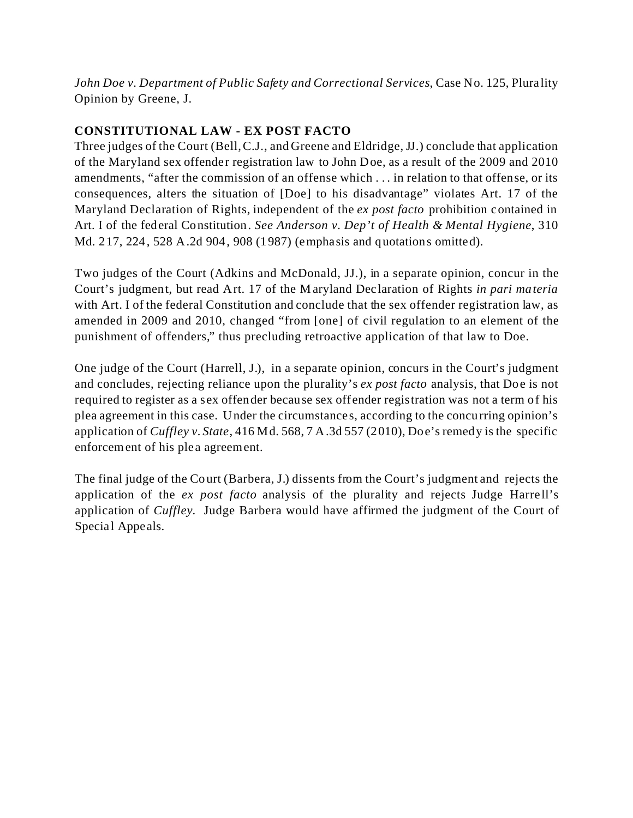*John Doe v. Department of Public Safety and Correctional Services*, Case No. 125, Plurality Opinion by Greene, J.

# **CONSTITUTIONAL LAW - EX POST FACTO**

Three judges of the Court (Bell, C.J., and Greene and Eldridge, JJ.) conclude that application of the Maryland sex offender registration law to John Doe, as a result of the 2009 and 2010 amendments, "after the commission of an offense which . . . in relation to that offense, or its consequences, alters the situation of [Doe] to his disadvantage" violates Art. 17 of the Maryland Declaration of Rights, independent of the *ex post facto* prohibition contained in Art. I of the federal Constitution. *See Anderson v. Dep't of Health & Mental Hygiene*, 310 Md. 217, 224, 528 A.2d 904, 908 (1987) (emphasis and quotations omitted).

Two judges of the Court (Adkins and McDonald, JJ.), in a separate opinion, concur in the Court's judgment, but read Art. 17 of the Maryland Declaration of Rights *in pari materia* with Art. I of the federal Constitution and conclude that the sex offender registration law, as amended in 2009 and 2010, changed "from [one] of civil regulation to an element of the punishment of offenders," thus precluding retroactive application of that law to Doe.

One judge of the Court (Harrell, J.), in a separate opinion, concurs in the Court's judgment and concludes, rejecting reliance upon the plurality's *ex post facto* analysis, that Doe is not required to register as a sex offender because sex offender registration was not a term of his plea agreement in this case. Under the circumstances, according to the concurring opinion's application of *Cuffley v. State*, 416 Md. 568, 7 A.3d 557 (2010), Doe's remedy is the specific enforcement of his plea agreement.

The final judge of the Court (Barbera, J.) dissents from the Court's judgment and rejects the application of the *ex post facto* analysis of the plurality and rejects Judge Harrell's application of *Cuffley*. Judge Barbera would have affirmed the judgment of the Court of Special Appeals.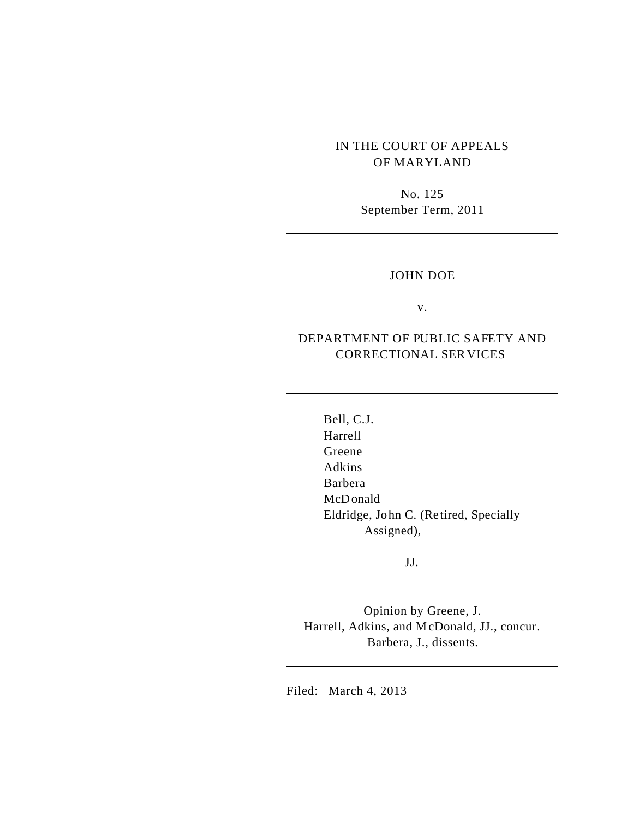# IN THE COURT OF APPEALS OF MARYLAND

No. 125 September Term, 2011

### JOHN DOE

v.

# DEPARTMENT OF PUBLIC SAFETY AND CORRECTIONAL SERVICES

Bell, C.J. Harrell Greene Adkins Barbera McDonald Eldridge, John C. (Retired, Specially Assigned),

JJ.

Opinion by Greene, J. Harrell, Adkins, and McDonald, JJ., concur. Barbera, J., dissents.

Filed: March 4, 2013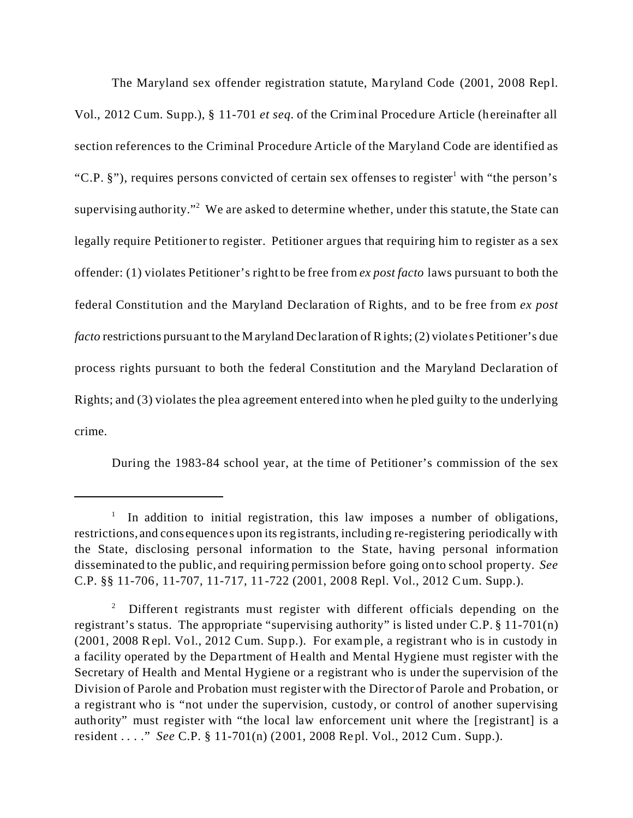The Maryland sex offender registration statute, Maryland Code (2001, 2008 Repl. Vol., 2012 Cum. Supp.), § 11-701 *et seq.* of the Criminal Procedure Article (hereinafter all section references to the Criminal Procedure Article of the Maryland Code are identified as "C.P. §"), requires persons convicted of certain sex offenses to register<sup>1</sup> with "the person's supervising authority."<sup>2</sup> We are asked to determine whether, under this statute, the State can legally require Petitioner to register. Petitioner argues that requiring him to register as a sex offender: (1) violates Petitioner's right to be free from *ex post facto* laws pursuant to both the federal Constitution and the Maryland Declaration of Rights, and to be free from *ex post facto* restrictions pursuant to the Maryland Declaration of Rights; (2) violates Petitioner's due process rights pursuant to both the federal Constitution and the Maryland Declaration of Rights; and (3) violates the plea agreement entered into when he pled guilty to the underlying crime.

During the 1983-84 school year, at the time of Petitioner's commission of the sex

<sup>&</sup>lt;sup>1</sup> In addition to initial registration, this law imposes a number of obligations, restrictions, and consequences upon its registrants, including re-registering periodically with the State, disclosing personal information to the State, having personal information disseminated to the public, and requiring permission before going onto school property. *See* C.P. §§ 11-706, 11-707, 11-717, 11-722 (2001, 2008 Repl. Vol., 2012 Cum. Supp.).

<sup>2</sup> Different registrants must register with different officials depending on the registrant's status. The appropriate "supervising authority" is listed under C.P. § 11-701(n) (2001, 2008 Repl. Vol., 2012 Cum. Supp.). For example, a registrant who is in custody in a facility operated by the Department of Health and Mental Hygiene must register with the Secretary of Health and Mental Hygiene or a registrant who is under the supervision of the Division of Parole and Probation must register with the Director of Parole and Probation, or a registrant who is "not under the supervision, custody, or control of another supervising authority" must register with "the local law enforcement unit where the [registrant] is a resident . . . ." *See* C.P. § 11-701(n) (2001, 2008 Repl. Vol., 2012 Cum. Supp.).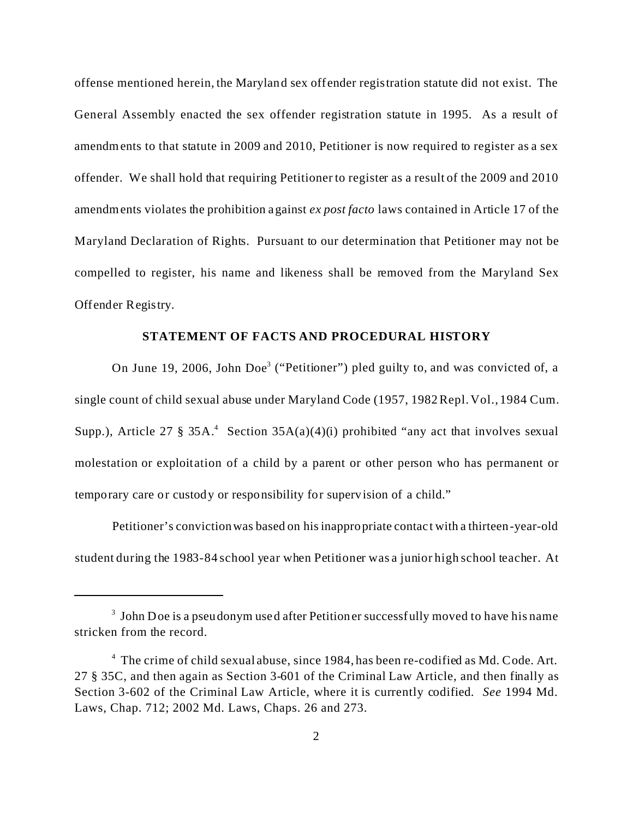offense mentioned herein, the Maryland sex offender registration statute did not exist. The General Assembly enacted the sex offender registration statute in 1995. As a result of amendments to that statute in 2009 and 2010, Petitioner is now required to register as a sex offender. We shall hold that requiring Petitioner to register as a result of the 2009 and 2010 amendments violates the prohibition against *ex post facto* laws contained in Article 17 of the Maryland Declaration of Rights. Pursuant to our determination that Petitioner may not be compelled to register, his name and likeness shall be removed from the Maryland Sex Offender Registry.

#### **STATEMENT OF FACTS AND PROCEDURAL HISTORY**

On June 19, 2006, John Doe<sup>3</sup> ("Petitioner") pled guilty to, and was convicted of, a single count of child sexual abuse under Maryland Code (1957, 1982 Repl. Vol., 1984 Cum. Supp.), Article 27 § 35A.<sup>4</sup> Section 35A(a)(4)(i) prohibited "any act that involves sexual molestation or exploitation of a child by a parent or other person who has permanent or temporary care or custody or responsibility for supervision of a child."

Petitioner's convictionwas based on his inappropriate contact with a thirteen-year-old student during the 1983-84 school year when Petitioner was a junior high school teacher. At

<sup>&</sup>lt;sup>3</sup> John Doe is a pseudonym used after Petitioner successfully moved to have his name stricken from the record.

<sup>&</sup>lt;sup>4</sup> The crime of child sexual abuse, since 1984, has been re-codified as Md. Code. Art. 27 § 35C, and then again as Section 3-601 of the Criminal Law Article, and then finally as Section 3-602 of the Criminal Law Article, where it is currently codified. *See* 1994 Md. Laws, Chap. 712; 2002 Md. Laws, Chaps. 26 and 273.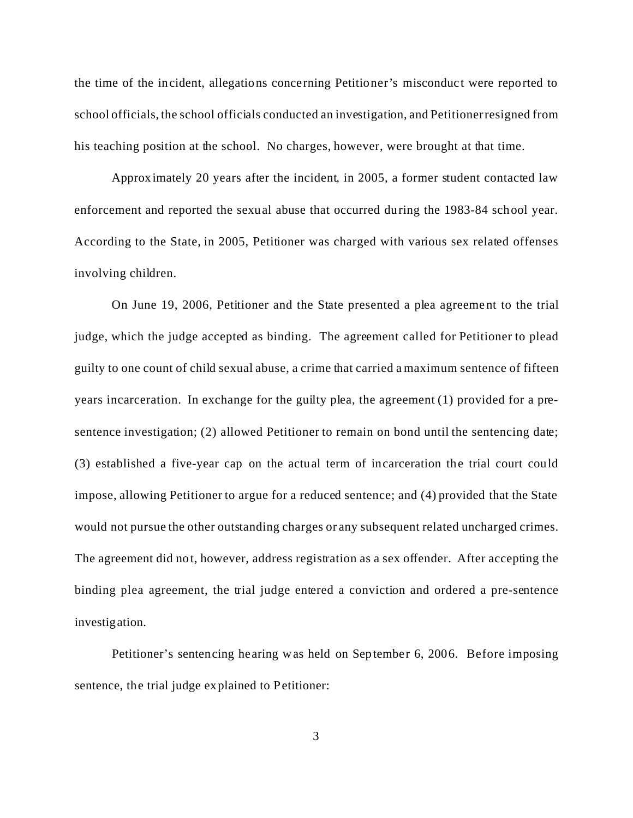the time of the incident, allegations concerning Petitioner's misconduct were reported to school officials, the school officials conducted an investigation, and Petitioner resigned from his teaching position at the school. No charges, however, were brought at that time.

Approximately 20 years after the incident, in 2005, a former student contacted law enforcement and reported the sexual abuse that occurred during the 1983-84 school year. According to the State, in 2005, Petitioner was charged with various sex related offenses involving children.

On June 19, 2006, Petitioner and the State presented a plea agreement to the trial judge, which the judge accepted as binding. The agreement called for Petitioner to plead guilty to one count of child sexual abuse, a crime that carried a maximum sentence of fifteen years incarceration. In exchange for the guilty plea, the agreement (1) provided for a presentence investigation; (2) allowed Petitioner to remain on bond until the sentencing date; (3) established a five-year cap on the actual term of incarceration the trial court could impose, allowing Petitioner to argue for a reduced sentence; and (4) provided that the State would not pursue the other outstanding charges or any subsequent related uncharged crimes. The agreement did not, however, address registration as a sex offender. After accepting the binding plea agreement, the trial judge entered a conviction and ordered a pre-sentence investigation.

Petitioner's sentencing hearing was held on September 6, 2006. Before imposing sentence, the trial judge explained to Petitioner: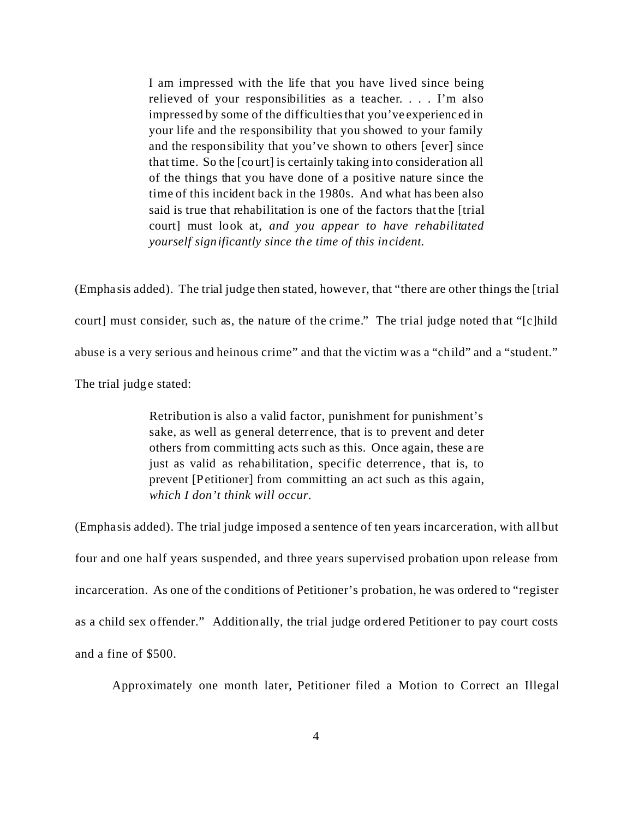I am impressed with the life that you have lived since being relieved of your responsibilities as a teacher. . . . I'm also impressed by some of the difficulties that you've experienced in your life and the responsibility that you showed to your family and the responsibility that you've shown to others [ever] since that time. So the [court] is certainly taking into consideration all of the things that you have done of a positive nature since the time of this incident back in the 1980s. And what has been also said is true that rehabilitation is one of the factors that the [trial court] must look at, *and you appear to have rehabilitated yourself significantly since the time of this incident.*

(Emphasis added). The trial judge then stated, however, that "there are other things the [trial court] must consider, such as, the nature of the crime." The trial judge noted that "[c]hild abuse is a very serious and heinous crime" and that the victim was a "child" and a "student." The trial judge stated:

> Retribution is also a valid factor, punishment for punishment's sake, as well as general deterrence, that is to prevent and deter others from committing acts such as this. Once again, these are just as valid as rehabilitation, specific deterrence, that is, to prevent [Petitioner] from committing an act such as this again, *which I don't think will occur.*

(Emphasis added). The trial judge imposed a sentence of ten years incarceration, with all but four and one half years suspended, and three years supervised probation upon release from incarceration. As one of the conditions of Petitioner's probation, he was ordered to "register as a child sex offender." Additionally, the trial judge ordered Petitioner to pay court costs and a fine of \$500.

Approximately one month later, Petitioner filed a Motion to Correct an Illegal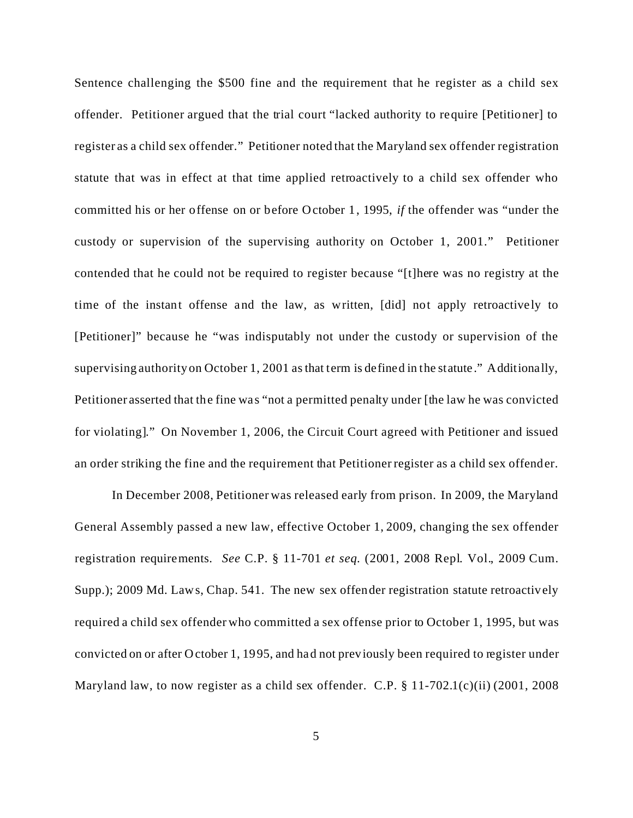Sentence challenging the \$500 fine and the requirement that he register as a child sex offender. Petitioner argued that the trial court "lacked authority to require [Petitioner] to register as a child sex offender." Petitioner noted that the Maryland sex offender registration statute that was in effect at that time applied retroactively to a child sex offender who committed his or her offense on or before October 1, 1995, *if* the offender was "under the custody or supervision of the supervising authority on October 1, 2001." Petitioner contended that he could not be required to register because "[t]here was no registry at the time of the instant offense and the law, as written, [did] not apply retroactively to [Petitioner]" because he "was indisputably not under the custody or supervision of the supervising authority on October 1, 2001 as that term is defined in the statute." Additionally, Petitioner asserted that the fine was "not a permitted penalty under [the law he was convicted for violating]." On November 1, 2006, the Circuit Court agreed with Petitioner and issued an order striking the fine and the requirement that Petitioner register as a child sex offender.

In December 2008, Petitioner was released early from prison. In 2009, the Maryland General Assembly passed a new law, effective October 1, 2009, changing the sex offender registration requirements. *See* C.P. § 11-701 *et seq*. (2001, 2008 Repl. Vol., 2009 Cum. Supp.); 2009 Md. Laws, Chap. 541. The new sex offender registration statute retroactively required a child sex offender who committed a sex offense prior to October 1, 1995, but was convicted on or after October 1, 1995, and had not previously been required to register under Maryland law, to now register as a child sex offender. C.P. § 11-702.1(c)(ii) (2001, 2008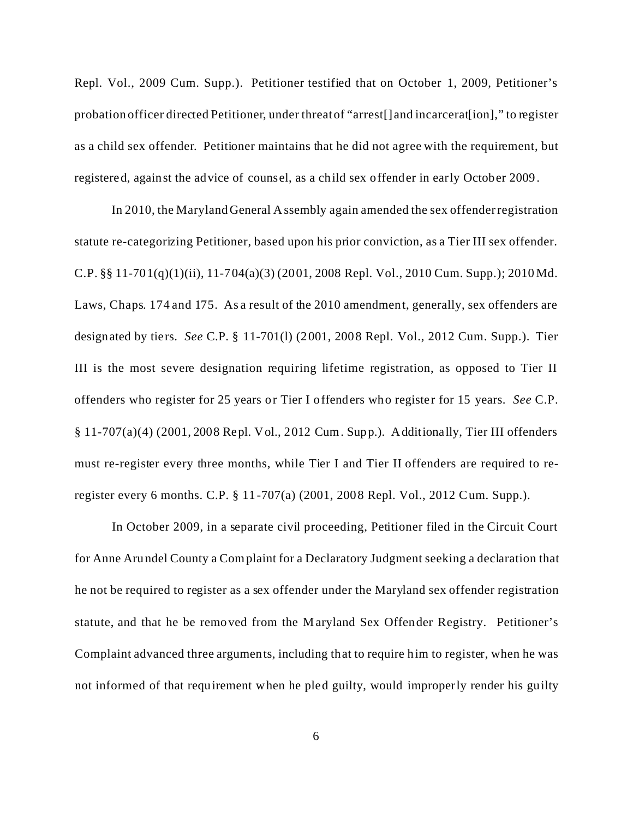Repl. Vol., 2009 Cum. Supp.). Petitioner testified that on October 1, 2009, Petitioner's probation officer directed Petitioner, under threat of "arrest[] and incarcerat[ion]," to register as a child sex offender. Petitioner maintains that he did not agree with the requirement, but registered, against the advice of counsel, as a child sex offender in early October 2009.

In 2010, the Maryland General Assembly again amended the sex offender registration statute re-categorizing Petitioner, based upon his prior conviction, as a Tier III sex offender. C.P. §§ 11-701(q)(1)(ii), 11-704(a)(3) (2001, 2008 Repl. Vol., 2010 Cum. Supp.); 2010 Md. Laws, Chaps. 174 and 175. As a result of the 2010 amendment, generally, sex offenders are designated by tiers. *See* C.P. § 11-701(l) (2001, 2008 Repl. Vol., 2012 Cum. Supp.). Tier III is the most severe designation requiring lifetime registration, as opposed to Tier II offenders who register for 25 years or Tier I offenders who register for 15 years. *See* C.P. § 11-707(a)(4) (2001, 2008 Repl. Vol., 2012 Cum. Supp.). Additionally, Tier III offenders must re-register every three months, while Tier I and Tier II offenders are required to reregister every 6 months. C.P. § 11-707(a) (2001, 2008 Repl. Vol., 2012 Cum. Supp.).

In October 2009, in a separate civil proceeding, Petitioner filed in the Circuit Court for Anne Arundel County a Complaint for a Declaratory Judgment seeking a declaration that he not be required to register as a sex offender under the Maryland sex offender registration statute, and that he be removed from the Maryland Sex Offender Registry. Petitioner's Complaint advanced three arguments, including that to require him to register, when he was not informed of that requirement when he pled guilty, would improperly render his guilty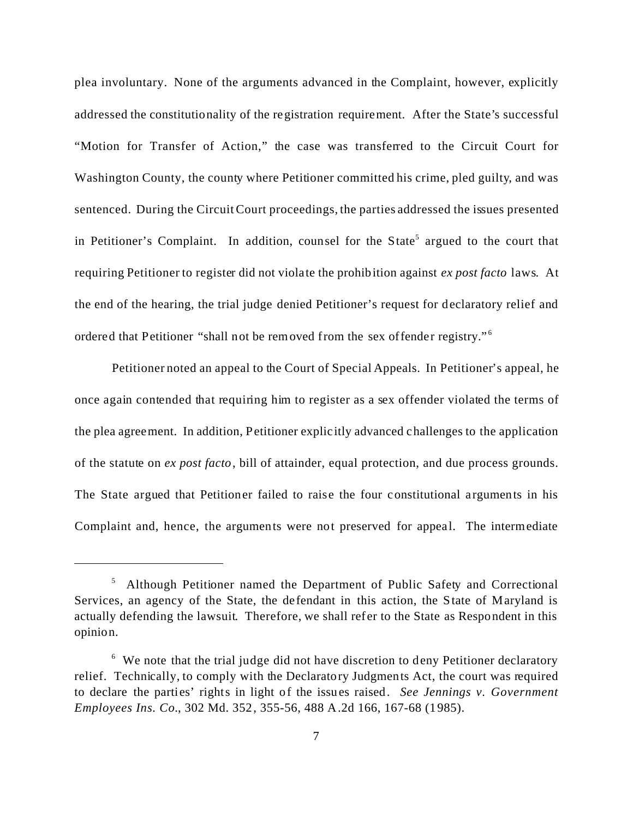plea involuntary. None of the arguments advanced in the Complaint, however, explicitly addressed the constitutionality of the registration requirement. After the State's successful "Motion for Transfer of Action," the case was transferred to the Circuit Court for Washington County, the county where Petitioner committed his crime, pled guilty, and was sentenced. During the Circuit Court proceedings, the parties addressed the issues presented in Petitioner's Complaint. In addition, counsel for the State<sup>5</sup> argued to the court that requiring Petitioner to register did not violate the prohibition against *ex post facto* laws. At the end of the hearing, the trial judge denied Petitioner's request for declaratory relief and ordered that Petitioner "shall not be removed from the sex offender registry."<sup>6</sup>

Petitioner noted an appeal to the Court of Special Appeals. In Petitioner's appeal, he once again contended that requiring him to register as a sex offender violated the terms of the plea agreement. In addition, Petitioner explicitly advanced challenges to the application of the statute on *ex post facto*, bill of attainder, equal protection, and due process grounds. The State argued that Petitioner failed to raise the four constitutional arguments in his Complaint and, hence, the arguments were not preserved for appeal. The intermediate

<sup>&</sup>lt;sup>5</sup> Although Petitioner named the Department of Public Safety and Correctional Services, an agency of the State, the defendant in this action, the State of Maryland is actually defending the lawsuit. Therefore, we shall refer to the State as Respondent in this opinion.

<sup>&</sup>lt;sup>6</sup> We note that the trial judge did not have discretion to deny Petitioner declaratory relief. Technically, to comply with the Declaratory Judgments Act, the court was required to declare the parties' rights in light of the issues raised. *See Jennings v. Government Employees Ins. Co.*, 302 Md. 352, 355-56, 488 A.2d 166, 167-68 (1985).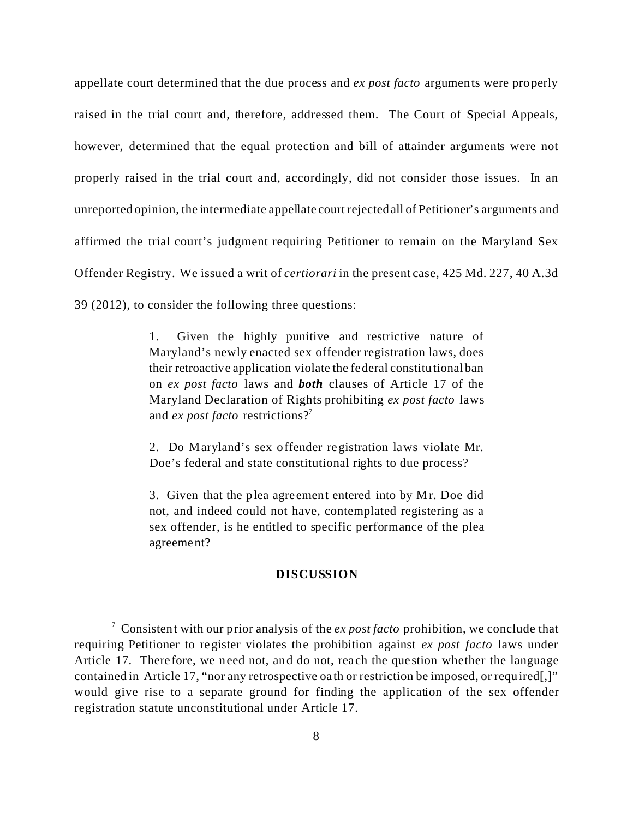appellate court determined that the due process and *ex post facto* arguments were properly raised in the trial court and, therefore, addressed them. The Court of Special Appeals, however, determined that the equal protection and bill of attainder arguments were not properly raised in the trial court and, accordingly, did not consider those issues. In an unreported opinion, the intermediate appellate court rejected all of Petitioner's arguments and affirmed the trial court's judgment requiring Petitioner to remain on the Maryland Sex Offender Registry. We issued a writ of *certiorari* in the present case, 425 Md. 227, 40 A.3d 39 (2012), to consider the following three questions:

> 1. Given the highly punitive and restrictive nature of Maryland's newly enacted sex offender registration laws, does their retroactive application violate the federal constitutional ban on *ex post facto* laws and *both* clauses of Article 17 of the Maryland Declaration of Rights prohibiting *ex post facto* laws and *ex post facto* restrictions?<sup>7</sup>

> 2. Do Maryland's sex offender registration laws violate Mr. Doe's federal and state constitutional rights to due process?

> 3. Given that the plea agreement entered into by Mr. Doe did not, and indeed could not have, contemplated registering as a sex offender, is he entitled to specific performance of the plea agreement?

#### **DISCUSSION**

<sup>7</sup> Consistent with our prior analysis of the *ex post facto* prohibition, we conclude that requiring Petitioner to register violates the prohibition against *ex post facto* laws under Article 17. Therefore, we need not, and do not, reach the question whether the language contained in Article 17, "nor any retrospective oath or restriction be imposed, or required[,]" would give rise to a separate ground for finding the application of the sex offender registration statute unconstitutional under Article 17.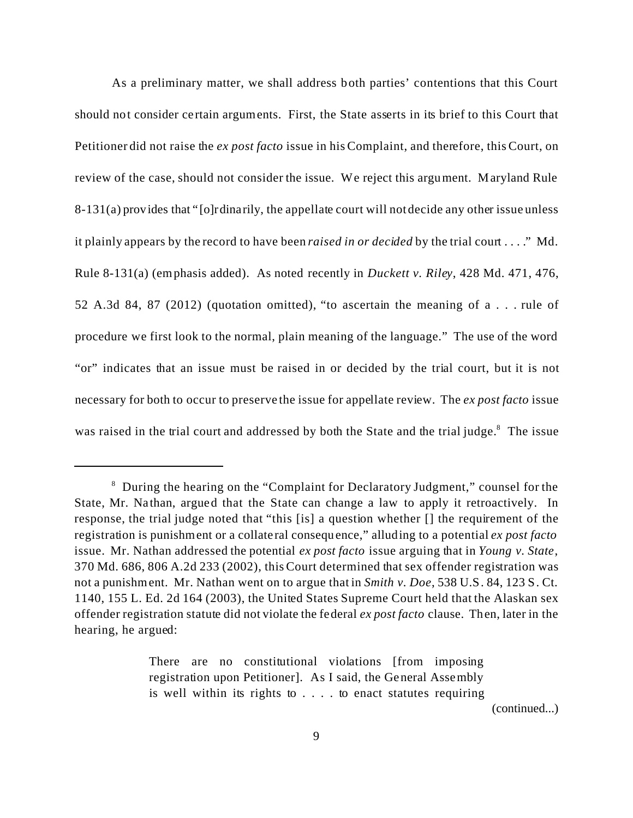As a preliminary matter, we shall address both parties' contentions that this Court should not consider certain arguments. First, the State asserts in its brief to this Court that Petitioner did not raise the *ex post facto* issue in his Complaint, and therefore, this Court, on review of the case, should not consider the issue. We reject this argument. Maryland Rule 8-131(a) provides that "[o]rdinarily, the appellate court will not decide any other issue unless it plainly appears by the record to have been *raised in or decided* by the trial court . . . ." Md. Rule 8-131(a) (emphasis added). As noted recently in *Duckett v. Riley*, 428 Md. 471, 476, 52 A.3d 84, 87 (2012) (quotation omitted), "to ascertain the meaning of a . . . rule of procedure we first look to the normal, plain meaning of the language." The use of the word "or" indicates that an issue must be raised in or decided by the trial court, but it is not necessary for both to occur to preserve the issue for appellate review. The *ex post facto* issue was raised in the trial court and addressed by both the State and the trial judge.<sup>8</sup> The issue

There are no constitutional violations [from imposing] registration upon Petitioner]. As I said, the General Assembly is well within its rights to . . . . to enact statutes requiring

(continued...)

<sup>&</sup>lt;sup>8</sup> During the hearing on the "Complaint for Declaratory Judgment," counsel for the State, Mr. Nathan, argued that the State can change a law to apply it retroactively. In response, the trial judge noted that "this [is] a question whether [] the requirement of the registration is punishment or a collateral consequence," alluding to a potential *ex post facto* issue. Mr. Nathan addressed the potential *ex post facto* issue arguing that in *Young v. State*, 370 Md. 686, 806 A.2d 233 (2002), this Court determined that sex offender registration was not a punishment. Mr. Nathan went on to argue that in *Smith v. Doe*, 538 U.S. 84, 123 S. Ct. 1140, 155 L. Ed. 2d 164 (2003), the United States Supreme Court held that the Alaskan sex offender registration statute did not violate the federal *ex post facto* clause. Then, later in the hearing, he argued: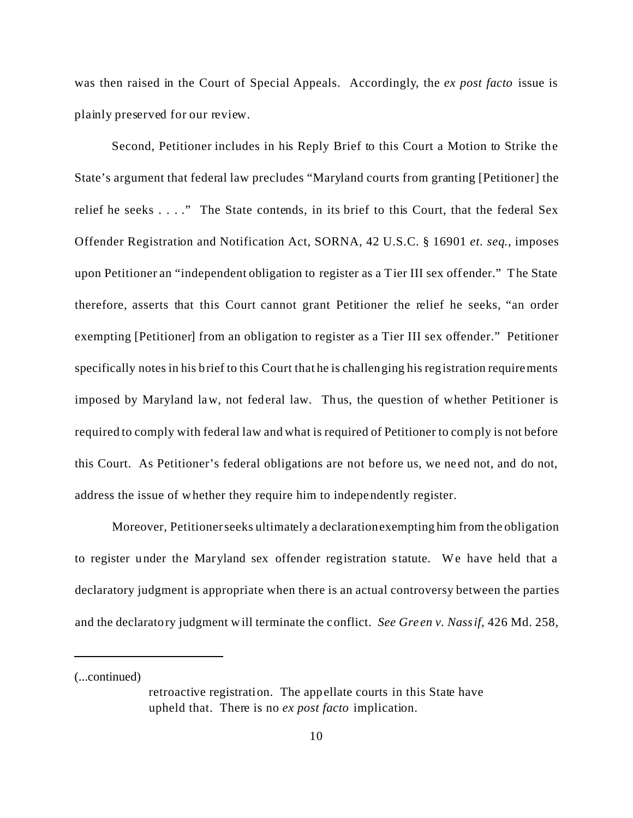was then raised in the Court of Special Appeals. Accordingly, the *ex post facto* issue is plainly preserved for our review.

Second, Petitioner includes in his Reply Brief to this Court a Motion to Strike the State's argument that federal law precludes "Maryland courts from granting [Petitioner] the relief he seeks . . . ." The State contends, in its brief to this Court, that the federal Sex Offender Registration and Notification Act, SORNA, 42 U.S.C. § 16901 *et. seq*., imposes upon Petitioner an "independent obligation to register as a Tier III sex offender." The State therefore, asserts that this Court cannot grant Petitioner the relief he seeks, "an order exempting [Petitioner] from an obligation to register as a Tier III sex offender." Petitioner specifically notes in his brief to this Court that he is challenging his registration requirements imposed by Maryland law, not federal law. Thus, the question of whether Petitioner is required to comply with federal law and what is required of Petitioner to comply is not before this Court. As Petitioner's federal obligations are not before us, we need not, and do not, address the issue of whether they require him to independently register.

Moreover, Petitioner seeks ultimately a declarationexempting him from the obligation to register under the Maryland sex offender registration statute. We have held that a declaratory judgment is appropriate when there is an actual controversy between the parties and the declaratory judgment will terminate the conflict. *See Green v. Nassif*, 426 Md. 258,

(...continued)

retroactive registration. The appellate courts in this State have upheld that. There is no *ex post facto* implication.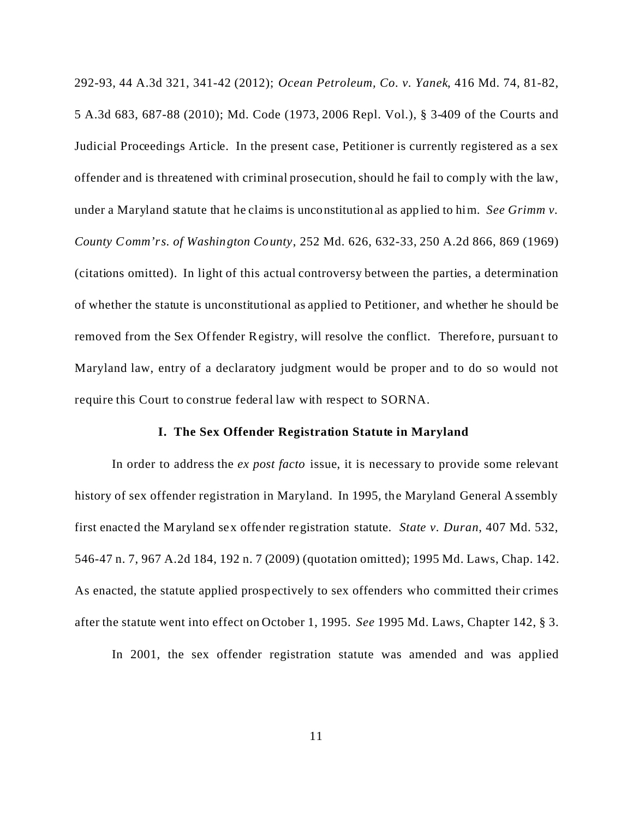292-93, 44 A.3d 321, 341-42 (2012); *Ocean Petroleum, Co. v. Yanek*, 416 Md. 74, 81-82, 5 A.3d 683, 687-88 (2010); Md. Code (1973, 2006 Repl. Vol.), § 3-409 of the Courts and Judicial Proceedings Article. In the present case, Petitioner is currently registered as a sex offender and is threatened with criminal prosecution, should he fail to comply with the law, under a Maryland statute that he claims is unconstitutional as applied to him. *See Grimm v. County Comm'rs. of Washington County*, 252 Md. 626, 632-33, 250 A.2d 866, 869 (1969) (citations omitted). In light of this actual controversy between the parties, a determination of whether the statute is unconstitutional as applied to Petitioner, and whether he should be removed from the Sex Offender Registry, will resolve the conflict. Therefore, pursuant to Maryland law, entry of a declaratory judgment would be proper and to do so would not require this Court to construe federal law with respect to SORNA.

#### **I. The Sex Offender Registration Statute in Maryland**

In order to address the *ex post facto* issue, it is necessary to provide some relevant history of sex offender registration in Maryland. In 1995, the Maryland General Assembly first enacted the Maryland sex offender registration statute. *State v. Duran*, 407 Md. 532, 546-47 n. 7, 967 A.2d 184, 192 n. 7 (2009) (quotation omitted); 1995 Md. Laws, Chap. 142. As enacted, the statute applied prospectively to sex offenders who committed their crimes after the statute went into effect on October 1, 1995. *See* 1995 Md. Laws, Chapter 142, § 3.

In 2001, the sex offender registration statute was amended and was applied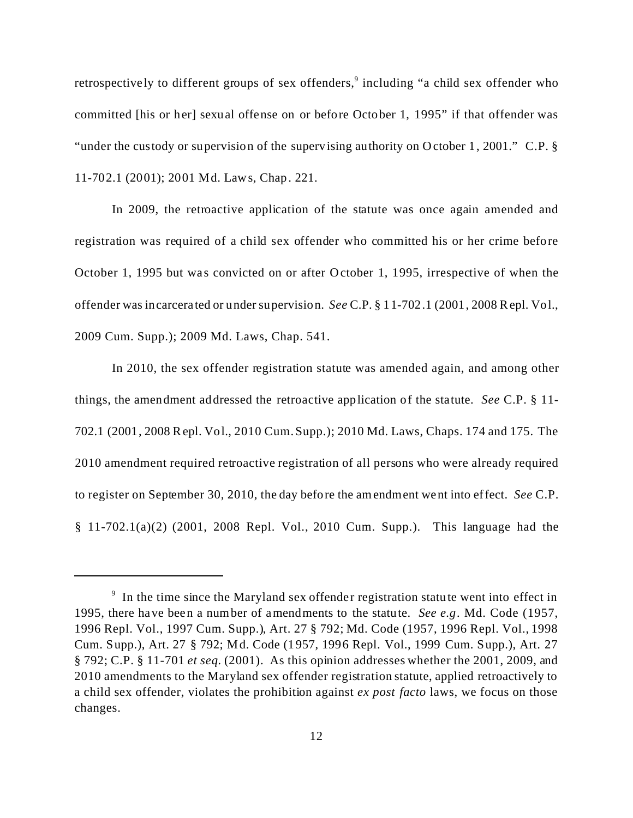retrospectively to different groups of sex offenders,<sup>9</sup> including "a child sex offender who committed [his or her] sexual offense on or before October 1, 1995" if that offender was "under the custody or supervision of the supervising authority on October 1, 2001." C.P. § 11-702.1 (2001); 2001 Md. Laws, Chap. 221.

In 2009, the retroactive application of the statute was once again amended and registration was required of a child sex offender who committed his or her crime before October 1, 1995 but was convicted on or after October 1, 1995, irrespective of when the offender was incarcerated or under supervision. *See* C.P. § 11-702.1 (2001, 2008 Repl. Vol., 2009 Cum. Supp.); 2009 Md. Laws, Chap. 541.

In 2010, the sex offender registration statute was amended again, and among other things, the amendment addressed the retroactive application of the statute. *See* C.P. § 11- 702.1 (2001, 2008 Repl. Vol., 2010 Cum. Supp.); 2010 Md. Laws, Chaps. 174 and 175. The 2010 amendment required retroactive registration of all persons who were already required to register on September 30, 2010, the day before the amendment went into effect. *See* C.P. § 11-702.1(a)(2) (2001, 2008 Repl. Vol., 2010 Cum. Supp.). This language had the

<sup>&</sup>lt;sup>9</sup> In the time since the Maryland sex offender registration statute went into effect in 1995, there have been a number of amendments to the statute. *See e.g.* Md. Code (1957, 1996 Repl. Vol., 1997 Cum. Supp.), Art. 27 § 792; Md. Code (1957, 1996 Repl. Vol., 1998 Cum. Supp.), Art. 27 § 792; Md. Code (1957, 1996 Repl. Vol., 1999 Cum. Supp.), Art. 27 § 792; C.P. § 11-701 *et seq.* (2001). As this opinion addresses whether the 2001, 2009, and 2010 amendments to the Maryland sex offender registration statute, applied retroactively to a child sex offender, violates the prohibition against *ex post facto* laws, we focus on those changes.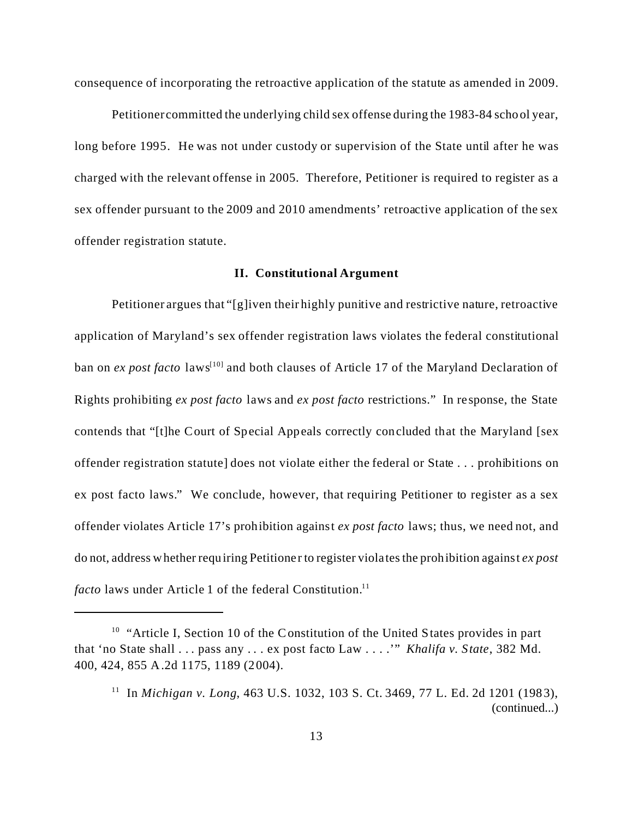consequence of incorporating the retroactive application of the statute as amended in 2009.

Petitioner committed the underlying child sex offense during the 1983-84 school year, long before 1995. He was not under custody or supervision of the State until after he was charged with the relevant offense in 2005. Therefore, Petitioner is required to register as a sex offender pursuant to the 2009 and 2010 amendments' retroactive application of the sex offender registration statute.

### **II. Constitutional Argument**

Petitioner argues that "[g]iven their highly punitive and restrictive nature, retroactive application of Maryland's sex offender registration laws violates the federal constitutional ban on *ex post facto* laws<sup>[10]</sup> and both clauses of Article 17 of the Maryland Declaration of Rights prohibiting *ex post facto* laws and *ex post facto* restrictions." In response, the State contends that "[t]he Court of Special Appeals correctly concluded that the Maryland [sex offender registration statute] does not violate either the federal or State . . . prohibitions on ex post facto laws." We conclude, however, that requiring Petitioner to register as a sex offender violates Article 17's prohibition against *ex post facto* laws; thus, we need not, and do not, address whether requiring Petitioner to register violates the prohibition against *ex post facto* laws under Article 1 of the federal Constitution.<sup>11</sup>

<sup>&</sup>lt;sup>10</sup> "Article I, Section 10 of the Constitution of the United States provides in part that 'no State shall . . . pass any . . . ex post facto Law . . . .'" *Khalifa v. State*, 382 Md. 400, 424, 855 A.2d 1175, 1189 (2004).

<sup>11</sup> In *Michigan v. Long*, 463 U.S. 1032, 103 S. Ct. 3469, 77 L. Ed. 2d 1201 (1983), (continued...)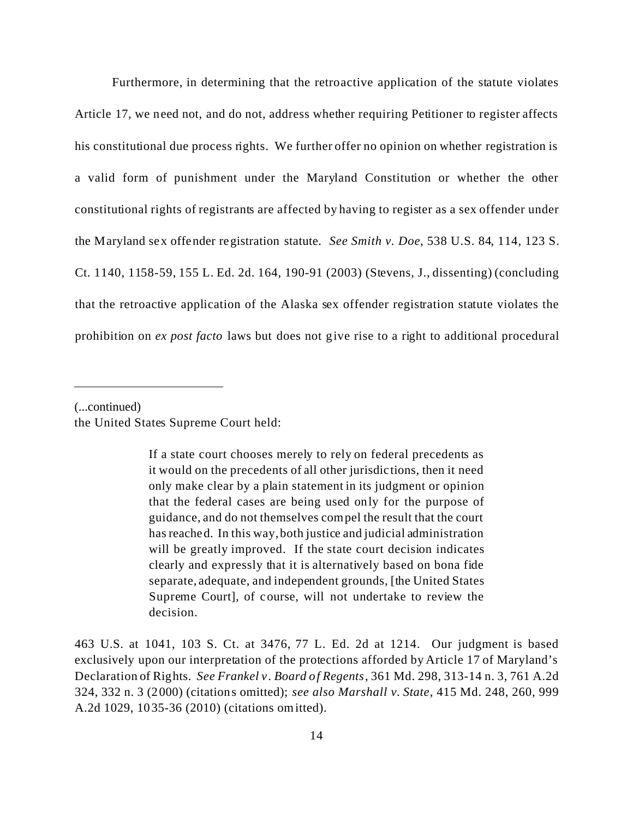Furthermore, in determining that the retroactive application of the statute violates Article 17, we need not, and do not, address whether requiring Petitioner to register affects his constitutional due process rights. We further offer no opinion on whether registration is a valid form of punishment under the Maryland Constitution or whether the other constitutional rights of registrants are affected by having to register as a sex offender under the Maryland sex offender registration statute. *See Smith v. Doe*, 538 U.S. 84, 114, 123 S. Ct. 1140, 1158-59, 155 L. Ed. 2d. 164, 190-91 (2003) (Stevens, J., dissenting) (concluding that the retroactive application of the Alaska sex offender registration statute violates the prohibition on *ex post facto* laws but does not give rise to a right to additional procedural

(...continued)

the United States Supreme Court held:

If a state court chooses merely to rely on federal precedents as it would on the precedents of all other jurisdictions, then it need only make clear by a plain statement in its judgment or opinion that the federal cases are being used only for the purpose of guidance, and do not themselves compel the result that the court has reached. In this way, both justice and judicial administration will be greatly improved. If the state court decision indicates clearly and expressly that it is alternatively based on bona fide separate, adequate, and independent grounds, [the United States Supreme Court], of course, will not undertake to review the decision.

463 U.S. at 1041, 103 S. Ct. at 3476, 77 L. Ed. 2d at 1214. Our judgment is based exclusively upon our interpretation of the protections afforded by Article 17 of Maryland's Declaration of Rights. *See Frankel v. Board of Regents*, 361 Md. 298, 313-14 n. 3, 761 A.2d 324, 332 n. 3 (2000) (citations omitted); *see also Marshall v. State*, 415 Md. 248, 260, 999 A.2d 1029, 1035-36 (2010) (citations omitted).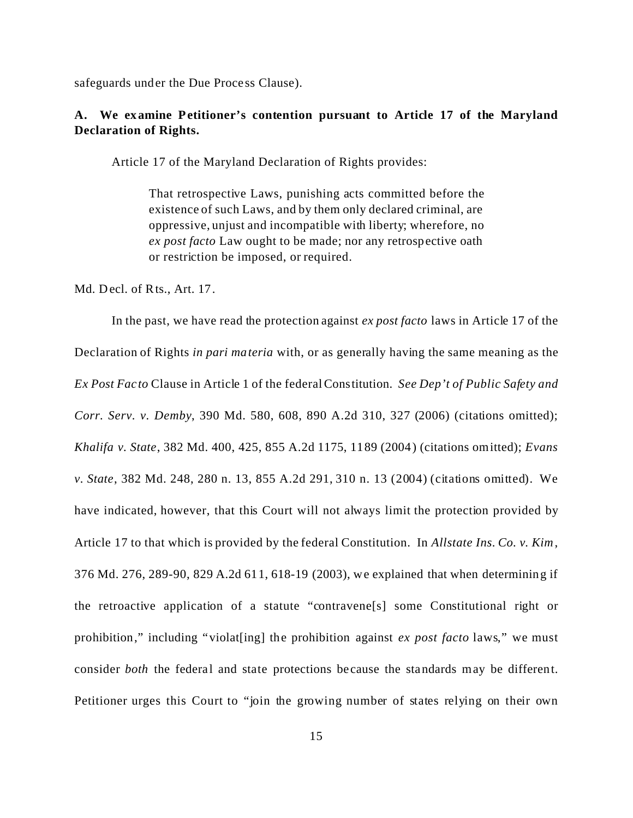safeguards under the Due Process Clause).

# **A. We examine Petitioner's contention pursuant to Article 17 of the Maryland Declaration of Rights.**

Article 17 of the Maryland Declaration of Rights provides:

That retrospective Laws, punishing acts committed before the existence of such Laws, and by them only declared criminal, are oppressive, unjust and incompatible with liberty; wherefore, no *ex post facto* Law ought to be made; nor any retrospective oath or restriction be imposed, or required.

Md. Decl. of Rts., Art. 17.

In the past, we have read the protection against *ex post facto* laws in Article 17 of the Declaration of Rights *in pari materia* with, or as generally having the same meaning as the *Ex Post Facto* Clause in Article 1 of the federal Constitution. *See Dep't of Public Safety and Corr. Serv. v. Demby*, 390 Md. 580, 608, 890 A.2d 310, 327 (2006) (citations omitted); *Khalifa v. State*, 382 Md. 400, 425, 855 A.2d 1175, 1189 (2004) (citations omitted); *Evans v. State*, 382 Md. 248, 280 n. 13, 855 A.2d 291, 310 n. 13 (2004) (citations omitted). We have indicated, however, that this Court will not always limit the protection provided by Article 17 to that which is provided by the federal Constitution. In *Allstate Ins. Co. v. Kim*, 376 Md. 276, 289-90, 829 A.2d 611, 618-19 (2003), we explained that when determining if the retroactive application of a statute "contravene[s] some Constitutional right or prohibition," including "violat[ing] the prohibition against *ex post facto* laws," we must consider *both* the federal and state protections because the standards may be different. Petitioner urges this Court to "join the growing number of states relying on their own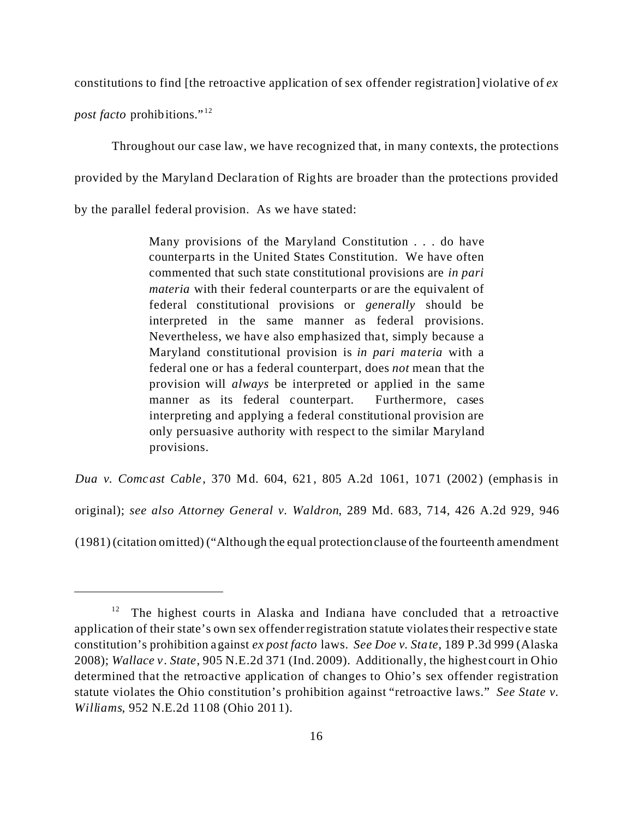constitutions to find [the retroactive application of sex offender registration] violative of *ex*

*post facto* prohibitions." <sup>12</sup>

Throughout our case law, we have recognized that, in many contexts, the protections provided by the Maryland Declaration of Rights are broader than the protections provided by the parallel federal provision. As we have stated:

> Many provisions of the Maryland Constitution . . . do have counterparts in the United States Constitution. We have often commented that such state constitutional provisions are *in pari materia* with their federal counterparts or are the equivalent of federal constitutional provisions or *generally* should be interpreted in the same manner as federal provisions. Nevertheless, we have also emphasized that, simply because a Maryland constitutional provision is *in pari materia* with a federal one or has a federal counterpart, does *not* mean that the provision will *always* be interpreted or applied in the same manner as its federal counterpart. Furthermore, cases interpreting and applying a federal constitutional provision are only persuasive authority with respect to the similar Maryland provisions.

*Dua v. Comcast Cable*, 370 Md. 604, 621, 805 A.2d 1061, 1071 (2002) (emphasis in original); *see also Attorney General v. Waldron*, 289 Md. 683, 714, 426 A.2d 929, 946 (1981) (citation omitted) ("Although the equal protectionclause of the fourteenth amendment

 $12$  The highest courts in Alaska and Indiana have concluded that a retroactive application of their state's own sex offender registration statute violates their respective state constitution's prohibition against *ex post facto* laws. *See Doe v. State*, 189 P.3d 999 (Alaska 2008); *Wallace v. State*, 905 N.E.2d 371 (Ind. 2009). Additionally, the highest court in Ohio determined that the retroactive application of changes to Ohio's sex offender registration statute violates the Ohio constitution's prohibition against "retroactive laws." *See State v. Williams*, 952 N.E.2d 1108 (Ohio 2011).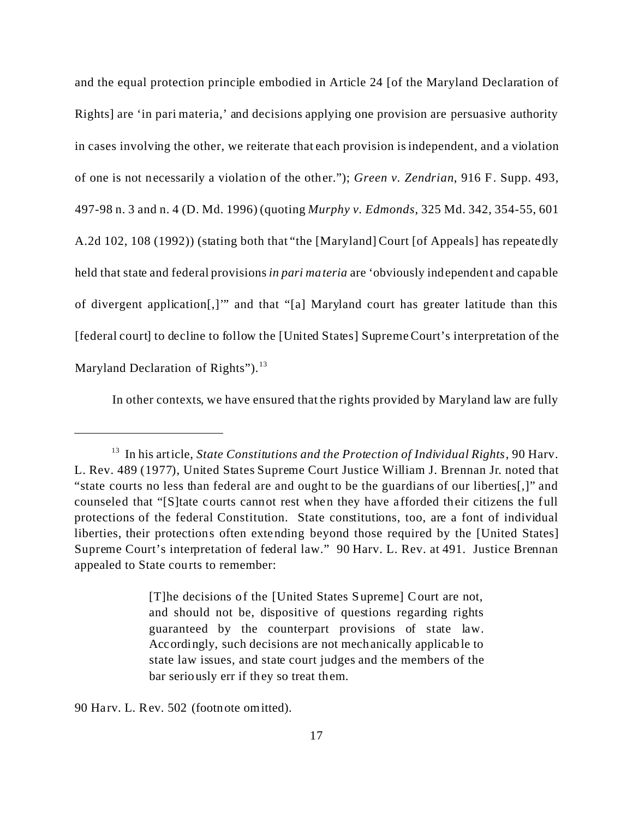and the equal protection principle embodied in Article 24 [of the Maryland Declaration of Rights] are 'in pari materia,' and decisions applying one provision are persuasive authority in cases involving the other, we reiterate that each provision is independent, and a violation of one is not necessarily a violation of the other."); *Green v. Zendrian*, 916 F. Supp. 493, 497-98 n. 3 and n. 4 (D. Md. 1996) (quoting *Murphy v. Edmonds*, 325 Md. 342, 354-55, 601 A.2d 102, 108 (1992)) (stating both that "the [Maryland] Court [of Appeals] has repeatedly held that state and federal provisions *in pari materia* are 'obviously independent and capable of divergent application[,]'" and that "[a] Maryland court has greater latitude than this [federal court] to decline to follow the [United States] Supreme Court's interpretation of the Maryland Declaration of Rights"). $^{13}$ 

In other contexts, we have ensured that the rights provided by Maryland law are fully

[T]he decisions of the [United States Supreme] Court are not, and should not be, dispositive of questions regarding rights guaranteed by the counterpart provisions of state law. Accordingly, such decisions are not mechanically applicable to state law issues, and state court judges and the members of the bar seriously err if they so treat them.

90 Harv. L. Rev. 502 (footnote omitted).

<sup>&</sup>lt;sup>13</sup> In his article, *State Constitutions and the Protection of Individual Rights*, 90 Harv. L. Rev. 489 (1977), United States Supreme Court Justice William J. Brennan Jr. noted that "state courts no less than federal are and ought to be the guardians of our liberties[,]" and counseled that "[S]tate courts cannot rest when they have afforded their citizens the full protections of the federal Constitution. State constitutions, too, are a font of individual liberties, their protections often extending beyond those required by the [United States] Supreme Court's interpretation of federal law." 90 Harv. L. Rev. at 491. Justice Brennan appealed to State courts to remember: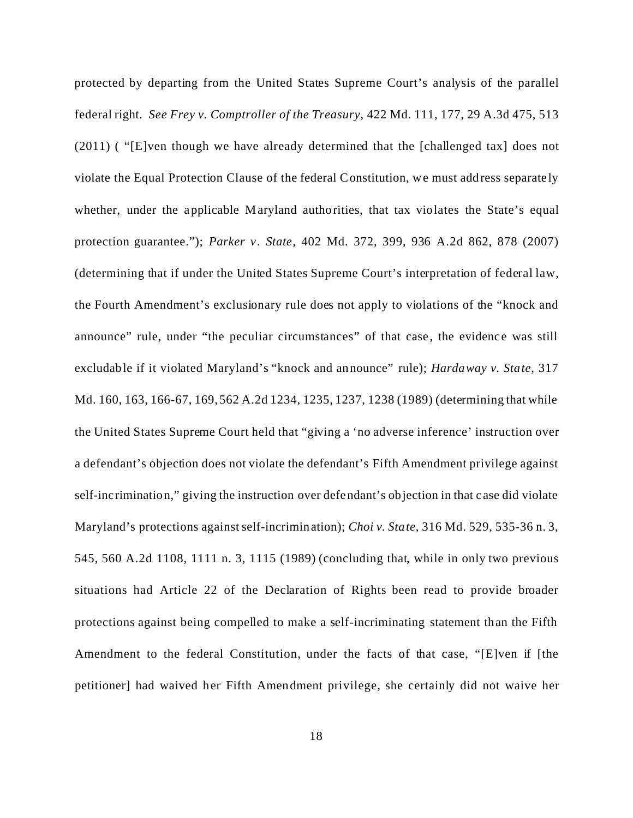protected by departing from the United States Supreme Court's analysis of the parallel federal right. *See Frey v. Comptroller of the Treasury*, 422 Md. 111, 177, 29 A.3d 475, 513 (2011) ( "[E]ven though we have already determined that the [challenged tax] does not violate the Equal Protection Clause of the federal Constitution, we must address separately whether, under the applicable Maryland authorities, that tax violates the State's equal protection guarantee."); *Parker v. State*, 402 Md. 372, 399, 936 A.2d 862, 878 (2007) (determining that if under the United States Supreme Court's interpretation of federal law, the Fourth Amendment's exclusionary rule does not apply to violations of the "knock and announce" rule, under "the peculiar circumstances" of that case, the evidence was still excludable if it violated Maryland's "knock and announce" rule); *Hardaway v. State*, 317 Md. 160, 163, 166-67, 169, 562 A.2d 1234, 1235, 1237, 1238 (1989) (determining that while the United States Supreme Court held that "giving a 'no adverse inference' instruction over a defendant's objection does not violate the defendant's Fifth Amendment privilege against self-incrimination," giving the instruction over defendant's objection in that case did violate Maryland's protections against self-incrimination); *Choi v. State*, 316 Md. 529, 535-36 n. 3, 545, 560 A.2d 1108, 1111 n. 3, 1115 (1989) (concluding that, while in only two previous situations had Article 22 of the Declaration of Rights been read to provide broader protections against being compelled to make a self-incriminating statement than the Fifth Amendment to the federal Constitution, under the facts of that case, "[E]ven if [the petitioner] had waived her Fifth Amendment privilege, she certainly did not waive her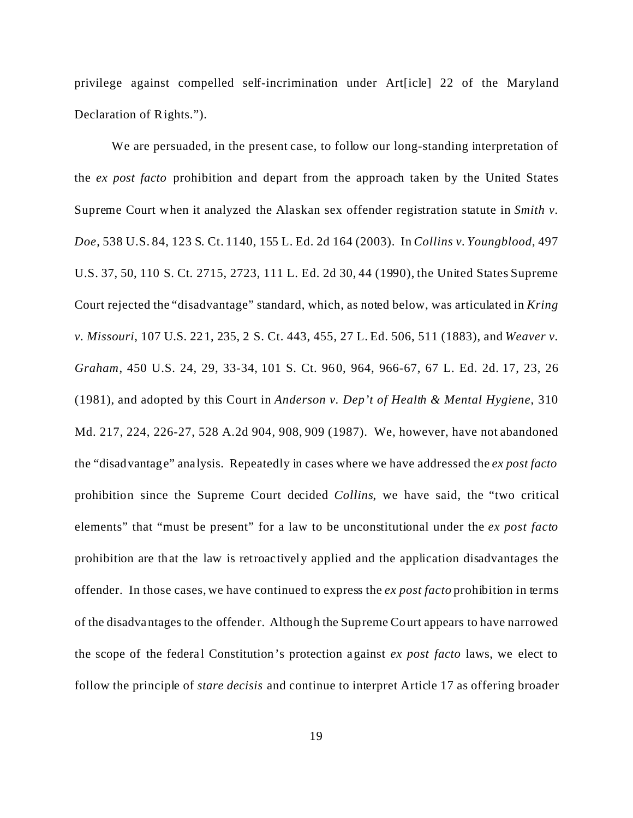privilege against compelled self-incrimination under Art[icle] 22 of the Maryland Declaration of Rights.").

We are persuaded, in the present case, to follow our long-standing interpretation of the *ex post facto* prohibition and depart from the approach taken by the United States Supreme Court when it analyzed the Alaskan sex offender registration statute in *Smith v. Doe*, 538 U.S. 84, 123 S. Ct. 1140, 155 L. Ed. 2d 164 (2003). In *Collins v. Youngblood*, 497 U.S. 37, 50, 110 S. Ct. 2715, 2723, 111 L. Ed. 2d 30, 44 (1990), the United States Supreme Court rejected the "disadvantage" standard, which, as noted below, was articulated in *Kring v. Missouri*, 107 U.S. 221, 235, 2 S. Ct. 443, 455, 27 L. Ed. 506, 511 (1883), and *Weaver v. Graham*, 450 U.S. 24, 29, 33-34, 101 S. Ct. 960, 964, 966-67, 67 L. Ed. 2d. 17, 23, 26 (1981), and adopted by this Court in *Anderson v. Dep't of Health & Mental Hygiene*, 310 Md. 217, 224, 226-27, 528 A.2d 904, 908, 909 (1987). We, however, have not abandoned the "disadvantage" analysis. Repeatedly in cases where we have addressed the *ex post facto* prohibition since the Supreme Court decided *Collins*, we have said, the "two critical elements" that "must be present" for a law to be unconstitutional under the *ex post facto* prohibition are that the law is retroactively applied and the application disadvantages the offender. In those cases, we have continued to express the *ex post facto* prohibition in terms of the disadvantages to the offender. Although the Supreme Court appears to have narrowed the scope of the federal Constitution's protection against *ex post facto* laws, we elect to follow the principle of *stare decisis* and continue to interpret Article 17 as offering broader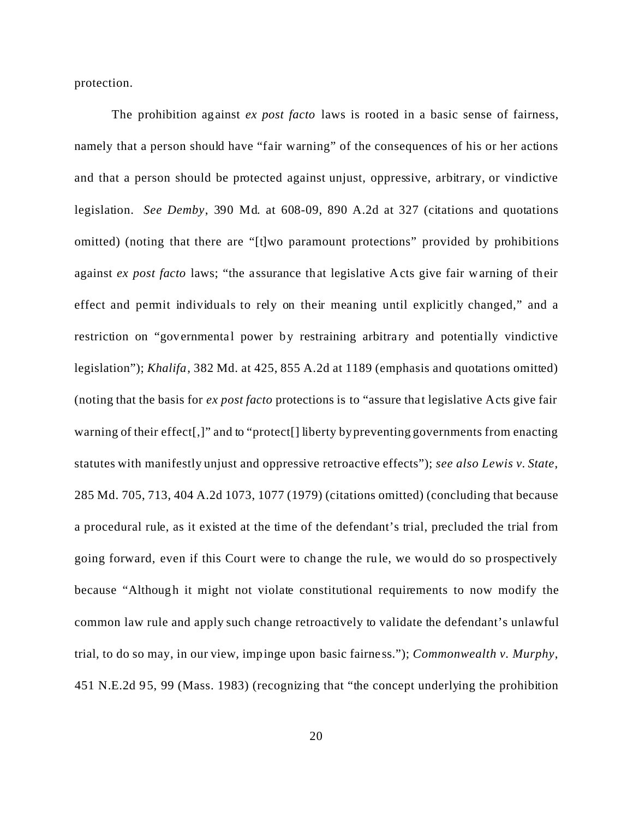protection.

The prohibition against *ex post facto* laws is rooted in a basic sense of fairness, namely that a person should have "fair warning" of the consequences of his or her actions and that a person should be protected against unjust, oppressive, arbitrary, or vindictive legislation. *See Demby*, 390 Md. at 608-09, 890 A.2d at 327 (citations and quotations omitted) (noting that there are "[t]wo paramount protections" provided by prohibitions against *ex post facto* laws; "the assurance that legislative Acts give fair warning of their effect and permit individuals to rely on their meaning until explicitly changed," and a restriction on "governmental power by restraining arbitrary and potentially vindictive legislation"); *Khalifa*, 382 Md. at 425, 855 A.2d at 1189 (emphasis and quotations omitted) (noting that the basis for *ex post facto* protections is to "assure that legislative Acts give fair warning of their effect[,]" and to "protect[] liberty by preventing governments from enacting statutes with manifestly unjust and oppressive retroactive effects"); *see also Lewis v. State*, 285 Md. 705, 713, 404 A.2d 1073, 1077 (1979) (citations omitted) (concluding that because a procedural rule, as it existed at the time of the defendant's trial, precluded the trial from going forward, even if this Court were to change the rule, we would do so prospectively because "Although it might not violate constitutional requirements to now modify the common law rule and apply such change retroactively to validate the defendant's unlawful trial, to do so may, in our view, impinge upon basic fairness."); *Commonwealth v. Murphy*, 451 N.E.2d 95, 99 (Mass. 1983) (recognizing that "the concept underlying the prohibition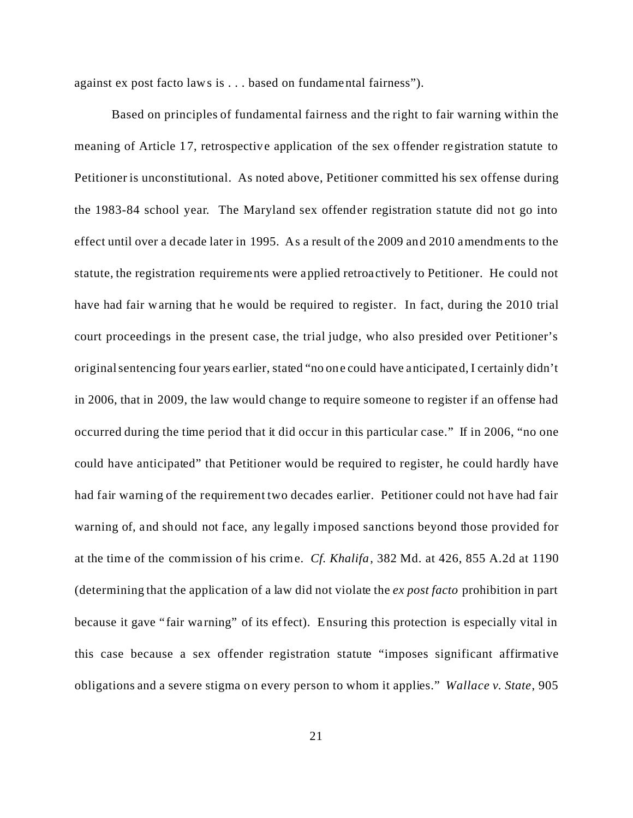against ex post facto laws is . . . based on fundamental fairness").

Based on principles of fundamental fairness and the right to fair warning within the meaning of Article 17, retrospective application of the sex offender registration statute to Petitioner is unconstitutional. As noted above, Petitioner committed his sex offense during the 1983-84 school year. The Maryland sex offender registration statute did not go into effect until over a decade later in 1995. As a result of the 2009 and 2010 amendments to the statute, the registration requirements were applied retroactively to Petitioner. He could not have had fair warning that he would be required to register. In fact, during the 2010 trial court proceedings in the present case, the trial judge, who also presided over Petitioner's original sentencing four years earlier, stated "no one could have anticipated, I certainly didn't in 2006, that in 2009, the law would change to require someone to register if an offense had occurred during the time period that it did occur in this particular case." If in 2006, "no one could have anticipated" that Petitioner would be required to register, he could hardly have had fair warning of the requirement two decades earlier. Petitioner could not have had fair warning of, and should not face, any legally imposed sanctions beyond those provided for at the time of the commission of his crime. *Cf. Khalifa*, 382 Md. at 426, 855 A.2d at 1190 (determining that the application of a law did not violate the *ex post facto* prohibition in part because it gave "fair warning" of its effect). Ensuring this protection is especially vital in this case because a sex offender registration statute "imposes significant affirmative obligations and a severe stigma on every person to whom it applies." *Wallace v. State*, 905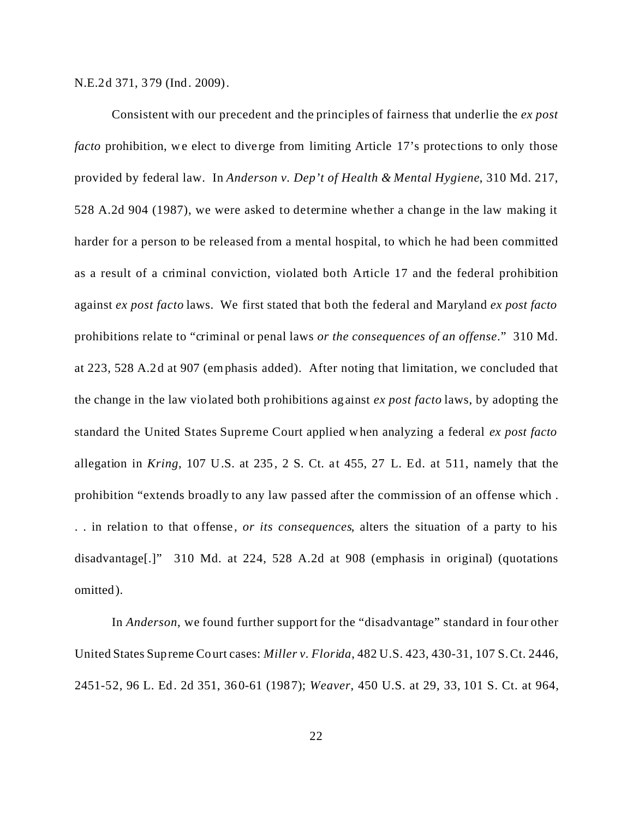N.E.2d 371, 379 (Ind. 2009).

Consistent with our precedent and the principles of fairness that underlie the *ex post facto* prohibition, we elect to diverge from limiting Article 17's protections to only those provided by federal law. In *Anderson v. Dep't of Health & Mental Hygiene*, 310 Md. 217, 528 A.2d 904 (1987), we were asked to determine whether a change in the law making it harder for a person to be released from a mental hospital, to which he had been committed as a result of a criminal conviction, violated both Article 17 and the federal prohibition against *ex post facto* laws. We first stated that both the federal and Maryland *ex post facto* prohibitions relate to "criminal or penal laws *or the consequences of an offense*." 310 Md. at 223, 528 A.2d at 907 (emphasis added). After noting that limitation, we concluded that the change in the law violated both prohibitions against *ex post facto* laws, by adopting the standard the United States Supreme Court applied when analyzing a federal *ex post facto* allegation in *Kring*, 107 U.S. at 235, 2 S. Ct. at 455, 27 L. Ed. at 511, namely that the prohibition "extends broadly to any law passed after the commission of an offense which . . . in relation to that offense, *or its consequences*, alters the situation of a party to his disadvantage[.]" 310 Md. at 224, 528 A.2d at 908 (emphasis in original) (quotations omitted).

In *Anderson*, we found further support for the "disadvantage" standard in four other United States Supreme Court cases: *Miller v. Florida*, 482 U.S. 423, 430-31, 107 S. Ct. 2446, 2451-52, 96 L. Ed. 2d 351, 360-61 (1987); *Weaver*, 450 U.S. at 29, 33, 101 S. Ct. at 964,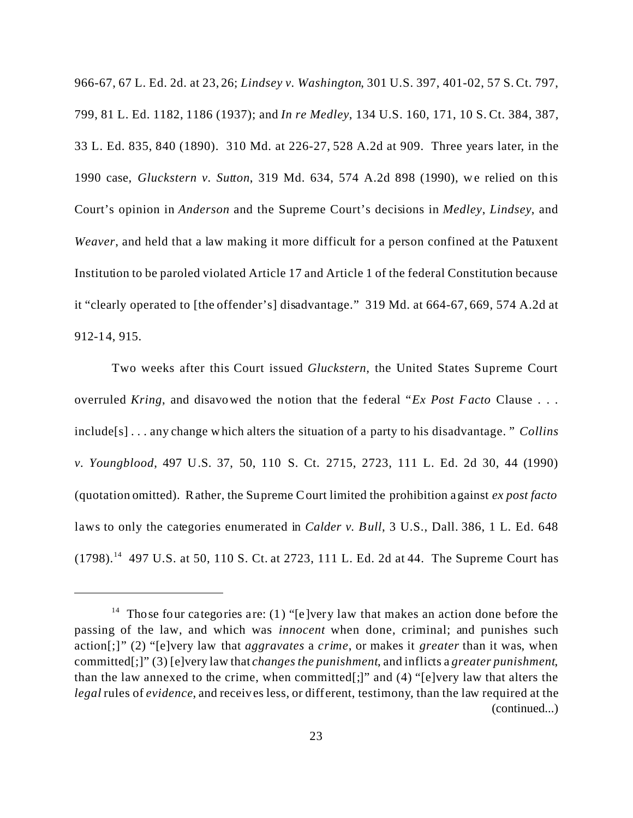966-67, 67 L. Ed. 2d. at 23, 26; *Lindsey v. Washington*, 301 U.S. 397, 401-02, 57 S. Ct. 797, 799, 81 L. Ed. 1182, 1186 (1937); and *In re Medley*, 134 U.S. 160, 171, 10 S. Ct. 384, 387, 33 L. Ed. 835, 840 (1890). 310 Md. at 226-27, 528 A.2d at 909. Three years later, in the 1990 case, *Gluckstern v. Sutton*, 319 Md. 634, 574 A.2d 898 (1990), we relied on this Court's opinion in *Anderson* and the Supreme Court's decisions in *Medley*, *Lindsey*, and *Weaver*, and held that a law making it more difficult for a person confined at the Patuxent Institution to be paroled violated Article 17 and Article 1 of the federal Constitution because it "clearly operated to [the offender's] disadvantage." 319 Md. at 664-67, 669, 574 A.2d at 912-14, 915.

Two weeks after this Court issued *Gluckstern*, the United States Supreme Court overruled *Kring*, and disavowed the notion that the federal "*Ex Post Facto* Clause . . . include[s] . . . any change which alters the situation of a party to his disadvantage. " *Collins v. Youngblood*, 497 U.S. 37, 50, 110 S. Ct. 2715, 2723, 111 L. Ed. 2d 30, 44 (1990) (quotation omitted). Rather, the Supreme Court limited the prohibition against *ex post facto* laws to only the categories enumerated in *Calder v. Bull*, 3 U.S., Dall. 386, 1 L. Ed. 648 (1798).<sup>14</sup> 497 U.S. at 50, 110 S. Ct. at 2723, 111 L. Ed. 2d at 44. The Supreme Court has

<sup>&</sup>lt;sup>14</sup> Those four categories are: (1) "[e]very law that makes an action done before the passing of the law, and which was *innocent* when done, criminal; and punishes such action[;]" (2) "[e]very law that *aggravates* a *crime*, or makes it *greater* than it was, when committed[;]" (3) [e]very law that *changes the punishment*, and inflicts a *greater punishment*, than the law annexed to the crime, when committed[;]" and (4) "[e]very law that alters the *legal* rules of *evidence*, and receives less, or different, testimony, than the law required at the (continued...)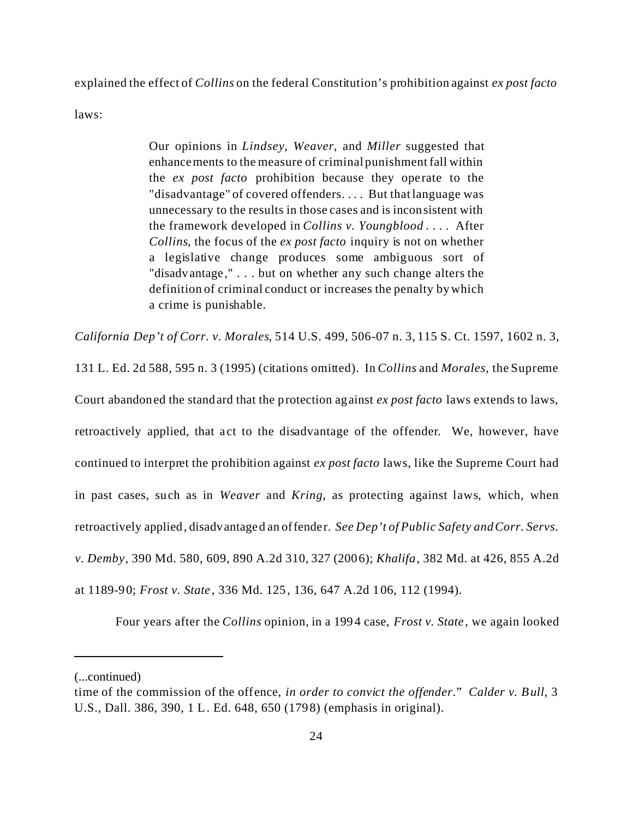explained the effect of *Collins* on the federal Constitution's prohibition against *ex post facto*

laws:

Our opinions in *Lindsey, Weaver*, and *Miller* suggested that enhancements to the measure of criminal punishment fall within the *ex post facto* prohibition because they operate to the "disadvantage" of covered offenders. . . . But that language was unnecessary to the results in those cases and is inconsistent with the framework developed in *Collins v. Youngblood* . . . . After *Collins*, the focus of the *ex post facto* inquiry is not on whether a legislative change produces some ambiguous sort of "disadvantage," . . . but on whether any such change alters the definition of criminal conduct or increases the penalty by which a crime is punishable.

*California Dep't of Corr. v. Morales*, 514 U.S. 499, 506-07 n. 3, 115 S. Ct. 1597, 1602 n. 3,

131 L. Ed. 2d 588, 595 n. 3 (1995) (citations omitted). In *Collins* and *Morales*, the Supreme Court abandoned the standard that the protection against *ex post facto* laws extends to laws, retroactively applied, that act to the disadvantage of the offender. We, however, have continued to interpret the prohibition against *ex post facto* laws, like the Supreme Court had in past cases, such as in *Weaver* and *Kring*, as protecting against laws, which, when retroactively applied, disadvantaged an offender. *See Dep't of Public Safety and Corr. Servs. v. Demby*, 390 Md. 580, 609, 890 A.2d 310, 327 (2006); *Khalifa*, 382 Md. at 426, 855 A.2d at 1189-90; *Frost v. State* , 336 Md. 125, 136, 647 A.2d 106, 112 (1994).

Four years after the *Collins* opinion, in a 1994 case, *Frost v. State* , we again looked

<sup>(...</sup>continued)

time of the commission of the offence, *in order to convict the offender*." *Calder v. Bull*, 3 U.S., Dall. 386, 390, 1 L. Ed. 648, 650 (1798) (emphasis in original).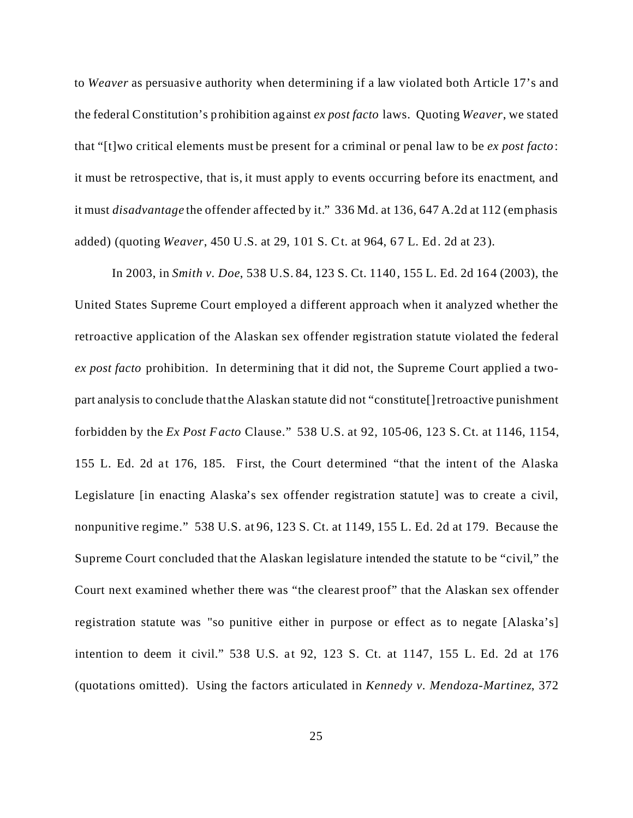to *Weaver* as persuasive authority when determining if a law violated both Article 17's and the federal Constitution's prohibition against *ex post facto* laws. Quoting *Weaver*, we stated that "[t]wo critical elements must be present for a criminal or penal law to be *ex post facto*: it must be retrospective, that is, it must apply to events occurring before its enactment, and it must *disadvantage* the offender affected by it." 336 Md. at 136, 647 A.2d at 112 (emphasis added) (quoting *Weaver*, 450 U.S. at 29, 101 S. Ct. at 964, 67 L. Ed. 2d at 23).

In 2003, in *Smith v. Doe*, 538 U.S. 84, 123 S. Ct. 1140, 155 L. Ed. 2d 164 (2003), the United States Supreme Court employed a different approach when it analyzed whether the retroactive application of the Alaskan sex offender registration statute violated the federal *ex post facto* prohibition. In determining that it did not, the Supreme Court applied a twopart analysis to conclude that the Alaskan statute did not "constitute[] retroactive punishment forbidden by the *Ex Post Facto* Clause." 538 U.S. at 92, 105-06, 123 S. Ct. at 1146, 1154, 155 L. Ed. 2d at 176, 185. First, the Court determined "that the intent of the Alaska Legislature [in enacting Alaska's sex offender registration statute] was to create a civil, nonpunitive regime." 538 U.S. at 96, 123 S. Ct. at 1149, 155 L. Ed. 2d at 179. Because the Supreme Court concluded that the Alaskan legislature intended the statute to be "civil," the Court next examined whether there was "the clearest proof" that the Alaskan sex offender registration statute was "so punitive either in purpose or effect as to negate [Alaska's] intention to deem it civil." 538 U.S. at 92, 123 S. Ct. at 1147, 155 L. Ed. 2d at 176 (quotations omitted). Using the factors articulated in *Kennedy v. Mendoza-Martinez*, 372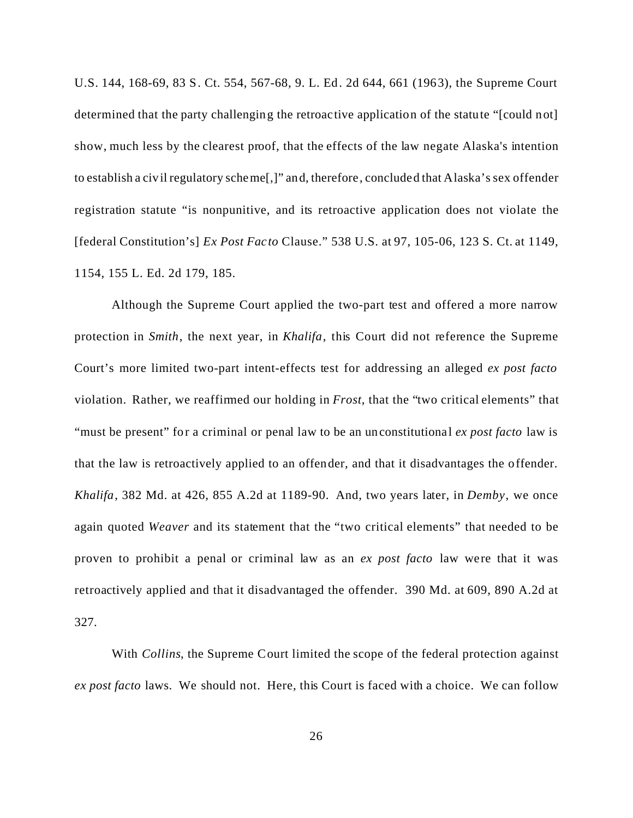U.S. 144, 168-69, 83 S. Ct. 554, 567-68, 9. L. Ed. 2d 644, 661 (1963), the Supreme Court determined that the party challenging the retroactive application of the statute "[could not] show, much less by the clearest proof, that the effects of the law negate Alaska's intention to establish a civil regulatory scheme[,]" and, therefore, concluded that Alaska's sex offender registration statute "is nonpunitive, and its retroactive application does not violate the [federal Constitution's] *Ex Post Facto* Clause." 538 U.S. at 97, 105-06, 123 S. Ct. at 1149, 1154, 155 L. Ed. 2d 179, 185.

Although the Supreme Court applied the two-part test and offered a more narrow protection in *Smith*, the next year, in *Khalifa*, this Court did not reference the Supreme Court's more limited two-part intent-effects test for addressing an alleged *ex post facto* violation. Rather, we reaffirmed our holding in *Frost*, that the "two critical elements" that "must be present" for a criminal or penal law to be an unconstitutional *ex post facto* law is that the law is retroactively applied to an offender, and that it disadvantages the offender. *Khalifa*, 382 Md. at 426, 855 A.2d at 1189-90. And, two years later, in *Demby*, we once again quoted *Weaver* and its statement that the "two critical elements" that needed to be proven to prohibit a penal or criminal law as an *ex post facto* law were that it was retroactively applied and that it disadvantaged the offender. 390 Md. at 609, 890 A.2d at 327.

With *Collins*, the Supreme Court limited the scope of the federal protection against *ex post facto* laws. We should not. Here, this Court is faced with a choice. We can follow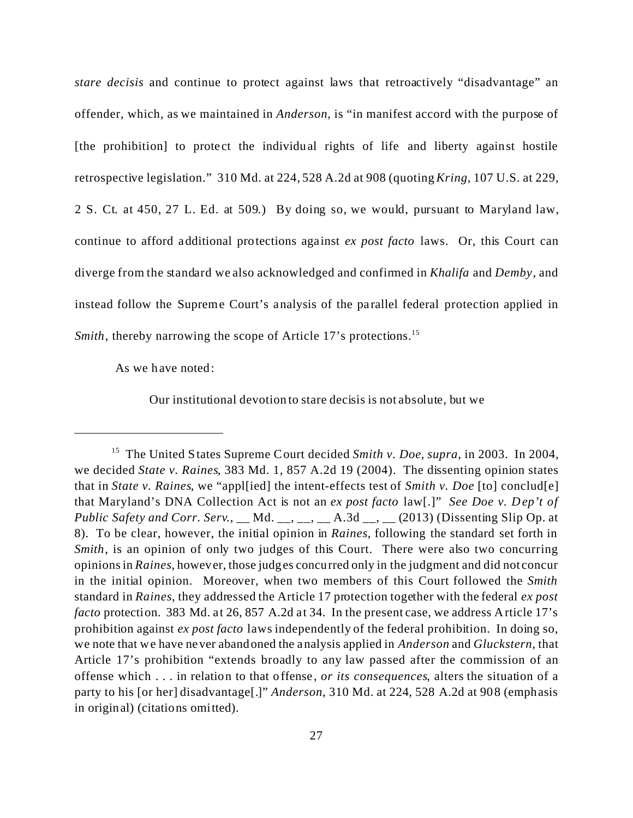*stare decisis* and continue to protect against laws that retroactively "disadvantage" an offender, which, as we maintained in *Anderson*, is "in manifest accord with the purpose of [the prohibition] to protect the individual rights of life and liberty against hostile retrospective legislation." 310 Md. at 224, 528 A.2d at 908 (quoting *Kring*, 107 U.S. at 229, 2 S. Ct. at 450, 27 L. Ed. at 509.) By doing so, we would, pursuant to Maryland law, continue to afford additional protections against *ex post facto* laws. Or, this Court can diverge from the standard we also acknowledged and confirmed in *Khalifa* and *Demby*, and instead follow the Supreme Court's analysis of the parallel federal protection applied in *Smith*, thereby narrowing the scope of Article 17's protections.<sup>15</sup>

As we have noted:

Our institutional devotion to stare decisis is not absolute, but we

<sup>15</sup> The United States Supreme Court decided *Smith v. Doe*, *supra*, in 2003. In 2004, we decided *State v. Raines*, 383 Md. 1, 857 A.2d 19 (2004). The dissenting opinion states that in *State v. Raines*, we "appl[ied] the intent-effects test of *Smith v. Doe* [to] conclud[e] that Maryland's DNA Collection Act is not an *ex post facto* law[.]" *See Doe v. Dep't of Public Safety and Corr. Serv.*, \_\_ Md. \_\_, \_\_, \_\_, A.3d \_\_, \_\_ (2013) (Dissenting Slip Op. at 8). To be clear, however, the initial opinion in *Raines*, following the standard set forth in *Smith*, is an opinion of only two judges of this Court. There were also two concurring opinions in *Raines*, however, those judges concurred only in the judgment and did not concur in the initial opinion. Moreover, when two members of this Court followed the *Smith* standard in *Raines*, they addressed the Article 17 protection together with the federal *ex post facto* protection. 383 Md. at 26, 857 A.2d at 34. In the present case, we address Article 17's prohibition against *ex post facto* laws independently of the federal prohibition. In doing so, we note that we have never abandoned the analysis applied in *Anderson* and *Gluckstern*, that Article 17's prohibition "extends broadly to any law passed after the commission of an offense which . . . in relation to that offense, *or its consequences*, alters the situation of a party to his [or her] disadvantage[.]" *Anderson*, 310 Md. at 224, 528 A.2d at 908 (emphasis in original) (citations omitted).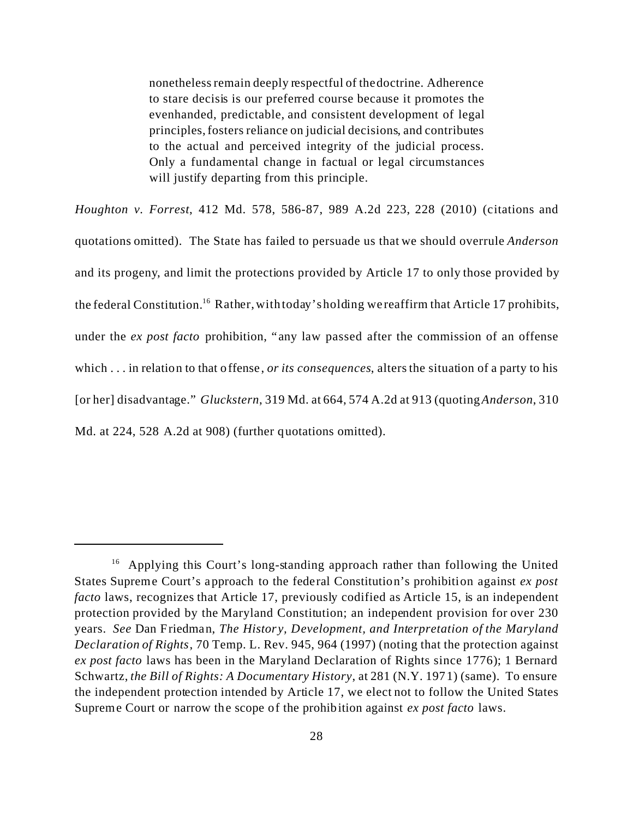nonetheless remain deeply respectful of the doctrine. Adherence to stare decisis is our preferred course because it promotes the evenhanded, predictable, and consistent development of legal principles, fosters reliance on judicial decisions, and contributes to the actual and perceived integrity of the judicial process. Only a fundamental change in factual or legal circumstances will justify departing from this principle.

*Houghton v. Forrest*, 412 Md. 578, 586-87, 989 A.2d 223, 228 (2010) (citations and quotations omitted). The State has failed to persuade us that we should overrule *Anderson* and its progeny, and limit the protections provided by Article 17 to only those provided by the federal Constitution.<sup>16</sup> Rather, with today's holding we reaffirm that Article 17 prohibits, under the *ex post facto* prohibition, "any law passed after the commission of an offense which . . . in relation to that offense, *or its consequences*, alters the situation of a party to his [or her] disadvantage." *Gluckstern*, 319 Md. at 664, 574 A.2d at 913 (quoting *Anderson*, 310 Md. at 224, 528 A.2d at 908) (further quotations omitted).

<sup>&</sup>lt;sup>16</sup> Applying this Court's long-standing approach rather than following the United States Supreme Court's approach to the federal Constitution's prohibition against *ex post facto* laws, recognizes that Article 17, previously codified as Article 15, is an independent protection provided by the Maryland Constitution; an independent provision for over 230 years. *See* Dan Friedman, *The History, Development, and Interpretation of the Maryland Declaration of Rights*, 70 Temp. L. Rev. 945, 964 (1997) (noting that the protection against *ex post facto* laws has been in the Maryland Declaration of Rights since 1776); 1 Bernard Schwartz, *the Bill of Rights: A Documentary History*, at 281 (N.Y. 1971) (same). To ensure the independent protection intended by Article 17, we elect not to follow the United States Supreme Court or narrow the scope of the prohibition against *ex post facto* laws.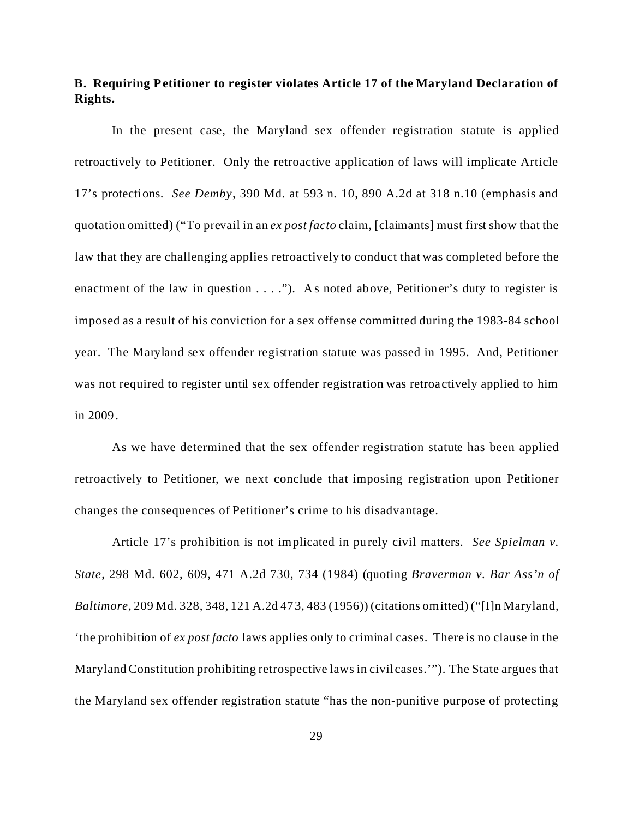# **B. Requiring Petitioner to register violates Article 17 of the Maryland Declaration of Rights.**

In the present case, the Maryland sex offender registration statute is applied retroactively to Petitioner. Only the retroactive application of laws will implicate Article 17's protections. *See Demby*, 390 Md. at 593 n. 10, 890 A.2d at 318 n.10 (emphasis and quotation omitted) ("To prevail in an *ex post facto* claim, [claimants] must first show that the law that they are challenging applies retroactively to conduct that was completed before the enactment of the law in question  $\dots$ ."). As noted above, Petitioner's duty to register is imposed as a result of his conviction for a sex offense committed during the 1983-84 school year. The Maryland sex offender registration statute was passed in 1995. And, Petitioner was not required to register until sex offender registration was retroactively applied to him in 2009.

As we have determined that the sex offender registration statute has been applied retroactively to Petitioner, we next conclude that imposing registration upon Petitioner changes the consequences of Petitioner's crime to his disadvantage.

Article 17's prohibition is not implicated in purely civil matters. *See Spielman v. State*, 298 Md. 602, 609, 471 A.2d 730, 734 (1984) (quoting *Braverman v. Bar Ass'n of Baltimore*, 209 Md. 328, 348, 121 A.2d 473, 483 (1956)) (citations omitted) ("[I]n Maryland, 'the prohibition of *ex post facto* laws applies only to criminal cases. There is no clause in the Maryland Constitution prohibiting retrospective laws in civil cases.'"). The State argues that the Maryland sex offender registration statute "has the non-punitive purpose of protecting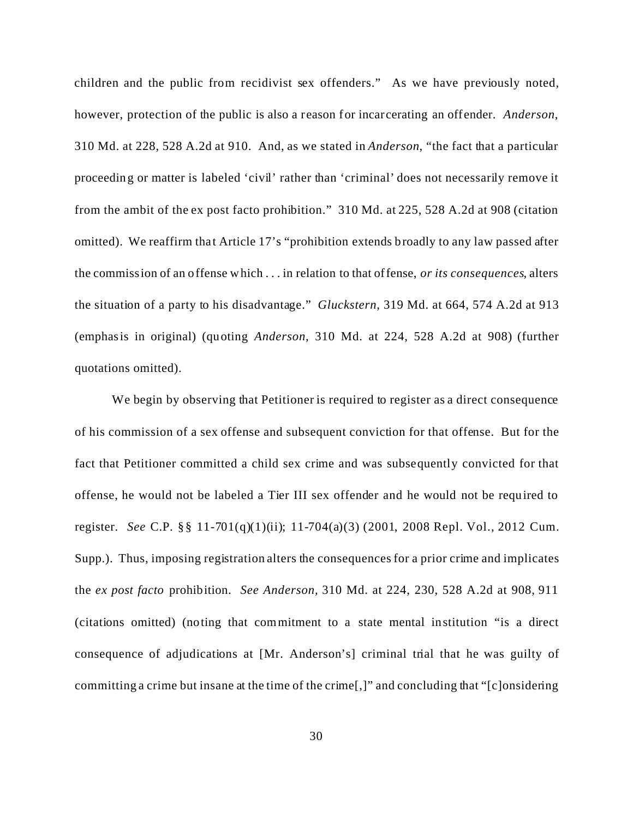children and the public from recidivist sex offenders." As we have previously noted, however, protection of the public is also a reason for incarcerating an offender. *Anderson*, 310 Md. at 228, 528 A.2d at 910. And, as we stated in *Anderson*, "the fact that a particular proceeding or matter is labeled 'civil' rather than 'criminal' does not necessarily remove it from the ambit of the ex post facto prohibition." 310 Md. at 225, 528 A.2d at 908 (citation omitted). We reaffirm that Article 17's "prohibition extends broadly to any law passed after the commission of an offense which . . . in relation to that offense, *or its consequences*, alters the situation of a party to his disadvantage." *Gluckstern*, 319 Md. at 664, 574 A.2d at 913 (emphasis in original) (quoting *Anderson*, 310 Md. at 224, 528 A.2d at 908) (further quotations omitted).

We begin by observing that Petitioner is required to register as a direct consequence of his commission of a sex offense and subsequent conviction for that offense. But for the fact that Petitioner committed a child sex crime and was subsequently convicted for that offense, he would not be labeled a Tier III sex offender and he would not be required to register. *See* C.P. §§ 11-701(q)(1)(ii); 11-704(a)(3) (2001, 2008 Repl. Vol., 2012 Cum. Supp.). Thus, imposing registration alters the consequences for a prior crime and implicates the *ex post facto* prohibition. *See Anderson,* 310 Md. at 224, 230, 528 A.2d at 908, 911 (citations omitted) (noting that commitment to a state mental institution "is a direct consequence of adjudications at [Mr. Anderson's] criminal trial that he was guilty of committing a crime but insane at the time of the crime[,]" and concluding that "[c]onsidering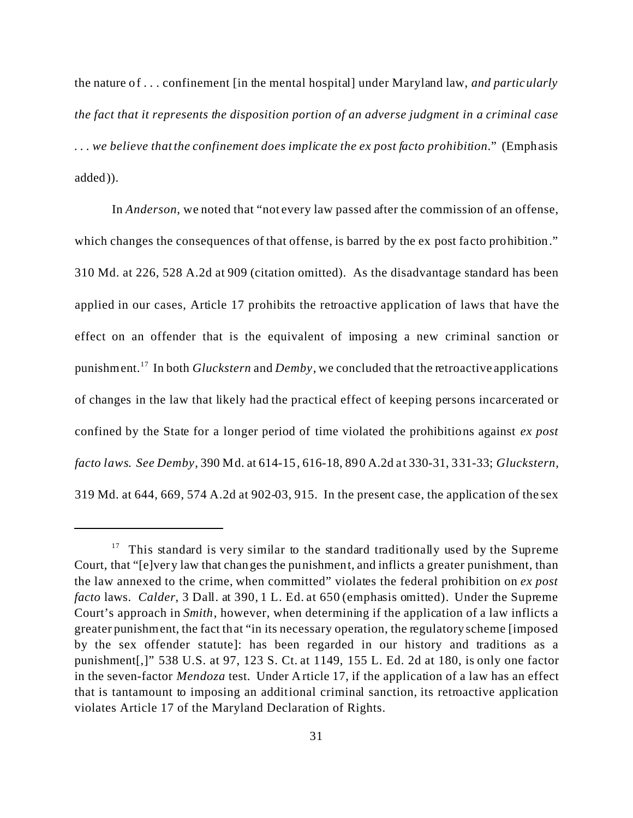the nature of . . . confinement [in the mental hospital] under Maryland law, *and particularly the fact that it represents the disposition portion of an adverse judgment in a criminal case . . . we believe that the confinement does implicate the ex post facto prohibition*." (Emphasis added)).

In *Anderson*, we noted that "not every law passed after the commission of an offense, which changes the consequences of that offense, is barred by the ex post facto prohibition." 310 Md. at 226, 528 A.2d at 909 (citation omitted). As the disadvantage standard has been applied in our cases, Article 17 prohibits the retroactive application of laws that have the effect on an offender that is the equivalent of imposing a new criminal sanction or punishment.<sup>17</sup> In both *Gluckstern* and *Demby*, we concluded that the retroactive applications of changes in the law that likely had the practical effect of keeping persons incarcerated or confined by the State for a longer period of time violated the prohibitions against *ex post facto laws*. *See Demby*, 390 Md. at 614-15, 616-18, 890 A.2d at 330-31, 331-33; *Gluckstern,* 319 Md. at 644, 669, 574 A.2d at 902-03, 915. In the present case, the application of the sex

 $17$  This standard is very similar to the standard traditionally used by the Supreme Court, that "[e]very law that changes the punishment, and inflicts a greater punishment, than the law annexed to the crime, when committed" violates the federal prohibition on *ex post facto* laws. *Calder*, 3 Dall. at 390, 1 L. Ed. at 650 (emphasis omitted). Under the Supreme Court's approach in *Smith*, however, when determining if the application of a law inflicts a greater punishment, the fact that "in its necessary operation, the regulatory scheme [imposed by the sex offender statute]: has been regarded in our history and traditions as a punishment[,]" 538 U.S. at 97, 123 S. Ct. at 1149, 155 L. Ed. 2d at 180, is only one factor in the seven-factor *Mendoza* test. Under Article 17, if the application of a law has an effect that is tantamount to imposing an additional criminal sanction, its retroactive application violates Article 17 of the Maryland Declaration of Rights.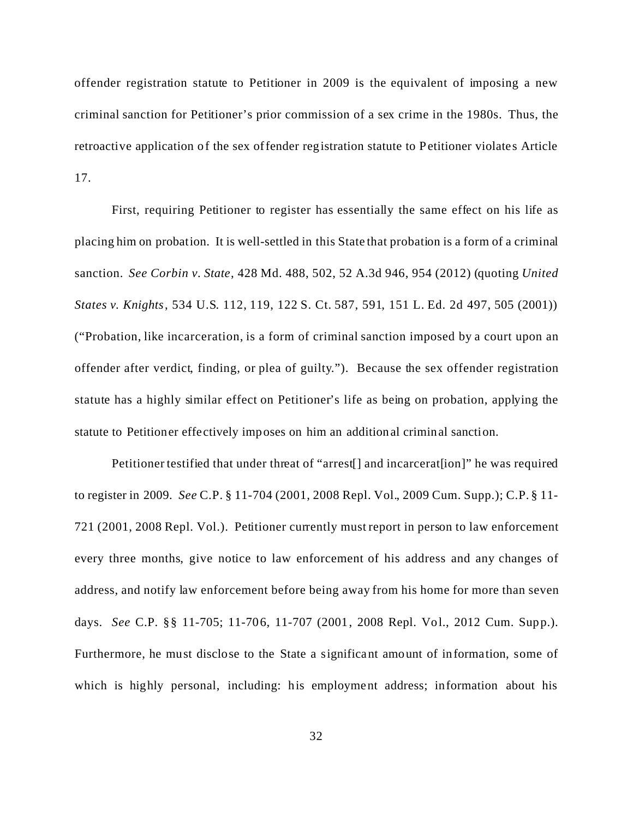offender registration statute to Petitioner in 2009 is the equivalent of imposing a new criminal sanction for Petitioner's prior commission of a sex crime in the 1980s. Thus, the retroactive application of the sex offender registration statute to Petitioner violates Article 17.

First, requiring Petitioner to register has essentially the same effect on his life as placing him on probation. It is well-settled in this State that probation is a form of a criminal sanction. *See Corbin v. State*, 428 Md. 488, 502, 52 A.3d 946, 954 (2012) (quoting *United States v. Knights*, 534 U.S. 112, 119, 122 S. Ct. 587, 591, 151 L. Ed. 2d 497, 505 (2001)) ("Probation, like incarceration, is a form of criminal sanction imposed by a court upon an offender after verdict, finding, or plea of guilty."). Because the sex offender registration statute has a highly similar effect on Petitioner's life as being on probation, applying the statute to Petitioner effectively imposes on him an additional criminal sanction.

Petitioner testified that under threat of "arrest[] and incarcerat[ion]" he was required to register in 2009. *See* C.P. § 11-704 (2001, 2008 Repl. Vol., 2009 Cum. Supp.); C.P. § 11- 721 (2001, 2008 Repl. Vol.). Petitioner currently must report in person to law enforcement every three months, give notice to law enforcement of his address and any changes of address, and notify law enforcement before being away from his home for more than seven days. *See* C.P. §§ 11-705; 11-706, 11-707 (2001, 2008 Repl. Vol., 2012 Cum. Supp.). Furthermore, he must disclose to the State a significant amount of information, some of which is highly personal, including: his employment address; information about his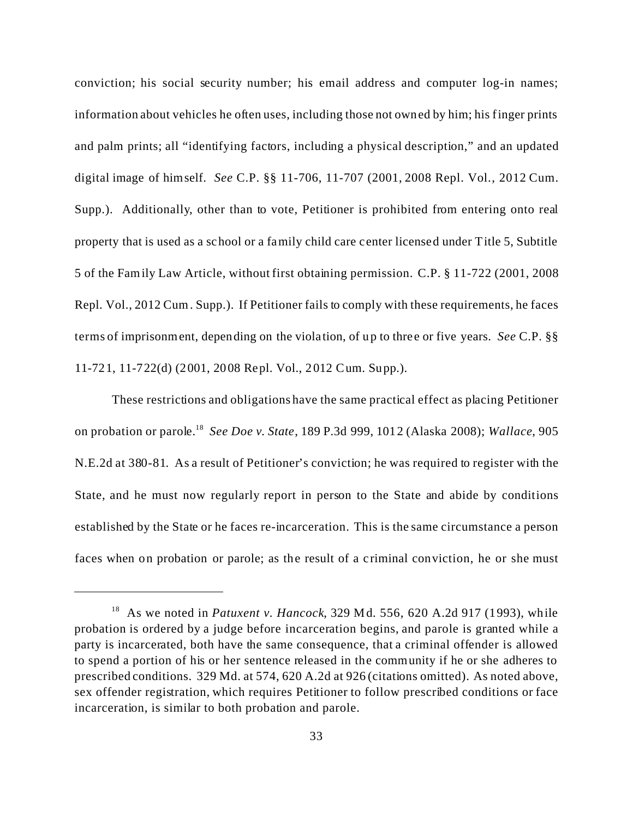conviction; his social security number; his email address and computer log-in names; information about vehicles he often uses, including those not owned by him; his finger prints and palm prints; all "identifying factors, including a physical description," and an updated digital image of himself. *See* C.P. §§ 11-706, 11-707 (2001, 2008 Repl. Vol., 2012 Cum. Supp.). Additionally, other than to vote, Petitioner is prohibited from entering onto real property that is used as a school or a family child care center licensed under Title 5, Subtitle 5 of the Family Law Article, without first obtaining permission. C.P. § 11-722 (2001, 2008 Repl. Vol., 2012 Cum. Supp.). If Petitioner fails to comply with these requirements, he faces terms of imprisonment, depending on the violation, of up to three or five years. *See* C.P. §§ 11-721, 11-722(d) (2001, 2008 Repl. Vol., 2012 Cum. Supp.).

These restrictions and obligations have the same practical effect as placing Petitioner on probation or parole.<sup>18</sup> *See Doe v. State*, 189 P.3d 999, 1012 (Alaska 2008); *Wallace*, 905 N.E.2d at 380-81. As a result of Petitioner's conviction; he was required to register with the State, and he must now regularly report in person to the State and abide by conditions established by the State or he faces re-incarceration. This is the same circumstance a person faces when on probation or parole; as the result of a criminal conviction, he or she must

<sup>18</sup> As we noted in *Patuxent v. Hancock*, 329 Md. 556, 620 A.2d 917 (1993), while probation is ordered by a judge before incarceration begins, and parole is granted while a party is incarcerated, both have the same consequence, that a criminal offender is allowed to spend a portion of his or her sentence released in the community if he or she adheres to prescribed conditions. 329 Md. at 574, 620 A.2d at 926 (citations omitted). As noted above, sex offender registration, which requires Petitioner to follow prescribed conditions or face incarceration, is similar to both probation and parole.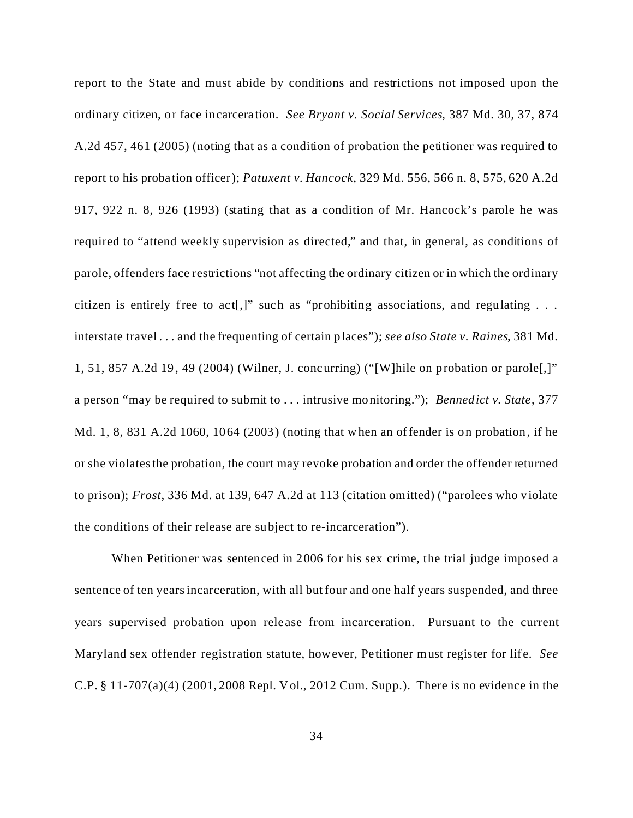report to the State and must abide by conditions and restrictions not imposed upon the ordinary citizen, or face incarceration. *See Bryant v. Social Services*, 387 Md. 30, 37, 874 A.2d 457, 461 (2005) (noting that as a condition of probation the petitioner was required to report to his probation officer); *Patuxent v. Hancock*, 329 Md. 556, 566 n. 8, 575, 620 A.2d 917, 922 n. 8, 926 (1993) (stating that as a condition of Mr. Hancock's parole he was required to "attend weekly supervision as directed," and that, in general, as conditions of parole, offenders face restrictions "not affecting the ordinary citizen or in which the ordinary citizen is entirely free to act[,]" such as "prohibiting associations, and regulating . . . interstate travel . . . and the frequenting of certain places"); *see also State v. Raines*, 381 Md. 1, 51, 857 A.2d 19, 49 (2004) (Wilner, J. concurring) ("[W]hile on probation or parole[,]" a person "may be required to submit to . . . intrusive monitoring."); *Bennedict v. State*, 377 Md. 1, 8, 831 A.2d 1060, 1064 (2003) (noting that when an offender is on probation, if he or she violates the probation, the court may revoke probation and order the offender returned to prison); *Frost*, 336 Md. at 139, 647 A.2d at 113 (citation omitted) ("parolees who violate the conditions of their release are subject to re-incarceration").

When Petitioner was sentenced in 2006 for his sex crime, the trial judge imposed a sentence of ten years incarceration, with all but four and one half years suspended, and three years supervised probation upon rele ase from incarceration. Pursuant to the current Maryland sex offender registration statute, however, Petitioner must register for life. *See* C.P. § 11-707(a)(4) (2001, 2008 Repl. Vol., 2012 Cum. Supp.). There is no evidence in the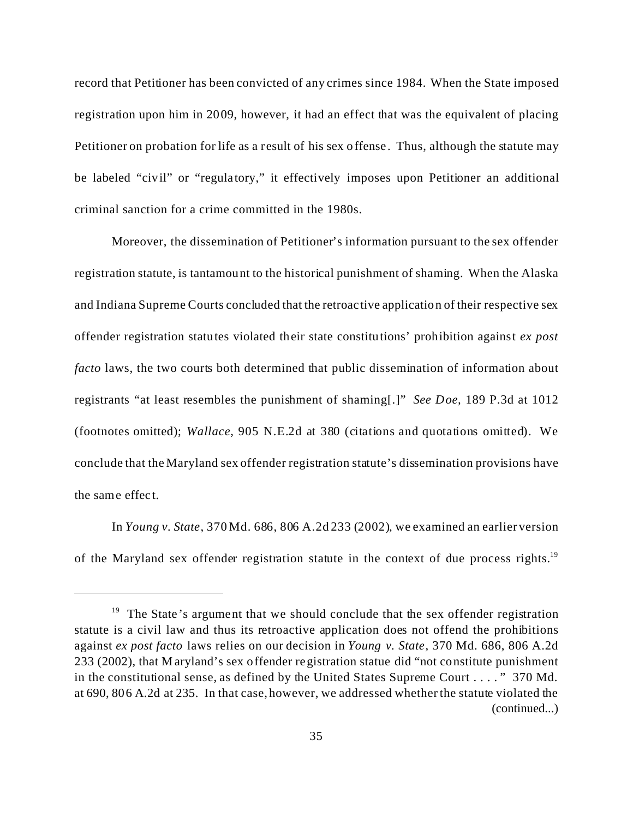record that Petitioner has been convicted of any crimes since 1984. When the State imposed registration upon him in 2009, however, it had an effect that was the equivalent of placing Petitioner on probation for life as a result of his sex offense. Thus, although the statute may be labeled "civil" or "regulatory," it effectively imposes upon Petitioner an additional criminal sanction for a crime committed in the 1980s.

Moreover, the dissemination of Petitioner's information pursuant to the sex offender registration statute, is tantamount to the historical punishment of shaming. When the Alaska and Indiana Supreme Courts concluded that the retroactive application of their respective sex offender registration statutes violated their state constitutions' prohibition against *ex post facto* laws, the two courts both determined that public dissemination of information about registrants "at least resembles the punishment of shaming[.]" *See Doe,* 189 P.3d at 1012 (footnotes omitted); *Wallace*, 905 N.E.2d at 380 (citations and quotations omitted). We conclude that the Maryland sex offender registration statute's dissemination provisions have the same effect.

In *Young v. State*, 370 Md. 686, 806 A.2d 233 (2002), we examined an earlier version of the Maryland sex offender registration statute in the context of due process rights.<sup>19</sup>

 $19$  The State's argument that we should conclude that the sex offender registration statute is a civil law and thus its retroactive application does not offend the prohibitions against *ex post facto* laws relies on our decision in *Young v. State*, 370 Md. 686, 806 A.2d 233 (2002), that M aryland's sex offender registration statue did "not constitute punishment in the constitutional sense, as defined by the United States Supreme Court . . . . " 370 Md. at 690, 806 A.2d at 235. In that case, however, we addressed whether the statute violated the (continued...)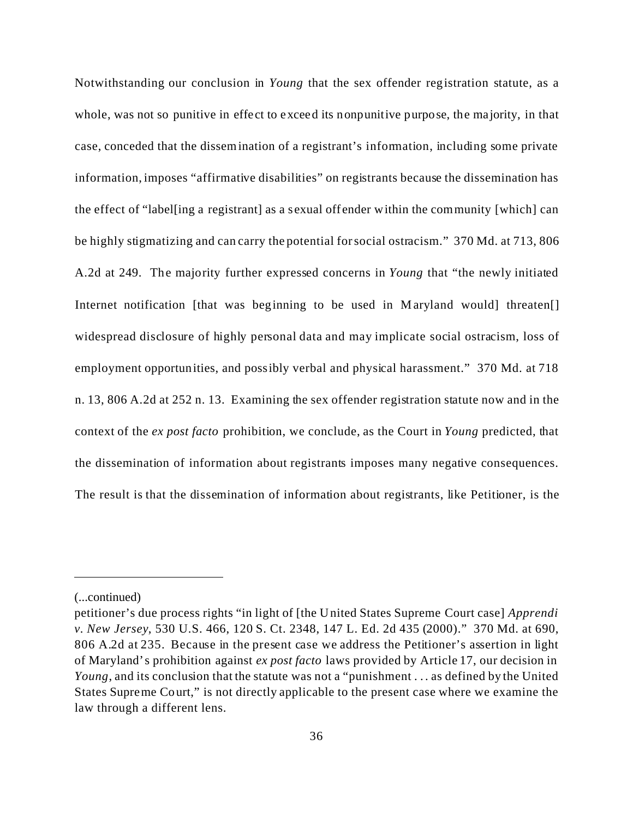Notwithstanding our conclusion in *Young* that the sex offender registration statute, as a whole, was not so punitive in effect to exceed its nonpunitive purpose, the majority, in that case, conceded that the dissemination of a registrant's information, including some private information, imposes "affirmative disabilities" on registrants because the dissemination has the effect of "label[ing a registrant] as a sexual offender within the community [which] can be highly stigmatizing and can carry the potential for social ostracism." 370 Md. at 713, 806 A.2d at 249. The majority further expressed concerns in *Young* that "the newly initiated Internet notification [that was beginning to be used in Maryland would] threaten[] widespread disclosure of highly personal data and may implicate social ostracism, loss of employment opportunities, and possibly verbal and physical harassment." 370 Md. at 718 n. 13, 806 A.2d at 252 n. 13. Examining the sex offender registration statute now and in the context of the *ex post facto* prohibition, we conclude, as the Court in *Young* predicted, that the dissemination of information about registrants imposes many negative consequences. The result is that the dissemination of information about registrants, like Petitioner, is the

<sup>(...</sup>continued)

petitioner's due process rights "in light of [the United States Supreme Court case] *Apprendi v. New Jersey*, 530 U.S. 466, 120 S. Ct. 2348, 147 L. Ed. 2d 435 (2000)." 370 Md. at 690, 806 A.2d at 235. Because in the present case we address the Petitioner's assertion in light of Maryland's prohibition against *ex post facto* laws provided by Article 17, our decision in *Young*, and its conclusion that the statute was not a "punishment . . . as defined by the United States Supreme Court," is not directly applicable to the present case where we examine the law through a different lens.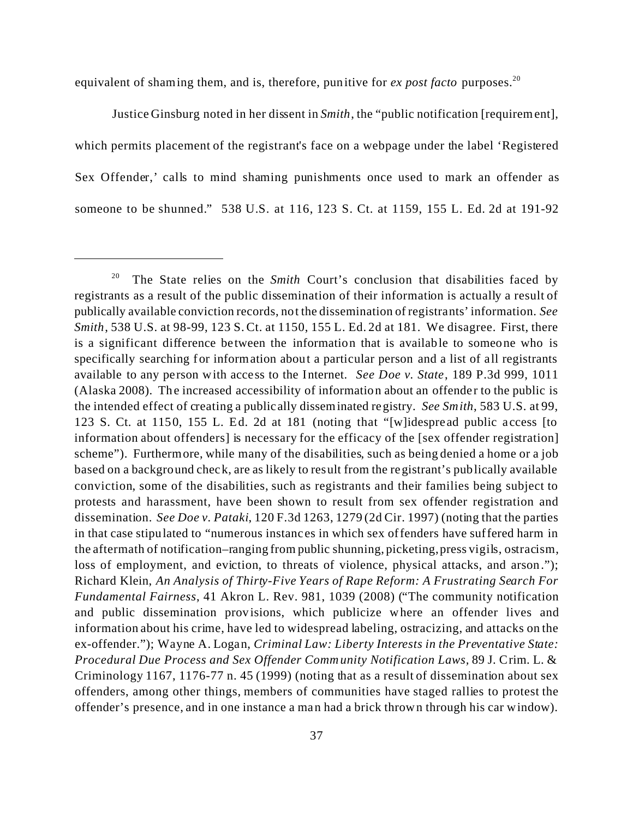equivalent of shaming them, and is, therefore, punitive for *ex post facto* purposes.<sup>20</sup>

Justice Ginsburg noted in her dissent in *Smith*, the "public notification [requirement], which permits placement of the registrant's face on a webpage under the label 'Registered Sex Offender,' calls to mind shaming punishments once used to mark an offender as someone to be shunned." 538 U.S. at 116, 123 S. Ct. at 1159, 155 L. Ed. 2d at 191-92

<sup>&</sup>lt;sup>20</sup> The State relies on the *Smith* Court's conclusion that disabilities faced by registrants as a result of the public dissemination of their information is actually a result of publically available conviction records, not the dissemination of registrants'information. *See Smith*, 538 U.S. at 98-99, 123 S. Ct. at 1150, 155 L. Ed. 2d at 181. We disagree. First, there is a significant difference between the information that is available to someone who is specifically searching for information about a particular person and a list of all registrants available to any person with access to the Internet. *See Doe v. State*, 189 P.3d 999, 1011 (Alaska 2008). The increased accessibility of information about an offender to the public is the intended effect of creating a publically disseminated registry. *See Smith*, 583 U.S. at 99, 123 S. Ct. at 1150, 155 L. Ed. 2d at 181 (noting that "[w]idespread public access [to information about offenders] is necessary for the efficacy of the [sex offender registration] scheme"). Furthermore, while many of the disabilities, such as being denied a home or a job based on a background check, are as likely to result from the registrant's publically available conviction, some of the disabilities, such as registrants and their families being subject to protests and harassment, have been shown to result from sex offender registration and dissemination. *See Doe v. Pataki*, 120 F.3d 1263, 1279 (2d Cir. 1997) (noting that the parties in that case stipulated to "numerous instances in which sex offenders have suffered harm in the aftermath of notification–ranging from public shunning, picketing, press vigils, ostracism, loss of employment, and eviction, to threats of violence, physical attacks, and arson."); Richard Klein, *An Analysis of Thirty-Five Years of Rape Reform: A Frustrating Search For Fundamental Fairness*, 41 Akron L. Rev. 981, 1039 (2008) ("The community notification and public dissemination provisions, which publicize where an offender lives and information about his crime, have led to widespread labeling, ostracizing, and attacks on the ex-offender."); Wayne A. Logan, *Criminal Law: Liberty Interests in the Preventative State: Procedural Due Process and Sex Offender Community Notification Laws,* 89 J. Crim. L. & Criminology 1167, 1176-77 n. 45 (1999) (noting that as a result of dissemination about sex offenders, among other things, members of communities have staged rallies to protest the offender's presence, and in one instance a man had a brick thrown through his car window).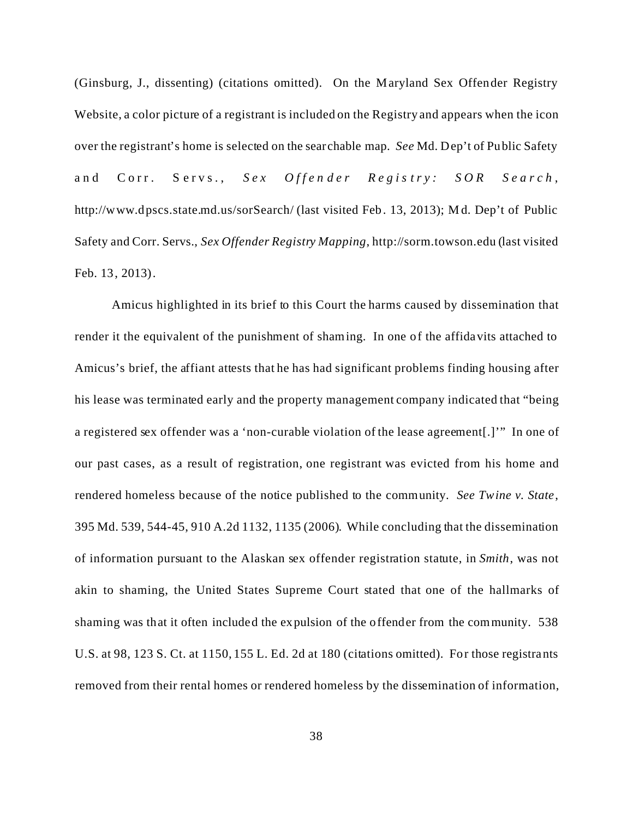(Ginsburg, J., dissenting) (citations omitted). On the Maryland Sex Offender Registry Website, a color picture of a registrant is included on the Registry and appears when the icon over the registrant's home is selected on the searchable map. *See* Md. Dep't of Public Safety and Corr. Servs., *Sex Offender Regis try: S OR Search* , http://www.dpscs.state.md.us/sorSearch/ (last visited Feb. 13, 2013); M d. Dep't of Public Safety and Corr. Servs., *Sex Offender Registry Mapping*, http://sorm.towson.edu (last visited Feb. 13, 2013).

Amicus highlighted in its brief to this Court the harms caused by dissemination that render it the equivalent of the punishment of shaming. In one of the affidavits attached to Amicus's brief, the affiant attests that he has had significant problems finding housing after his lease was terminated early and the property management company indicated that "being a registered sex offender was a 'non-curable violation of the lease agreement[.]'" In one of our past cases, as a result of registration, one registrant was evicted from his home and rendered homeless because of the notice published to the community. *See Twine v. State*, 395 Md. 539, 544-45, 910 A.2d 1132, 1135 (2006). While concluding that the dissemination of information pursuant to the Alaskan sex offender registration statute, in *Smith*, was not akin to shaming, the United States Supreme Court stated that one of the hallmarks of shaming was that it often included the expulsion of the offender from the community. 538 U.S. at 98, 123 S. Ct. at 1150, 155 L. Ed. 2d at 180 (citations omitted). For those registrants removed from their rental homes or rendered homeless by the dissemination of information,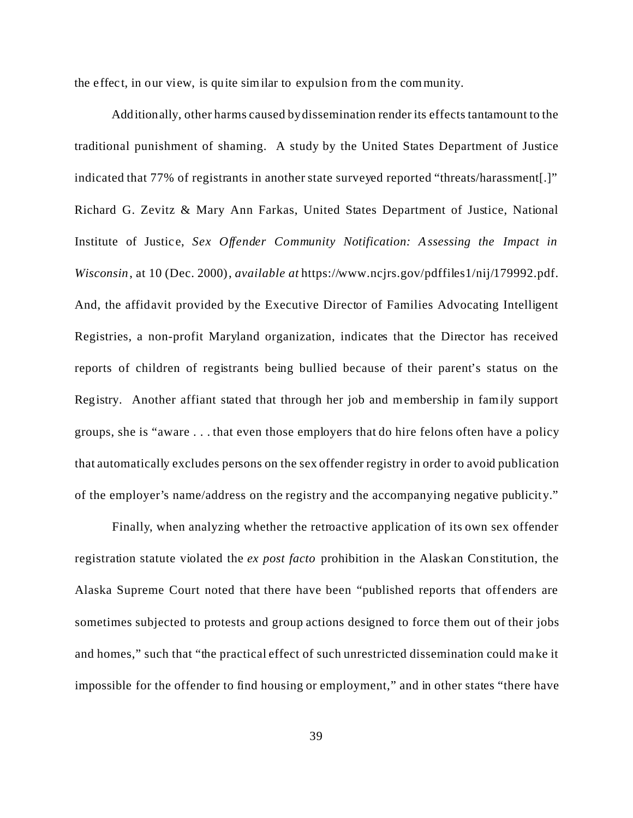the effect, in our view, is quite sim ilar to expulsion from the community.

Additionally, other harms caused by dissemination render its effects tantamount to the traditional punishment of shaming. A study by the United States Department of Justice indicated that 77% of registrants in another state surveyed reported "threats/harassment[.]" Richard G. Zevitz & Mary Ann Farkas, United States Department of Justice, National Institute of Justice, *Sex Offender Community Notification: Assessing the Impact in Wisconsin*, at 10 (Dec. 2000), *available at* https://www.ncjrs.gov/pdffiles1/nij/179992.pdf. And, the affidavit provided by the Executive Director of Families Advocating Intelligent Registries, a non-profit Maryland organization, indicates that the Director has received reports of children of registrants being bullied because of their parent's status on the Registry. Another affiant stated that through her job and membership in family support groups, she is "aware . . . that even those employers that do hire felons often have a policy that automatically excludes persons on the sex offender registry in order to avoid publication of the employer's name/address on the registry and the accompanying negative publicity."

Finally, when analyzing whether the retroactive application of its own sex offender registration statute violated the *ex post facto* prohibition in the Alaskan Constitution, the Alaska Supreme Court noted that there have been "published reports that offenders are sometimes subjected to protests and group actions designed to force them out of their jobs and homes," such that "the practical effect of such unrestricted dissemination could make it impossible for the offender to find housing or employment," and in other states "there have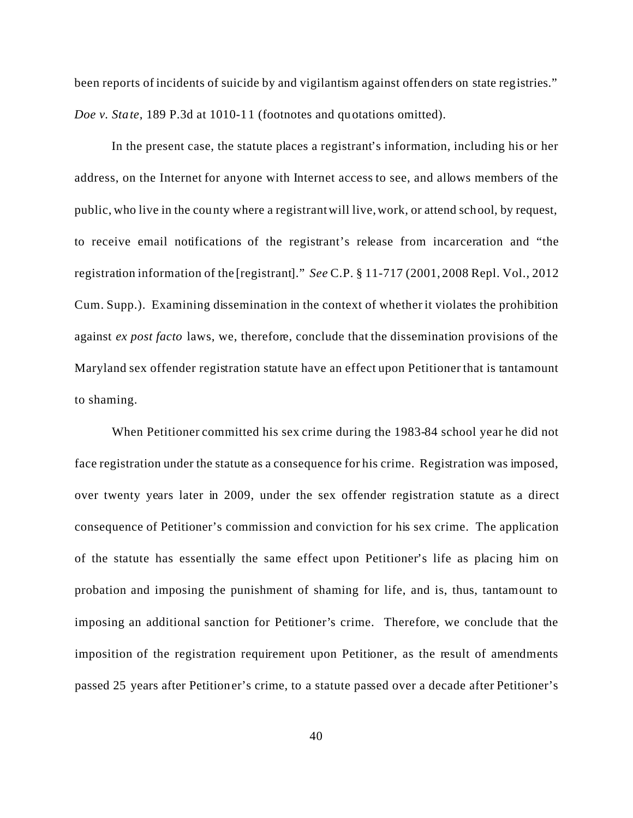been reports of incidents of suicide by and vigilantism against offenders on state registries." *Doe v. State*, 189 P.3d at 1010-11 (footnotes and quotations omitted).

In the present case, the statute places a registrant's information, including his or her address, on the Internet for anyone with Internet access to see, and allows members of the public, who live in the county where a registrant will live, work, or attend school, by request, to receive email notifications of the registrant's release from incarceration and "the registration information of the [registrant]." *See* C.P. § 11-717 (2001, 2008 Repl. Vol., 2012 Cum. Supp.). Examining dissemination in the context of whether it violates the prohibition against *ex post facto* laws, we, therefore, conclude that the dissemination provisions of the Maryland sex offender registration statute have an effect upon Petitioner that is tantamount to shaming.

When Petitioner committed his sex crime during the 1983-84 school year he did not face registration under the statute as a consequence for his crime. Registration was imposed, over twenty years later in 2009, under the sex offender registration statute as a direct consequence of Petitioner's commission and conviction for his sex crime. The application of the statute has essentially the same effect upon Petitioner's life as placing him on probation and imposing the punishment of shaming for life, and is, thus, tantamount to imposing an additional sanction for Petitioner's crime. Therefore, we conclude that the imposition of the registration requirement upon Petitioner, as the result of amendments passed 25 years after Petitioner's crime, to a statute passed over a decade after Petitioner's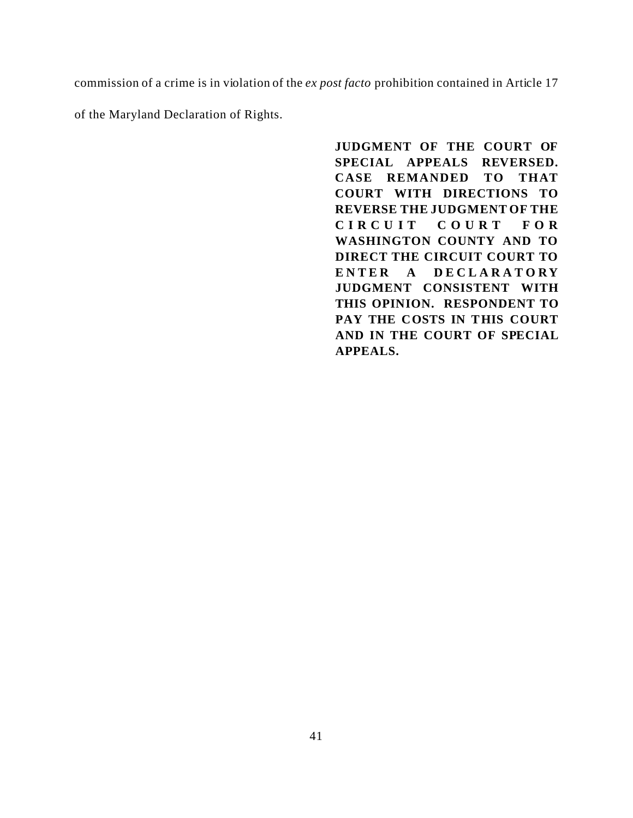commission of a crime is in violation of the *ex post facto* prohibition contained in Article 17

of the Maryland Declaration of Rights.

**JUDGMENT OF THE COURT OF SPECIAL APPEALS REVERSED. CASE REMANDED TO THAT COURT WITH DIRECTIONS TO REVERSE THE JUDGMENT OF THE CIRCUIT COUR T F O R WASHINGTON COUNTY AND TO DIRECT THE CIRCUIT COURT TO ENTER A DECLARATORY JUDGMENT CONSISTENT WITH THIS OPINION. RESPONDENT TO PAY THE COSTS IN THIS COURT AND IN THE COURT OF SPECIAL APPEALS.**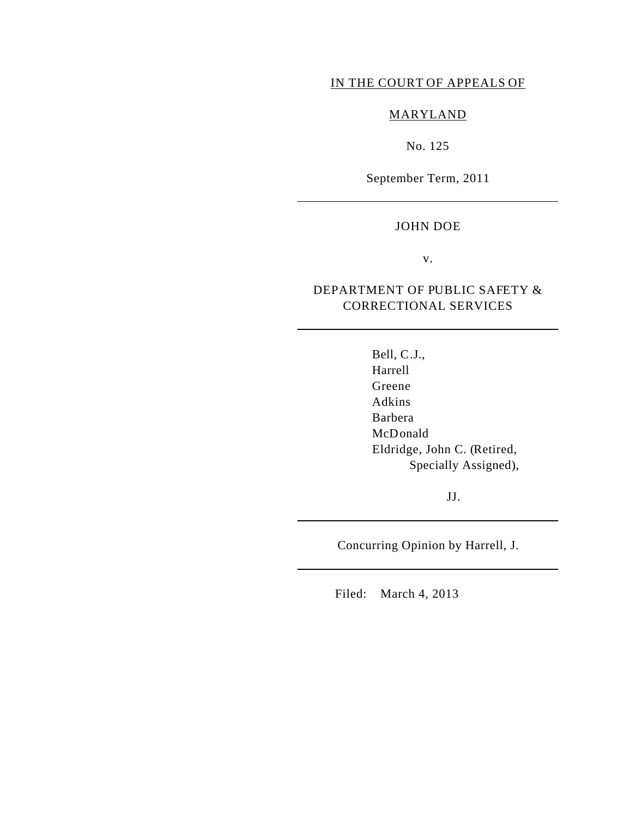#### IN THE COURT OF APPEALS OF

### MARYLAND

No. 125

September Term, 2011

#### JOHN DOE

v.

## DEPARTMENT OF PUBLIC SAFETY & CORRECTIONAL SERVICES

Bell, C.J., Harrell Greene Adkins Barbera McDonald Eldridge, John C. (Retired, Specially Assigned),

JJ.

Concurring Opinion by Harrell, J.

Filed: March 4, 2013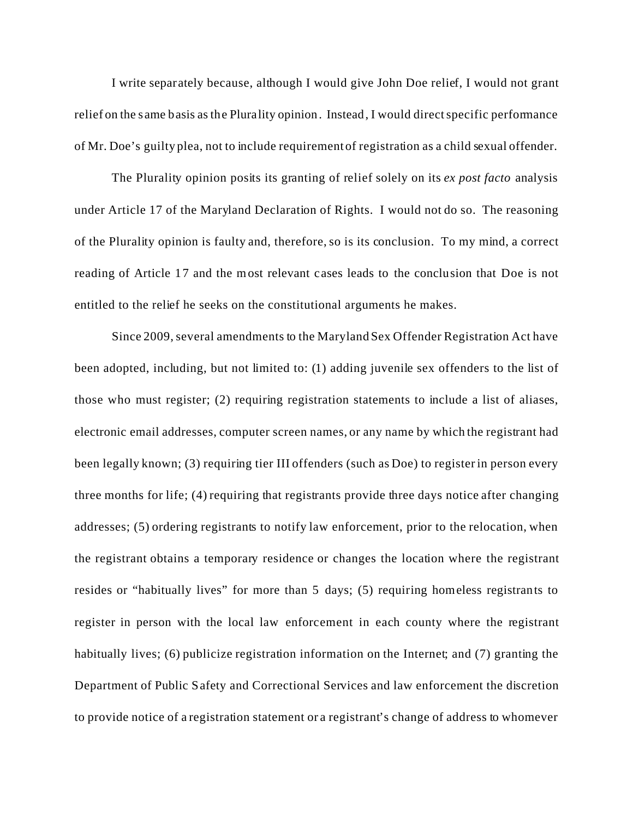I write separately because, although I would give John Doe relief, I would not grant relief on the same basis as the Plurality opinion. Instead, I would direct specific performance of Mr. Doe's guilty plea, not to include requirement of registration as a child sexual offender.

The Plurality opinion posits its granting of relief solely on its *ex post facto* analysis under Article 17 of the Maryland Declaration of Rights. I would not do so. The reasoning of the Plurality opinion is faulty and, therefore, so is its conclusion. To my mind, a correct reading of Article 17 and the most relevant cases leads to the conclusion that Doe is not entitled to the relief he seeks on the constitutional arguments he makes.

Since 2009, several amendments to the Maryland Sex Offender Registration Act have been adopted, including, but not limited to: (1) adding juvenile sex offenders to the list of those who must register; (2) requiring registration statements to include a list of aliases, electronic email addresses, computer screen names, or any name by which the registrant had been legally known; (3) requiring tier III offenders (such as Doe) to register in person every three months for life; (4) requiring that registrants provide three days notice after changing addresses; (5) ordering registrants to notify law enforcement, prior to the relocation, when the registrant obtains a temporary residence or changes the location where the registrant resides or "habitually lives" for more than 5 days; (5) requiring homeless registrants to register in person with the local law enforcement in each county where the registrant habitually lives; (6) publicize registration information on the Internet; and (7) granting the Department of Public Safety and Correctional Services and law enforcement the discretion to provide notice of a registration statement or a registrant's change of address to whomever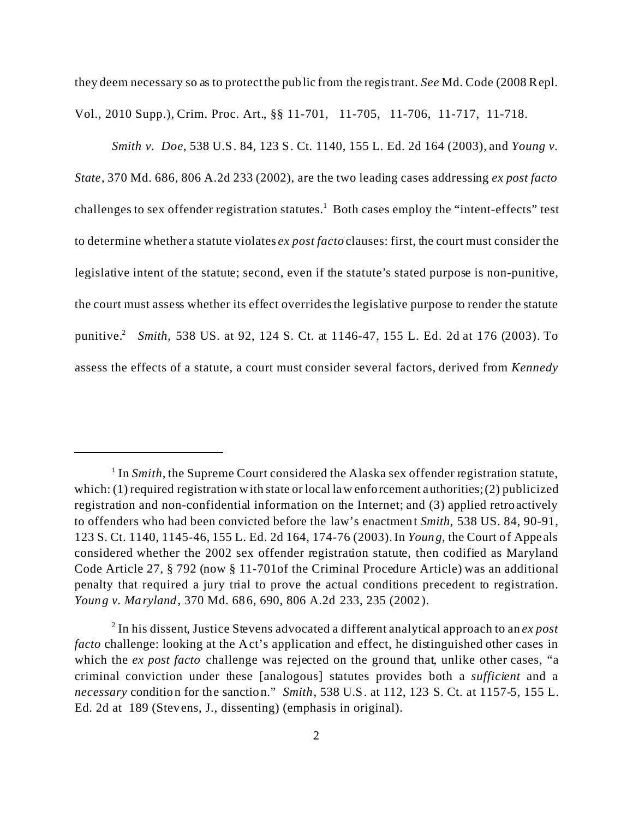they deem necessary so as to protect the public from the registrant. *See* Md. Code (2008 Repl. Vol., 2010 Supp.), Crim. Proc. Art., §§ 11-701, 11-705, 11-706, 11-717, 11-718.

*Smith v. Doe*, 538 U.S. 84, 123 S. Ct. 1140, 155 L. Ed. 2d 164 (2003), and *Young v. State*, 370 Md. 686, 806 A.2d 233 (2002), are the two leading cases addressing *ex post facto* challenges to sex offender registration statutes.<sup>1</sup> Both cases employ the "intent-effects" test to determine whether a statute violates *ex post facto* clauses: first, the court must consider the legislative intent of the statute; second, even if the statute's stated purpose is non-punitive, the court must assess whether its effect overrides the legislative purpose to render the statute punitive.<sup>2</sup> *Smith,* 538 US. at 92, 124 S. Ct. at 1146-47, 155 L. Ed. 2d at 176 (2003). To assess the effects of a statute, a court must consider several factors, derived from *Kennedy*

<sup>&</sup>lt;sup>1</sup> In *Smith*, the Supreme Court considered the Alaska sex offender registration statute, which: (1) required registration with state or local law enforcement authorities; (2) publicized registration and non-confidential information on the Internet; and (3) applied retroactively to offenders who had been convicted before the law's enactment *Smith,* 538 US. 84, 90-91, 123 S. Ct. 1140, 1145-46, 155 L. Ed. 2d 164, 174-76 (2003). In *Young,* the Court of Appeals considered whether the 2002 sex offender registration statute, then codified as Maryland Code Article 27, § 792 (now § 11-701of the Criminal Procedure Article) was an additional penalty that required a jury trial to prove the actual conditions precedent to registration. *Young v. Maryland,* 370 Md. 686, 690, 806 A.2d 233, 235 (2002).

<sup>2</sup> In his dissent, Justice Stevens advocated a different analytical approach to an *ex post facto* challenge: looking at the Act's application and effect, he distinguished other cases in which the *ex post facto* challenge was rejected on the ground that, unlike other cases, "a criminal conviction under these [analogous] statutes provides both a *sufficient* and a *necessary* condition for the sanction." *Smith*, 538 U.S. at 112, 123 S. Ct. at 1157-5, 155 L. Ed. 2d at 189 (Stevens, J., dissenting) (emphasis in original).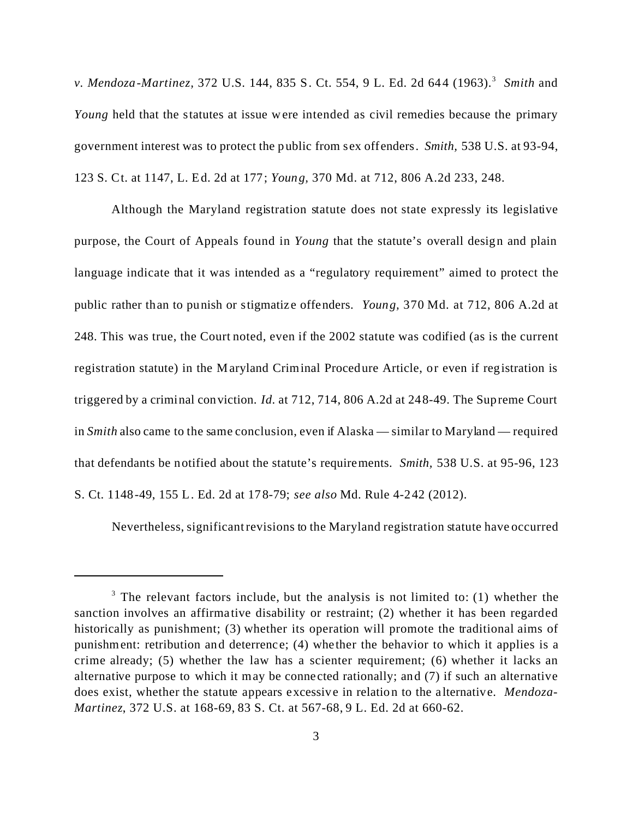*v. Mendoza-Martinez, 372 U.S. 144, 835 S. Ct. 554, 9 L. Ed. 2d 644 (1963).*<sup>3</sup> Smith and *Young* held that the statutes at issue were intended as civil remedies because the primary government interest was to protect the public from sex offenders. *Smith,* 538 U.S. at 93-94, 123 S. Ct. at 1147, L. Ed. 2d at 177; *Young,* 370 Md. at 712, 806 A.2d 233, 248.

Although the Maryland registration statute does not state expressly its legislative purpose, the Court of Appeals found in *Young* that the statute's overall design and plain language indicate that it was intended as a "regulatory requirement" aimed to protect the public rather than to punish or stigmatize offenders. *Young,* 370 Md. at 712, 806 A.2d at 248. This was true, the Court noted, even if the 2002 statute was codified (as is the current registration statute) in the Maryland Criminal Procedure Article, or even if registration is triggered by a criminal conviction. *Id.* at 712, 714, 806 A.2d at 248-49. The Supreme Court in *Smith* also came to the same conclusion, even if Alaska — similar to Maryland — required that defendants be notified about the statute's requirements. *Smith,* 538 U.S. at 95-96, 123 S. Ct. 1148-49, 155 L. Ed. 2d at 178-79; *see also* Md. Rule 4-242 (2012).

Nevertheless, significant revisions to the Maryland registration statute have occurred

 $3$  The relevant factors include, but the analysis is not limited to: (1) whether the sanction involves an affirmative disability or restraint; (2) whether it has been regarded historically as punishment; (3) whether its operation will promote the traditional aims of punishment: retribution and deterrence; (4) whether the behavior to which it applies is a crime already; (5) whether the law has a scienter requirement; (6) whether it lacks an alternative purpose to which it may be connected rationally; and (7) if such an alternative does exist, whether the statute appears excessive in relation to the alternative. *Mendoza-Martinez*, 372 U.S. at 168-69, 83 S. Ct. at 567-68, 9 L. Ed. 2d at 660-62.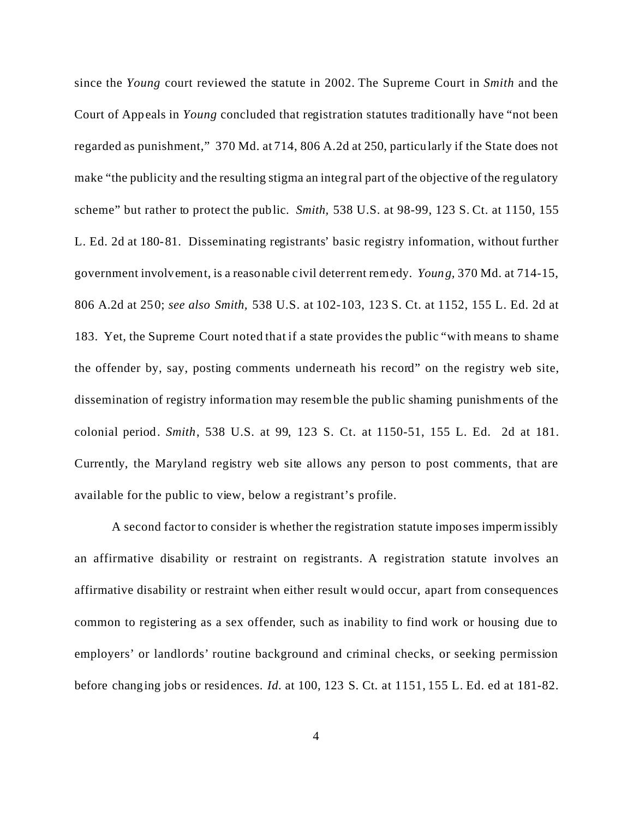since the *Young* court reviewed the statute in 2002. The Supreme Court in *Smith* and the Court of Appeals in *Young* concluded that registration statutes traditionally have "not been regarded as punishment," 370 Md. at 714, 806 A.2d at 250, particularly if the State does not make "the publicity and the resulting stigma an integral part of the objective of the regulatory scheme" but rather to protect the public. *Smith,* 538 U.S. at 98-99, 123 S. Ct. at 1150, 155 L. Ed. 2d at 180-81. Disseminating registrants' basic registry information, without further government involvement, is a reasonable civil deterrent remedy. *Young,* 370 Md. at 714-15, 806 A.2d at 250; *see also Smith,* 538 U.S. at 102-103, 123 S. Ct. at 1152, 155 L. Ed. 2d at 183. Yet, the Supreme Court noted that if a state provides the public "with means to shame the offender by, say, posting comments underneath his record" on the registry web site, dissemination of registry information may resemble the public shaming punishments of the colonial period. *Smith*, 538 U.S. at 99, 123 S. Ct. at 1150-51, 155 L. Ed. 2d at 181. Currently, the Maryland registry web site allows any person to post comments, that are available for the public to view, below a registrant's profile.

A second factor to consider is whether the registration statute imposes impermissibly an affirmative disability or restraint on registrants. A registration statute involves an affirmative disability or restraint when either result would occur, apart from consequences common to registering as a sex offender, such as inability to find work or housing due to employers' or landlords' routine background and criminal checks, or seeking permission before changing jobs or residences. *Id.* at 100, 123 S. Ct. at 1151, 155 L. Ed. ed at 181-82.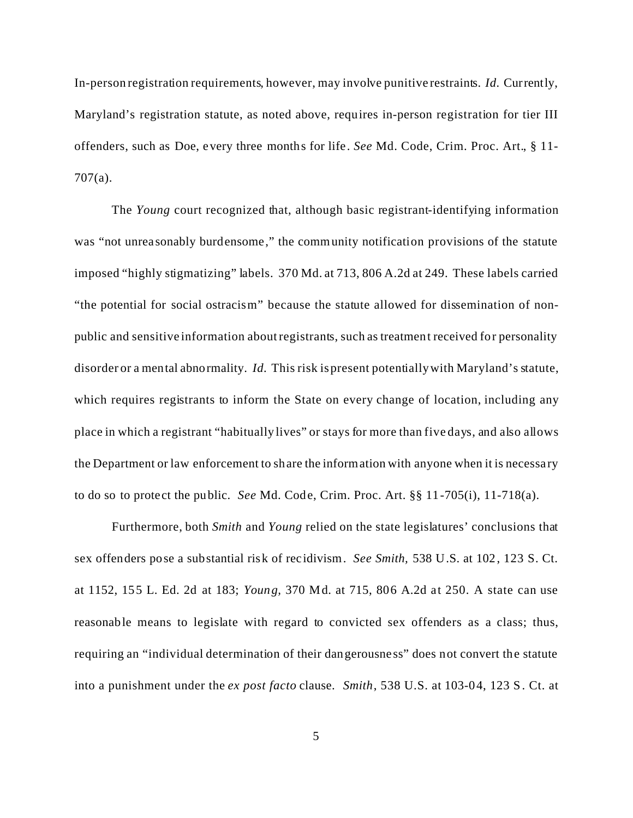In-person registration requirements, however, may involve punitive restraints. *Id.* Currently, Maryland's registration statute, as noted above, requires in-person registration for tier III offenders, such as Doe, every three months for life. *See* Md. Code, Crim. Proc. Art., § 11- 707(a).

The *Young* court recognized that, although basic registrant-identifying information was "not unreasonably burdensome," the community notification provisions of the statute imposed "highly stigmatizing" labels. 370 Md. at 713, 806 A.2d at 249. These labels carried "the potential for social ostracism" because the statute allowed for dissemination of nonpublic and sensitive information about registrants, such as treatment received for personality disorder or a mental abnormality. *Id.* This risk is present potentially with Maryland's statute, which requires registrants to inform the State on every change of location, including any place in which a registrant "habitually lives" or stays for more than five days, and also allows the Department or law enforcement to share the information with anyone when it is necessary to do so to protect the public. *See* Md. Code, Crim. Proc. Art. §§ 11-705(i), 11-718(a).

Furthermore, both *Smith* and *Young* relied on the state legislatures' conclusions that sex offenders pose a substantial risk of recidivism. *See Smith,* 538 U.S. at 102, 123 S. Ct. at 1152, 155 L. Ed. 2d at 183; *Young,* 370 Md. at 715, 806 A.2d at 250. A state can use reasonable means to legislate with regard to convicted sex offenders as a class; thus, requiring an "individual determination of their dangerousness" does not convert the statute into a punishment under the *ex post facto* clause. *Smith*, 538 U.S. at 103-04, 123 S. Ct. at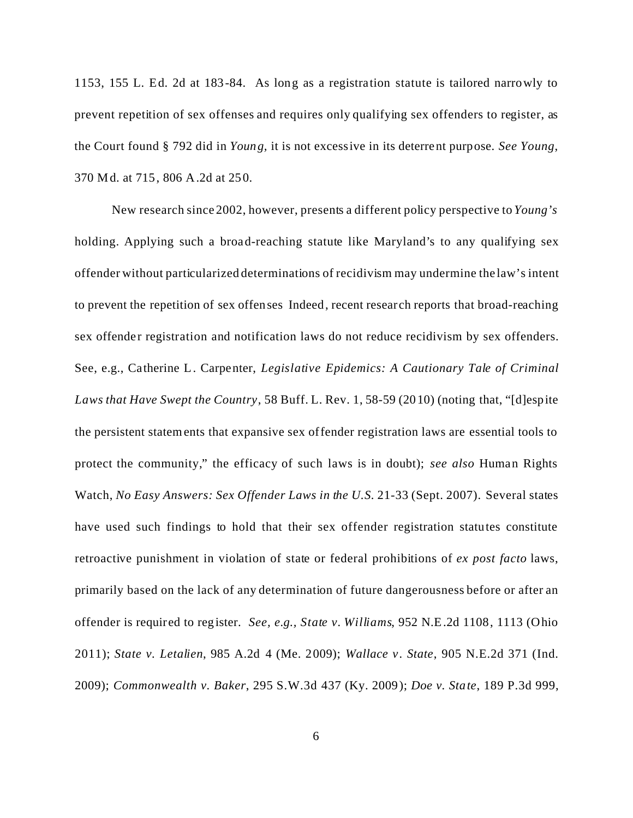1153, 155 L. Ed. 2d at 183-84. As long as a registration statute is tailored narrowly to prevent repetition of sex offenses and requires only qualifying sex offenders to register, as the Court found § 792 did in *Young,* it is not excessive in its deterrent purpose. *See Young*, 370 Md. at 715, 806 A.2d at 250.

New research since 2002, however, presents a different policy perspective to *Young's* holding. Applying such a broad-reaching statute like Maryland's to any qualifying sex offender without particularized determinations of recidivism may undermine the law's intent to prevent the repetition of sex offenses Indeed, recent research reports that broad-reaching sex offender registration and notification laws do not reduce recidivism by sex offenders. See, e.g., Catherine L. Carpenter, *Legislative Epidemics: A Cautionary Tale of Criminal Laws that Have Swept the Country*, 58 Buff. L. Rev. 1, 58-59 (2010) (noting that, "[d]espite the persistent statements that expansive sex offender registration laws are essential tools to protect the community," the efficacy of such laws is in doubt); *see also* Human Rights Watch, *No Easy Answers: Sex Offender Laws in the U.S.* 21-33 (Sept. 2007). Several states have used such findings to hold that their sex offender registration statutes constitute retroactive punishment in violation of state or federal prohibitions of *ex post facto* laws, primarily based on the lack of any determination of future dangerousness before or after an offender is required to register. *See, e.g., State v. Williams*, 952 N.E.2d 1108, 1113 (Ohio 2011); *State v. Letalien*, 985 A.2d 4 (Me. 2009); *Wallace v. State*, 905 N.E.2d 371 (Ind. 2009); *Commonwealth v. Baker*, 295 S.W.3d 437 (Ky. 2009); *Doe v. State*, 189 P.3d 999,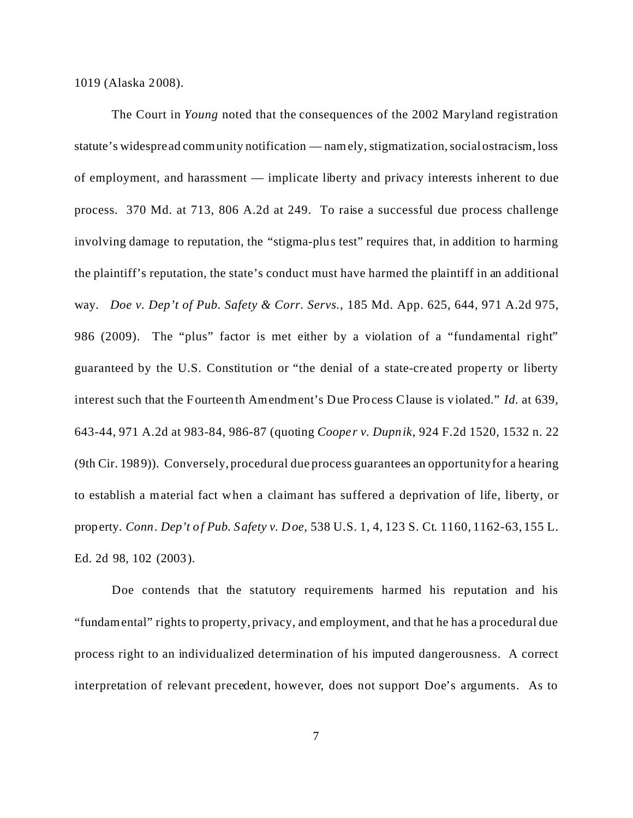1019 (Alaska 2008).

The Court in *Young* noted that the consequences of the 2002 Maryland registration statute's widespread community notification — namely, stigmatization, social ostracism, loss of employment, and harassment — implicate liberty and privacy interests inherent to due process. 370 Md. at 713, 806 A.2d at 249. To raise a successful due process challenge involving damage to reputation, the "stigma-plus test" requires that, in addition to harming the plaintiff's reputation, the state's conduct must have harmed the plaintiff in an additional way. *Doe v. Dep't of Pub. Safety & Corr. Servs.*, 185 Md. App. 625, 644, 971 A.2d 975, 986 (2009). The "plus" factor is met either by a violation of a "fundamental right" guaranteed by the U.S. Constitution or "the denial of a state-created property or liberty interest such that the Fourteenth Amendment's Due Process Clause is violated." *Id.* at 639, 643-44, 971 A.2d at 983-84, 986-87 (quoting *Cooper v. Dupnik*, 924 F.2d 1520, 1532 n. 22 (9th Cir. 1989)). Conversely, procedural due process guarantees an opportunity for a hearing to establish a material fact when a claimant has suffered a deprivation of life, liberty, or property. *Conn. Dep't of Pub. Safety v. Doe,* 538 U.S. 1, 4, 123 S. Ct. 1160, 1162-63, 155 L. Ed. 2d 98, 102 (2003).

Doe contends that the statutory requirements harmed his reputation and his "fundamental" rights to property, privacy, and employment, and that he has a procedural due process right to an individualized determination of his imputed dangerousness. A correct interpretation of relevant precedent, however, does not support Doe's arguments. As to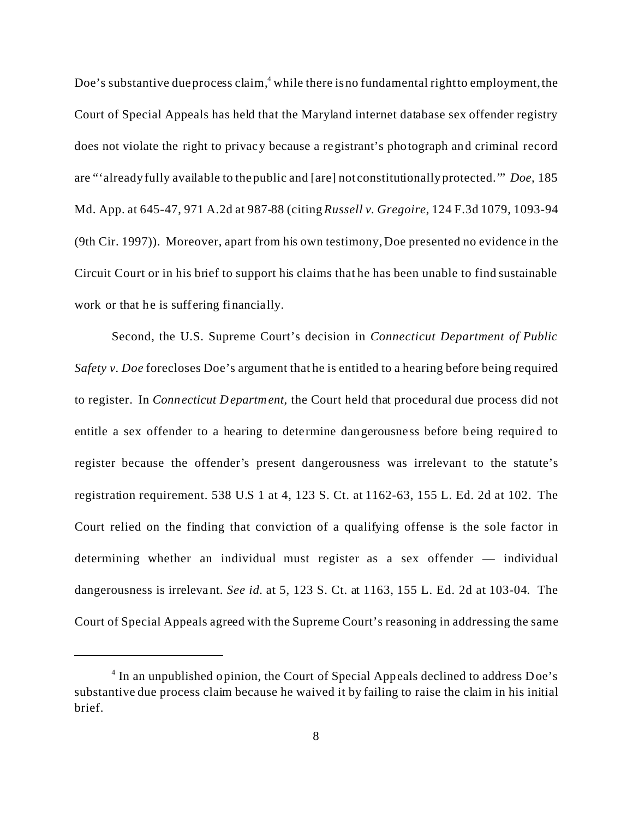Doe's substantive due process claim, $^4$  while there is no fundamental right to employment, the Court of Special Appeals has held that the Maryland internet database sex offender registry does not violate the right to privacy because a registrant's photograph and criminal record are "'already fully available to the public and [are] not constitutionally protected.'" *Doe,* 185 Md. App. at 645-47, 971 A.2d at 987-88 (citing *Russell v. Gregoire*, 124 F.3d 1079, 1093-94 (9th Cir. 1997)). Moreover, apart from his own testimony, Doe presented no evidence in the Circuit Court or in his brief to support his claims that he has been unable to find sustainable work or that he is suffering financially.

Second, the U.S. Supreme Court's decision in *Connecticut Department of Public Safety v. Doe* forecloses Doe's argument that he is entitled to a hearing before being required to register. In *Connecticut Department,* the Court held that procedural due process did not entitle a sex offender to a hearing to determine dangerousness before being required to register because the offender's present dangerousness was irrelevant to the statute's registration requirement. 538 U.S 1 at 4, 123 S. Ct. at 1162-63, 155 L. Ed. 2d at 102. The Court relied on the finding that conviction of a qualifying offense is the sole factor in determining whether an individual must register as a sex offender — individual dangerousness is irrelevant. *See id.* at 5, 123 S. Ct. at 1163, 155 L. Ed. 2d at 103-04*.* The Court of Special Appeals agreed with the Supreme Court's reasoning in addressing the same

<sup>&</sup>lt;sup>4</sup> In an unpublished opinion, the Court of Special Appeals declined to address Doe's substantive due process claim because he waived it by failing to raise the claim in his initial brief.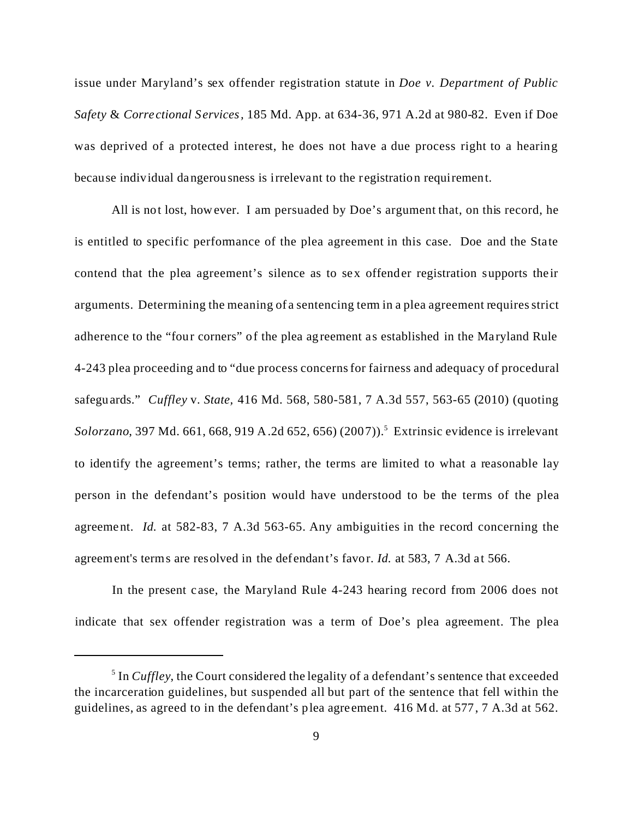issue under Maryland's sex offender registration statute in *Doe v. Department of Public Safety* & *Correctional Services,* 185 Md. App. at 634-36, 971 A.2d at 980-82. Even if Doe was deprived of a protected interest, he does not have a due process right to a hearing because individual dangerousness is irrelevant to the registration requirement.

All is not lost, however. I am persuaded by Doe's argument that, on this record, he is entitled to specific performance of the plea agreement in this case. Doe and the State contend that the plea agreement's silence as to sex offender registration supports their arguments. Determining the meaning of a sentencing term in a plea agreement requires strict adherence to the "four corners" of the plea agreement as established in the Maryland Rule 4-243 plea proceeding and to "due process concerns for fairness and adequacy of procedural safeguards." *Cuffley* v. *State,* 416 Md. 568, 580-581, 7 A.3d 557, 563-65 (2010) (quoting Solorzano, 397 Md. 661, 668, 919 A.2d 652, 656) (2007)).<sup>5</sup> Extrinsic evidence is irrelevant to identify the agreement's terms; rather, the terms are limited to what a reasonable lay person in the defendant's position would have understood to be the terms of the plea agreement. *Id.* at 582-83, 7 A.3d 563-65. Any ambiguities in the record concerning the agreement's terms are resolved in the defendant's favor. *Id.* at 583, 7 A.3d at 566.

In the present c ase, the Maryland Rule 4-243 hearing record from 2006 does not indicate that sex offender registration was a term of Doe's plea agreement. The plea

<sup>&</sup>lt;sup>5</sup> In *Cuffley*, the Court considered the legality of a defendant's sentence that exceeded the incarceration guidelines, but suspended all but part of the sentence that fell within the guidelines, as agreed to in the defendant's plea agreement. 416 Md. at 577, 7 A.3d at 562.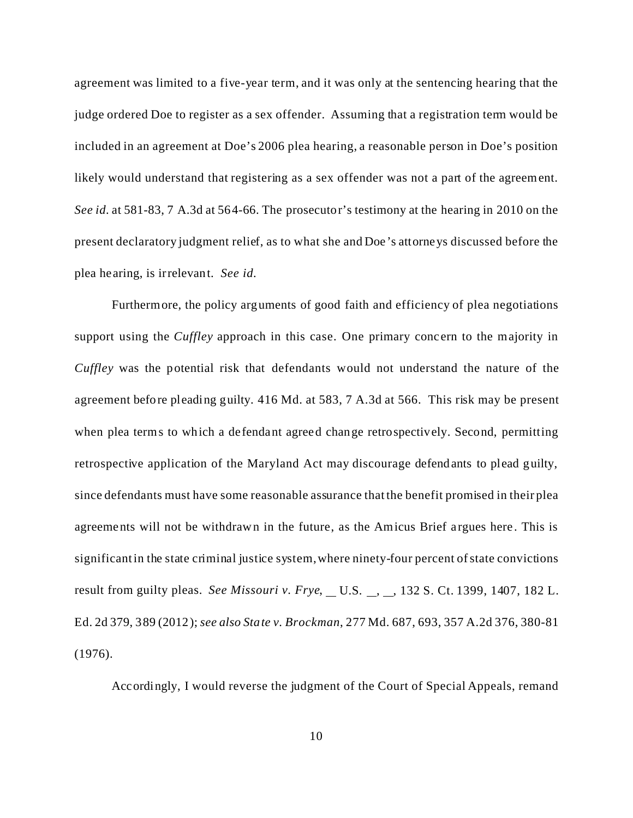agreement was limited to a five-year term, and it was only at the sentencing hearing that the judge ordered Doe to register as a sex offender. Assuming that a registration term would be included in an agreement at Doe's 2006 plea hearing, a reasonable person in Doe's position likely would understand that registering as a sex offender was not a part of the agreement. *See id.* at 581-83, 7 A.3d at 564-66. The prosecutor's testimony at the hearing in 2010 on the present declaratory judgment relief, as to what she and Doe's attorneys discussed before the plea hearing, is irrelevant. *See id.*

Furthermore, the policy arguments of good faith and efficiency of plea negotiations support using the *Cuffley* approach in this case. One primary concern to the majority in *Cuffley* was the potential risk that defendants would not understand the nature of the agreement before pleading guilty. 416 Md. at 583, 7 A.3d at 566. This risk may be present when plea terms to which a defendant agreed change retrospectively. Second, permitting retrospective application of the Maryland Act may discourage defendants to plead guilty, since defendants must have some reasonable assurance that the benefit promised in their plea agreements will not be withdrawn in the future, as the Amicus Brief argues here. This is significant in the state criminal justice system, where ninety-four percent of state convictions result from guilty pleas. *See Missouri v. Frye*, U.S. , , 132 S. Ct. 1399, 1407, 182 L. Ed. 2d 379, 389 (2012); *see also State v. Brockman*, 277 Md. 687, 693, 357 A.2d 376, 380-81 (1976).

Accordingly, I would reverse the judgment of the Court of Special Appeals, remand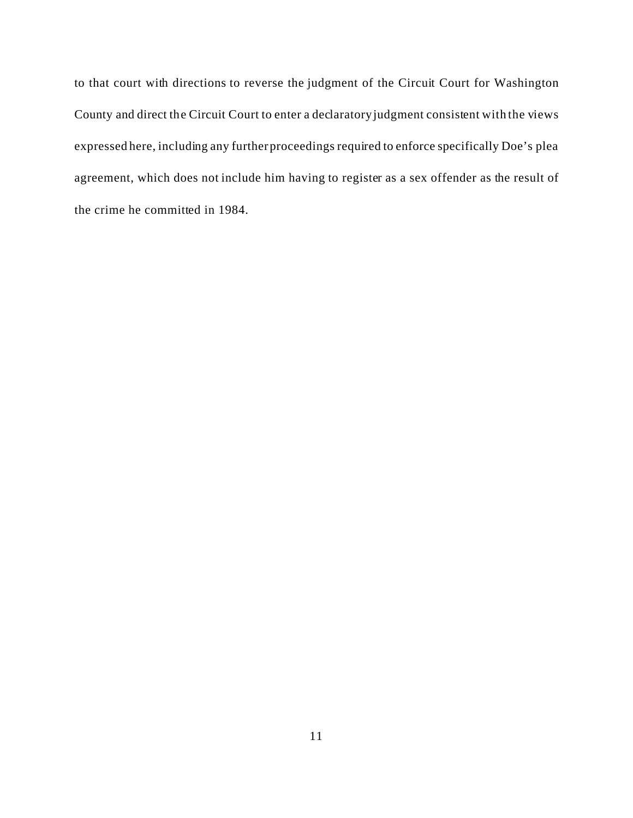to that court with directions to reverse the judgment of the Circuit Court for Washington County and direct the Circuit Court to enter a declaratory judgment consistent with the views expressed here, including any further proceedings required to enforce specifically Doe's plea agreement, which does not include him having to register as a sex offender as the result of the crime he committed in 1984.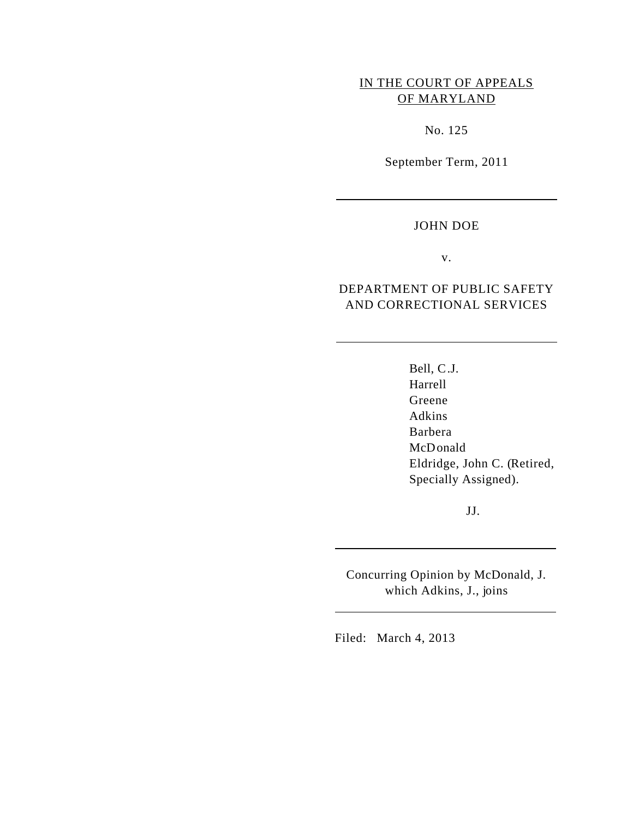# IN THE COURT OF APPEALS OF MARYLAND

No. 125

September Term, 2011

#### JOHN DOE

 $\overline{a}$ 

 $\overline{a}$ 

 $\overline{a}$ 

 $\overline{a}$ 

v.

### DEPARTMENT OF PUBLIC SAFETY AND CORRECTIONAL SERVICES

Bell, C.J. Harrell Greene Adkins Barbera McDonald Eldridge, John C. (Retired, Specially Assigned).

JJ.

Concurring Opinion by McDonald, J. which Adkins, J., joins

Filed: March 4, 2013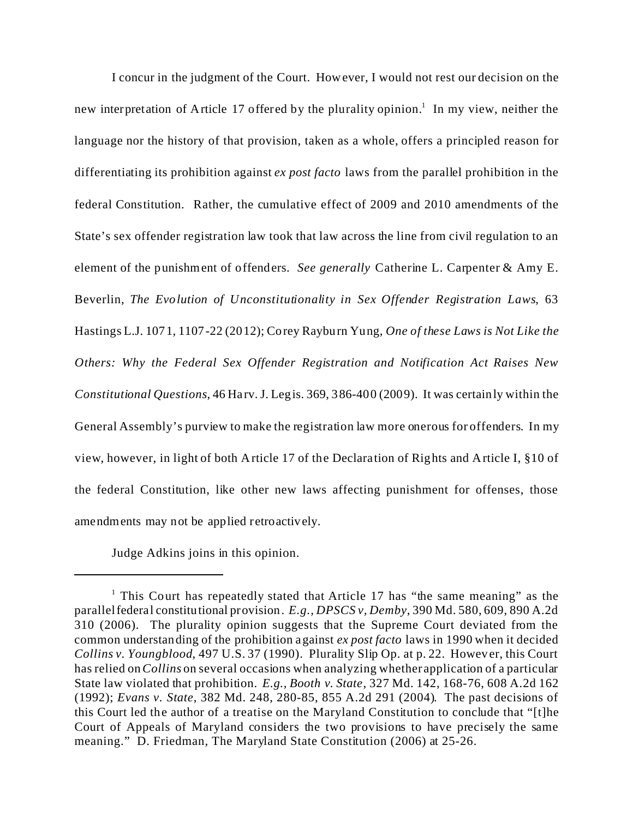I concur in the judgment of the Court. However, I would not rest our decision on the new interpretation of Article 17 offered by the plurality opinion.<sup>1</sup> In my view, neither the language nor the history of that provision, taken as a whole, offers a principled reason for differentiating its prohibition against *ex post facto* laws from the parallel prohibition in the federal Constitution. Rather, the cumulative effect of 2009 and 2010 amendments of the State's sex offender registration law took that law across the line from civil regulation to an element of the punishment of offenders. *See generally* Catherine L. Carpenter & Amy E. Beverlin, *The Evolution of Unconstitutionality in Sex Offender Registration Laws*, 63 Hastings L.J. 1071, 1107-22 (2012); Corey Rayburn Yung, *One of these Laws is Not Like the Others: Why the Federal Sex Offender Registration and Notification Act Raises New Constitutional Questions*, 46 Harv. J. Legis. 369, 386-400 (2009). It was certainly within the General Assembly's purview to make the registration law more onerous for offenders. In my view, however, in light of both Article 17 of the Declaration of Rights and Article I, §10 of the federal Constitution, like other new laws affecting punishment for offenses, those amendments may not be applied retroactively.

Judge Adkins joins in this opinion.

<sup>&</sup>lt;sup>1</sup> This Court has repeatedly stated that Article 17 has "the same meaning" as the parallel federal constitutional provision. *E.g., DPSCS v, Demby*, 390 Md. 580, 609, 890 A.2d 310 (2006). The plurality opinion suggests that the Supreme Court deviated from the common understanding of the prohibition against *ex post facto* laws in 1990 when it decided *Collins v. Youngblood*, 497 U.S. 37 (1990). Plurality Slip Op. at p. 22. However, this Court has relied on *Collins* on several occasions when analyzing whether application of a particular State law violated that prohibition. *E.g., Booth v. State*, 327 Md. 142, 168-76, 608 A.2d 162 (1992); *Evans v. State*, 382 Md. 248, 280-85, 855 A.2d 291 (2004). The past decisions of this Court led the author of a treatise on the Maryland Constitution to conclude that "[t]he Court of Appeals of Maryland considers the two provisions to have precisely the same meaning." D. Friedman, The Maryland State Constitution (2006) at 25-26.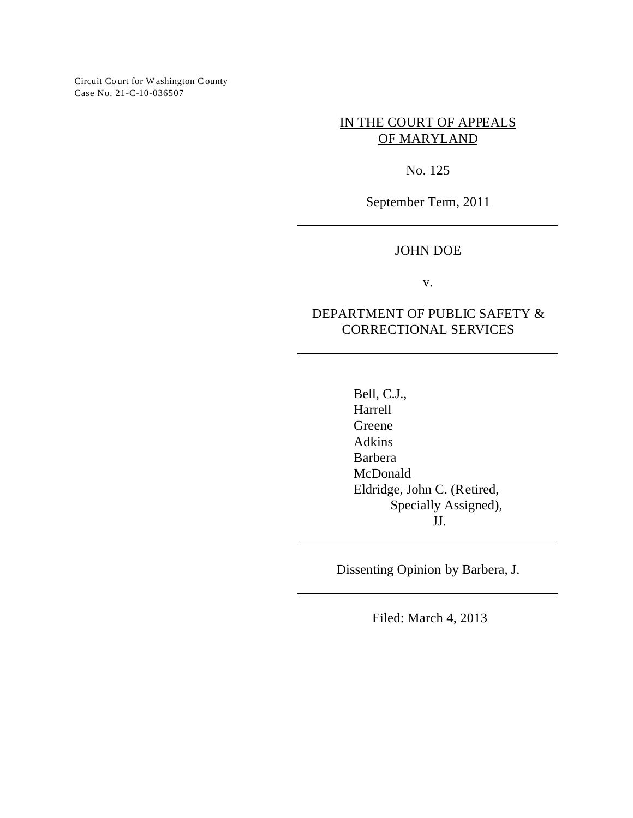Circuit Court for Washington County Case No. 21-C-10-036507

> IN THE COURT OF APPEALS OF MARYLAND

> > No. 125

September Term, 2011

### JOHN DOE

v.

## DEPARTMENT OF PUBLIC SAFETY & CORRECTIONAL SERVICES

Bell, C.J., Harrell Greene Adkins Barbera McDonald Eldridge, John C. (Retired, Specially Assigned), JJ.

Dissenting Opinion by Barbera, J.

Filed: March 4, 2013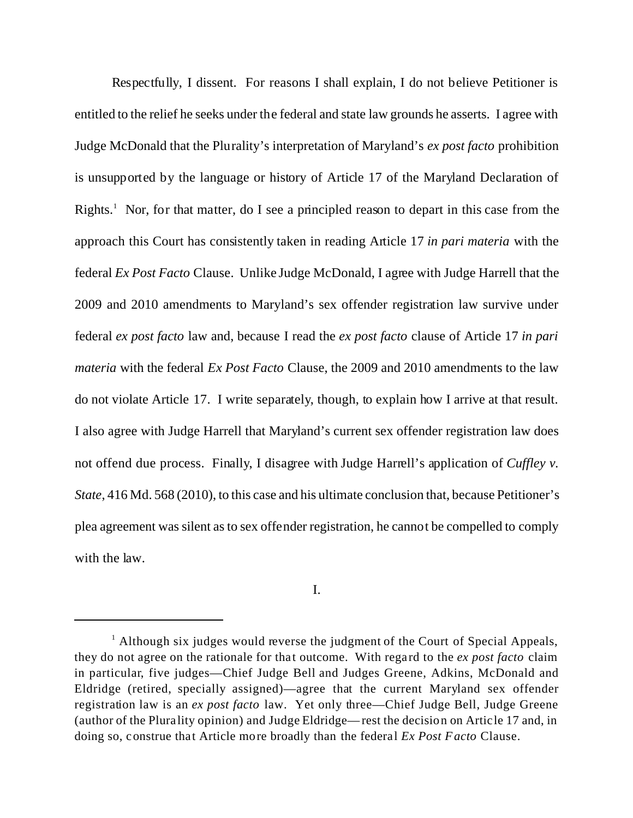Respectfully, I dissent. For reasons I shall explain, I do not believe Petitioner is entitled to the relief he seeks under the federal and state law grounds he asserts. I agree with Judge McDonald that the Plurality's interpretation of Maryland's *ex post facto* prohibition is unsupported by the language or history of Article 17 of the Maryland Declaration of Rights.<sup>1</sup> Nor, for that matter, do I see a principled reason to depart in this case from the approach this Court has consistently taken in reading Article 17 *in pari materia* with the federal *Ex Post Facto* Clause. Unlike Judge McDonald, I agree with Judge Harrell that the 2009 and 2010 amendments to Maryland's sex offender registration law survive under federal *ex post facto* law and, because I read the *ex post facto* clause of Article 17 *in pari materia* with the federal *Ex Post Facto* Clause, the 2009 and 2010 amendments to the law do not violate Article 17. I write separately, though, to explain how I arrive at that result. I also agree with Judge Harrell that Maryland's current sex offender registration law does not offend due process. Finally, I disagree with Judge Harrell's application of *Cuffley v. State*, 416 Md. 568 (2010), to this case and his ultimate conclusion that, because Petitioner's plea agreement was silent as to sex offender registration, he cannot be compelled to comply with the law.

I.

<sup>&</sup>lt;sup>1</sup> Although six judges would reverse the judgment of the Court of Special Appeals, they do not agree on the rationale for that outcome. With regard to the *ex post facto* claim in particular, five judges—Chief Judge Bell and Judges Greene, Adkins, McDonald and Eldridge (retired, specially assigned)—agree that the current Maryland sex offender registration law is an *ex post facto* law. Yet only three—Chief Judge Bell, Judge Greene (author of the Plurality opinion) and Judge Eldridge— rest the decision on Article 17 and, in doing so, construe that Article more broadly than the federal *Ex Post Facto* Clause.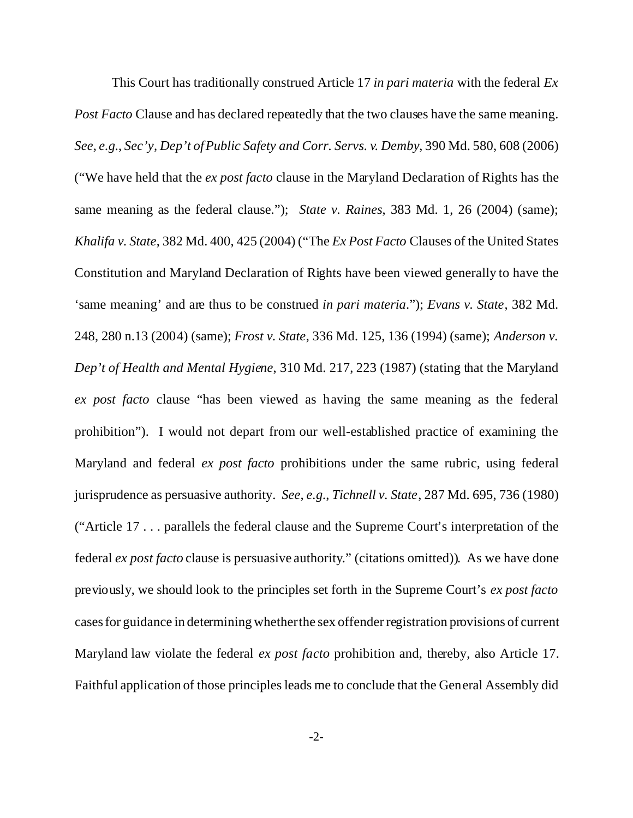This Court has traditionally construed Article 17 *in pari materia* with the federal *Ex Post Facto* Clause and has declared repeatedly that the two clauses have the same meaning. *See, e.g.*, *Sec'y, Dep't of Public Safety and Corr. Servs. v. Demby*, 390 Md. 580, 608 (2006) ("We have held that the *ex post facto* clause in the Maryland Declaration of Rights has the same meaning as the federal clause."); *State v. Raines*, 383 Md. 1, 26 (2004) (same); *Khalifa v. State*, 382 Md. 400, 425 (2004) ("The *Ex Post Facto* Clauses of the United States Constitution and Maryland Declaration of Rights have been viewed generally to have the 'same meaning' and are thus to be construed *in pari materia*."); *Evans v. State*, 382 Md. 248, 280 n.13 (2004) (same); *Frost v. State*, 336 Md. 125, 136 (1994) (same); *Anderson v. Dep't of Health and Mental Hygiene*, 310 Md. 217, 223 (1987) (stating that the Maryland *ex post facto* clause "has been viewed as having the same meaning as the federal prohibition"). I would not depart from our well-established practice of examining the Maryland and federal *ex post facto* prohibitions under the same rubric, using federal jurisprudence as persuasive authority. *See, e.g.*, *Tichnell v. State*, 287 Md. 695, 736 (1980) ("Article 17 . . . parallels the federal clause and the Supreme Court's interpretation of the federal *ex post facto* clause is persuasive authority." (citations omitted)). As we have done previously, we should look to the principles set forth in the Supreme Court's *ex post facto* cases for guidance in determining whether the sex offender registration provisions of current Maryland law violate the federal *ex post facto* prohibition and, thereby, also Article 17. Faithful application of those principles leads me to conclude that the General Assembly did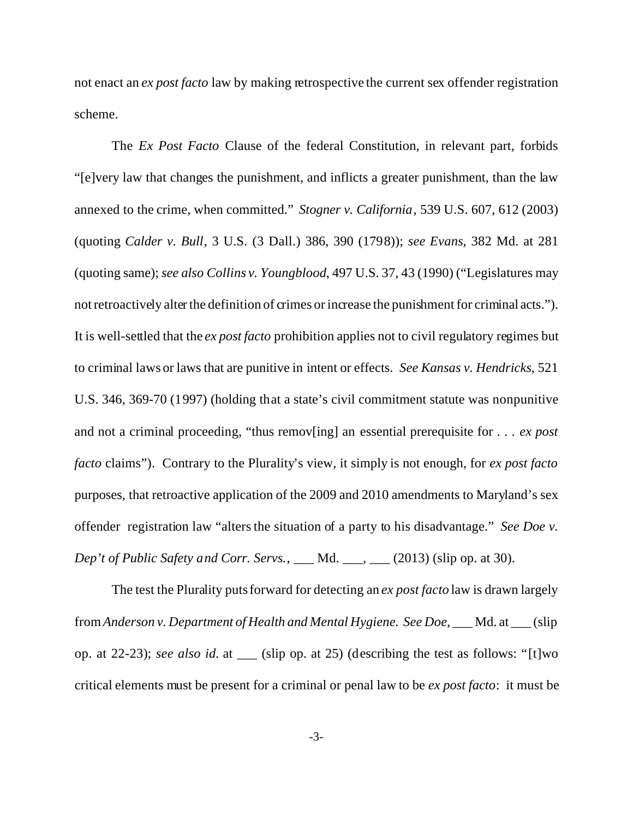not enact an *ex post facto* law by making retrospective the current sex offender registration scheme.

The *Ex Post Facto* Clause of the federal Constitution, in relevant part, forbids "[e]very law that changes the punishment, and inflicts a greater punishment, than the law annexed to the crime, when committed." *Stogner v. California*, 539 U.S. 607, 612 (2003) (quoting *Calder v. Bull*, 3 U.S. (3 Dall.) 386, 390 (1798)); *see Evans*, 382 Md. at 281 (quoting same); *see also Collins v. Youngblood*, 497 U.S. 37, 43 (1990) ("Legislatures may not retroactively alter the definition of crimes or increase the punishment for criminal acts."). It is well-settled that the *ex post facto* prohibition applies not to civil regulatory regimes but to criminal laws or laws that are punitive in intent or effects. *See Kansas v. Hendricks*, 521 U.S. 346, 369-70 (1997) (holding that a state's civil commitment statute was nonpunitive and not a criminal proceeding, "thus remov[ing] an essential prerequisite for . . . *ex post facto* claims"). Contrary to the Plurality's view, it simply is not enough, for *ex post facto* purposes, that retroactive application of the 2009 and 2010 amendments to Maryland's sex offender registration law "alters the situation of a party to his disadvantage." *See Doe v. Dep't of Public Safety and Corr. Servs.*, \_\_\_ Md. \_\_\_, \_\_\_ (2013) (slip op. at 30).

The test the Plurality puts forward for detecting an *ex post facto* law is drawn largely from*Anderson v. Department of Health and Mental Hygiene. See Doe*, \_\_\_ Md. at \_\_\_ (slip op. at 22-23); *see also id.* at (slip op. at 25) (describing the test as follows: "[t]wo critical elements must be present for a criminal or penal law to be *ex post facto*: it must be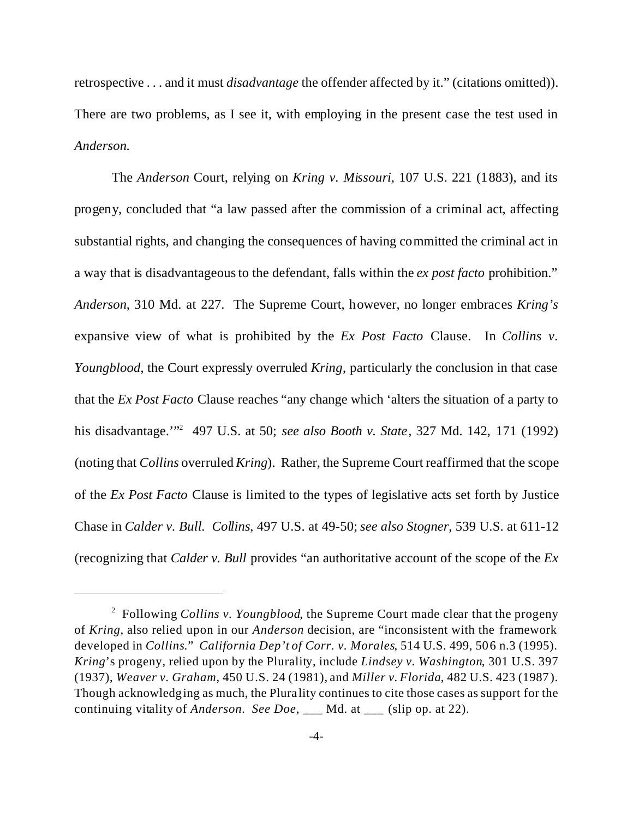retrospective . . . and it must *disadvantage* the offender affected by it." (citations omitted)). There are two problems, as I see it, with employing in the present case the test used in *Anderson*.

The *Anderson* Court, relying on *Kring v. Missouri*, 107 U.S. 221 (1883), and its progeny, concluded that "a law passed after the commission of a criminal act, affecting substantial rights, and changing the consequences of having committed the criminal act in a way that is disadvantageous to the defendant, falls within the *ex post facto* prohibition." *Anderson*, 310 Md. at 227. The Supreme Court, however, no longer embraces *Kring's* expansive view of what is prohibited by the *Ex Post Facto* Clause. In *Collins v. Youngblood*, the Court expressly overruled *Kring*, particularly the conclusion in that case that the *Ex Post Facto* Clause reaches "any change which 'alters the situation of a party to his disadvantage.'"<sup>2</sup> 497 U.S. at 50; *see also Booth v. State*, 327 Md. 142, 171 (1992) (noting that *Collins* overruled *Kring*). Rather, the Supreme Court reaffirmed that the scope of the *Ex Post Facto* Clause is limited to the types of legislative acts set forth by Justice Chase in *Calder v. Bull. Collins*, 497 U.S. at 49-50; *see also Stogner*, 539 U.S. at 611-12 (recognizing that *Calder v. Bull* provides "an authoritative account of the scope of the *Ex*

<sup>&</sup>lt;sup>2</sup> Following *Collins v. Youngblood*, the Supreme Court made clear that the progeny of *Kring*, also relied upon in our *Anderson* decision, are "inconsistent with the framework developed in *Collins*." *California Dep't of Corr. v. Morales*, 514 U.S. 499, 506 n.3 (1995). *Kring*'s progeny, relied upon by the Plurality, include *Lindsey v. Washington*, 301 U.S. 397 (1937), *Weaver v. Graham*, 450 U.S. 24 (1981), and *Miller v. Florida*, 482 U.S. 423 (1987). Though acknowledging as much, the Plurality continues to cite those cases as support for the continuing vitality of *Anderson*. *See Doe*, \_\_\_ Md. at \_\_\_ (slip op. at 22).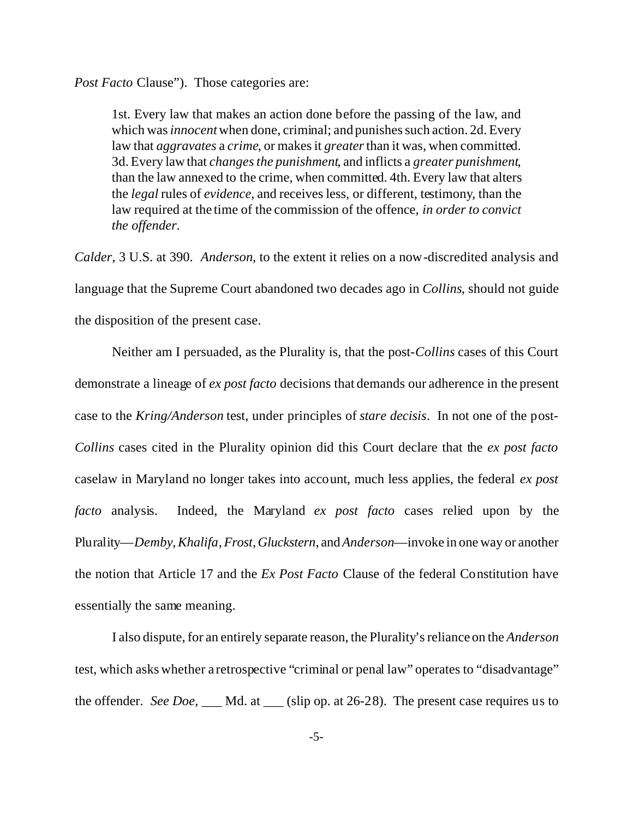*Post Facto* Clause"). Those categories are:

1st. Every law that makes an action done before the passing of the law, and which was *innocent* when done, criminal; and punishes such action. 2d. Every law that *aggravates* a *crime*, or makes it *greater* than it was, when committed. 3d. Every law that *changes the punishment*, and inflicts a *greater punishment*, than the law annexed to the crime, when committed. 4th. Every law that alters the *legal* rules of *evidence*, and receives less, or different, testimony, than the law required at the time of the commission of the offence, *in order to convict the offender*.

*Calder*, 3 U.S. at 390. *Anderson*, to the extent it relies on a now-discredited analysis and language that the Supreme Court abandoned two decades ago in *Collins*, should not guide the disposition of the present case.

Neither am I persuaded, as the Plurality is, that the post-*Collins* cases of this Court demonstrate a lineage of *ex post facto* decisions that demands our adherence in the present case to the *Kring/Anderson* test, under principles of *stare decisis*. In not one of the post-*Collins* cases cited in the Plurality opinion did this Court declare that the *ex post facto* caselaw in Maryland no longer takes into account, much less applies, the federal *ex post facto* analysis. Indeed, the Maryland *ex post facto* cases relied upon by the Plurality—*Demby*,*Khalifa*, *Frost*,*Gluckstern*, and *Anderson*—invoke in one way or another the notion that Article 17 and the *Ex Post Facto* Clause of the federal Constitution have essentially the same meaning.

I also dispute, for an entirely separate reason, the Plurality's reliance on the *Anderson* test, which asks whether a retrospective "criminal or penal law" operates to "disadvantage" the offender. *See Doe*, \_\_\_ Md. at \_\_\_ (slip op. at 26-28). The present case requires us to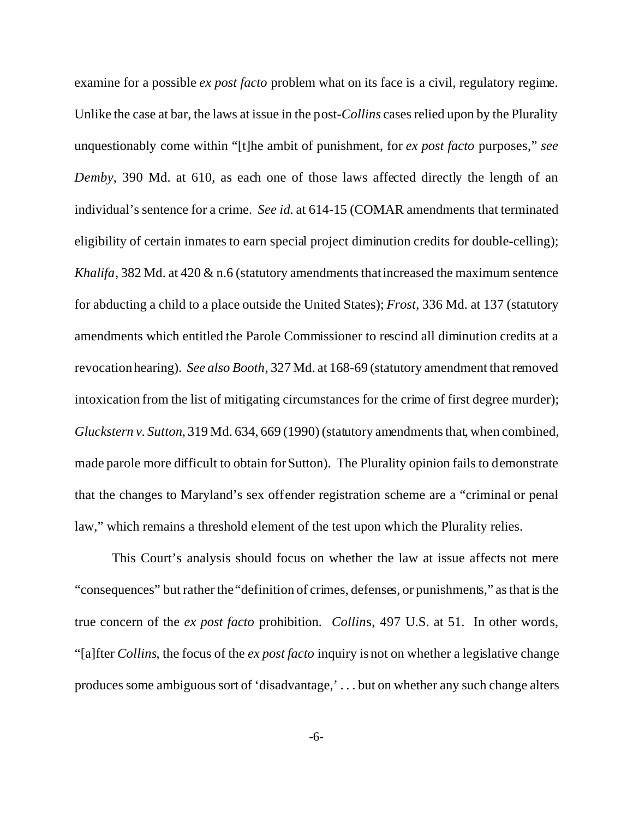examine for a possible *ex post facto* problem what on its face is a civil, regulatory regime. Unlike the case at bar, the laws at issue in the post-*Collins* cases relied upon by the Plurality unquestionably come within "[t]he ambit of punishment, for *ex post facto* purposes," *see Demby*, 390 Md. at 610, as each one of those laws affected directly the length of an individual's sentence for a crime. *See id.* at 614-15 (COMAR amendments that terminated eligibility of certain inmates to earn special project diminution credits for double-celling); *Khalifa*, 382 Md. at 420 & n.6 (statutory amendments that increased the maximum sentence for abducting a child to a place outside the United States); *Frost*, 336 Md. at 137 (statutory amendments which entitled the Parole Commissioner to rescind all diminution credits at a revocation hearing). *See also Booth*, 327 Md. at 168-69 (statutory amendment that removed intoxication from the list of mitigating circumstances for the crime of first degree murder); *Gluckstern v. Sutton*, 319 Md. 634, 669 (1990) (statutory amendments that, when combined, made parole more difficult to obtain for Sutton). The Plurality opinion fails to demonstrate that the changes to Maryland's sex offender registration scheme are a "criminal or penal law," which remains a threshold element of the test upon which the Plurality relies.

This Court's analysis should focus on whether the law at issue affects not mere "consequences" but rather the "definition of crimes, defenses, or punishments," as that is the true concern of the *ex post facto* prohibition. *Collin*s, 497 U.S. at 51. In other words, "[a]fter *Collins*, the focus of the *ex post facto* inquiry is not on whether a legislative change produces some ambiguous sort of 'disadvantage,' . . . but on whether any such change alters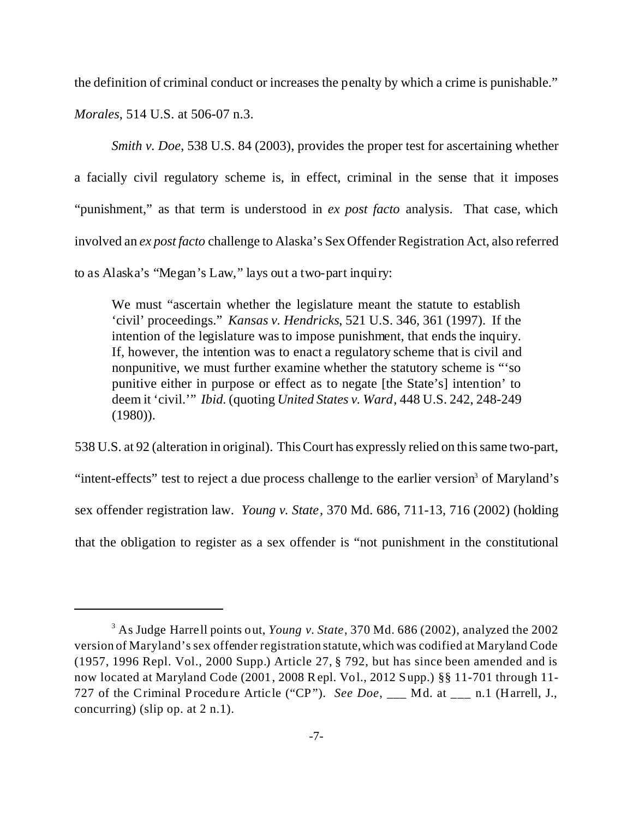the definition of criminal conduct or increases the penalty by which a crime is punishable."

*Morales*, 514 U.S. at 506-07 n.3.

*Smith v. Doe,* 538 U.S. 84 (2003), provides the proper test for ascertaining whether a facially civil regulatory scheme is, in effect, criminal in the sense that it imposes "punishment," as that term is understood in *ex post facto* analysis. That case, which involved an *ex post facto* challenge to Alaska's Sex Offender Registration Act, also referred to as Alaska's "Megan's Law," lays out a two-part inquiry:

We must "ascertain whether the legislature meant the statute to establish 'civil' proceedings." *Kansas v. Hendricks*, 521 U.S. 346, 361 (1997). If the intention of the legislature was to impose punishment, that ends the inquiry. If, however, the intention was to enact a regulatory scheme that is civil and nonpunitive, we must further examine whether the statutory scheme is "'so punitive either in purpose or effect as to negate [the State's] intention' to deem it 'civil.'" *Ibid.* (quoting *United States v. Ward*, 448 U.S. 242, 248-249 (1980)).

538 U.S. at 92 (alteration in original). This Court has expressly relied on this same two-part, "intent-effects" test to reject a due process challenge to the earlier version<sup>3</sup> of Maryland's sex offender registration law. *Young v. State*, 370 Md. 686, 711-13, 716 (2002) (holding that the obligation to register as a sex offender is "not punishment in the constitutional

<sup>3</sup> As Judge Harrell points out, *Young v. State*, 370 Md. 686 (2002), analyzed the 2002 version of Maryland's sex offender registration statute,which was codified at Maryland Code (1957, 1996 Repl. Vol., 2000 Supp.) Article 27, § 792, but has since been amended and is now located at Maryland Code (2001, 2008 Repl. Vol., 2012 Supp.) §§ 11-701 through 11- 727 of the Criminal Procedure Article ("CP"). *See Doe*, \_\_\_ Md. at \_\_\_ n.1 (Harrell, J., concurring) (slip op. at  $2 \text{ n.1}$ ).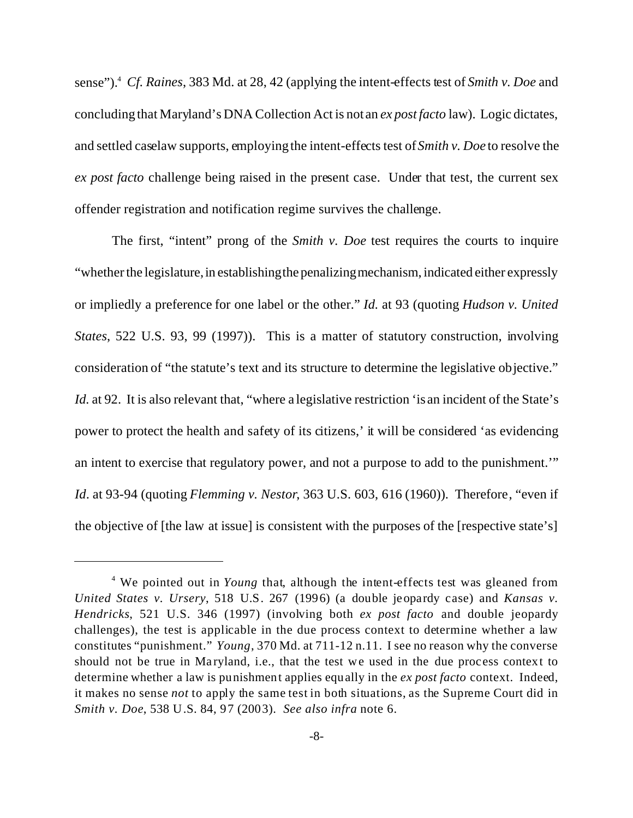sense").<sup>4</sup> *Cf. Raines*, 383 Md. at 28, 42 (applying the intent-effects test of *Smith v. Doe* and concluding that Maryland's DNA Collection Act is not an *ex post facto* law). Logic dictates, and settled caselaw supports, employing the intent-effects test of*Smith v. Doe* to resolve the *ex post facto* challenge being raised in the present case. Under that test, the current sex offender registration and notification regime survives the challenge.

The first, "intent" prong of the *Smith v. Doe* test requires the courts to inquire "whether the legislature, in establishing the penalizing mechanism, indicated either expressly or impliedly a preference for one label or the other." *Id.* at 93 (quoting *Hudson v. United States*, 522 U.S. 93, 99 (1997)). This is a matter of statutory construction, involving consideration of "the statute's text and its structure to determine the legislative objective." *Id.* at 92. It is also relevant that, "where a legislative restriction 'is an incident of the State's power to protect the health and safety of its citizens,' it will be considered 'as evidencing an intent to exercise that regulatory power, and not a purpose to add to the punishment.'" *Id*. at 93-94 (quoting *Flemming v. Nestor*, 363 U.S. 603, 616 (1960)). Therefore, "even if the objective of [the law at issue] is consistent with the purposes of the [respective state's]

<sup>&</sup>lt;sup>4</sup> We pointed out in *Young* that, although the intent-effects test was gleaned from *United States v. Ursery*, 518 U.S. 267 (1996) (a double jeopardy case) and *Kansas v. Hendricks*, 521 U.S. 346 (1997) (involving both *ex post facto* and double jeopardy challenges), the test is applicable in the due process context to determine whether a law constitutes "punishment." *Young*, 370 Md. at 711-12 n.11. I see no reason why the converse should not be true in Maryland, i.e., that the test we used in the due process context to determine whether a law is punishment applies equally in the *ex post facto* context. Indeed, it makes no sense *not* to apply the same test in both situations, as the Supreme Court did in *Smith v. Doe*, 538 U.S. 84, 97 (2003). *See also infra* note 6.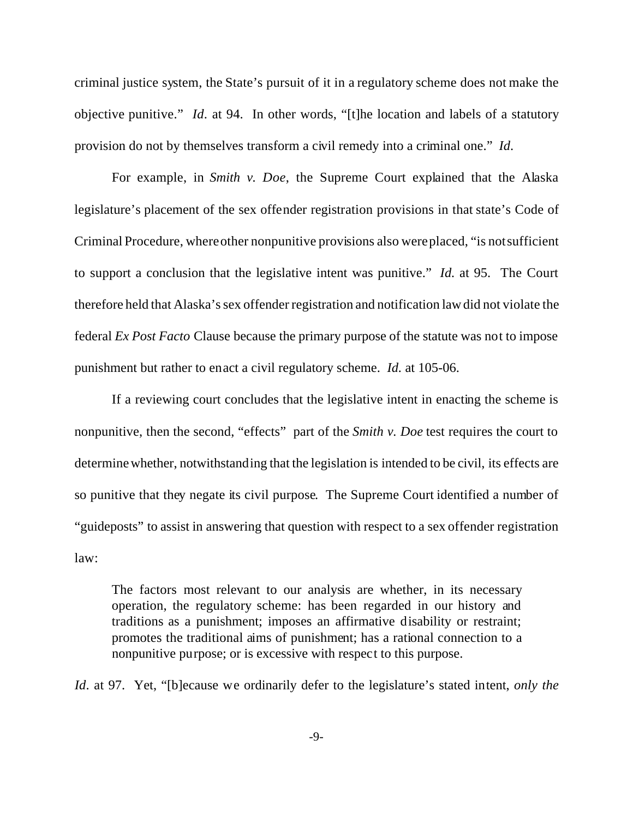criminal justice system, the State's pursuit of it in a regulatory scheme does not make the objective punitive." *Id*. at 94. In other words, "[t]he location and labels of a statutory provision do not by themselves transform a civil remedy into a criminal one." *Id*.

For example, in *Smith v. Doe*, the Supreme Court explained that the Alaska legislature's placement of the sex offender registration provisions in that state's Code of Criminal Procedure, where other nonpunitive provisions also were placed, "is not sufficient to support a conclusion that the legislative intent was punitive." *Id.* at 95. The Court therefore held that Alaska's sex offender registration and notification law did not violate the federal *Ex Post Facto* Clause because the primary purpose of the statute was not to impose punishment but rather to enact a civil regulatory scheme. *Id.* at 105-06.

If a reviewing court concludes that the legislative intent in enacting the scheme is nonpunitive, then the second, "effects" part of the *Smith v. Doe* test requires the court to determine whether, notwithstanding that the legislation is intended to be civil, its effects are so punitive that they negate its civil purpose. The Supreme Court identified a number of "guideposts" to assist in answering that question with respect to a sex offender registration law:

The factors most relevant to our analysis are whether, in its necessary operation, the regulatory scheme: has been regarded in our history and traditions as a punishment; imposes an affirmative disability or restraint; promotes the traditional aims of punishment; has a rational connection to a nonpunitive purpose; or is excessive with respect to this purpose.

*Id*. at 97. Yet, "[b]ecause we ordinarily defer to the legislature's stated intent, *only the*

-9-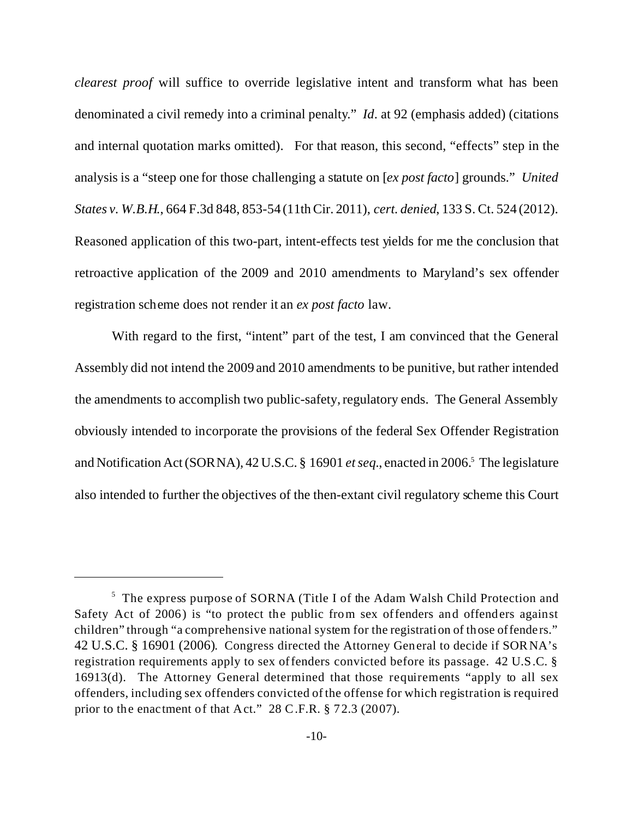*clearest proof* will suffice to override legislative intent and transform what has been denominated a civil remedy into a criminal penalty." *Id*. at 92 (emphasis added) (citations and internal quotation marks omitted). For that reason, this second, "effects" step in the analysis is a "steep one for those challenging a statute on [*ex post facto*] grounds." *United States v. W.B.H.*, 664 F.3d 848, 853-54 (11th Cir. 2011), *cert. denied*, 133 S. Ct. 524 (2012). Reasoned application of this two-part, intent-effects test yields for me the conclusion that retroactive application of the 2009 and 2010 amendments to Maryland's sex offender registration scheme does not render it an *ex post facto* law.

With regard to the first, "intent" part of the test, I am convinced that the General Assembly did not intend the 2009 and 2010 amendments to be punitive, but rather intended the amendments to accomplish two public-safety, regulatory ends. The General Assembly obviously intended to incorporate the provisions of the federal Sex Offender Registration and Notification Act (SORNA), 42 U.S.C. § 16901 et seq., enacted in 2006.<sup>5</sup> The legislature also intended to further the objectives of the then-extant civil regulatory scheme this Court

<sup>&</sup>lt;sup>5</sup> The express purpose of SORNA (Title I of the Adam Walsh Child Protection and Safety Act of 2006) is "to protect the public from sex offenders and offenders against children" through "a comprehensive national system for the registration of those offenders." 42 U.S.C. § 16901 (2006). Congress directed the Attorney General to decide if SORNA's registration requirements apply to sex offenders convicted before its passage. 42 U.S.C. § 16913(d). The Attorney General determined that those requirements "apply to all sex offenders, including sex offenders convicted of the offense for which registration is required prior to the enactment of that Act." 28 C.F.R. § 72.3 (2007).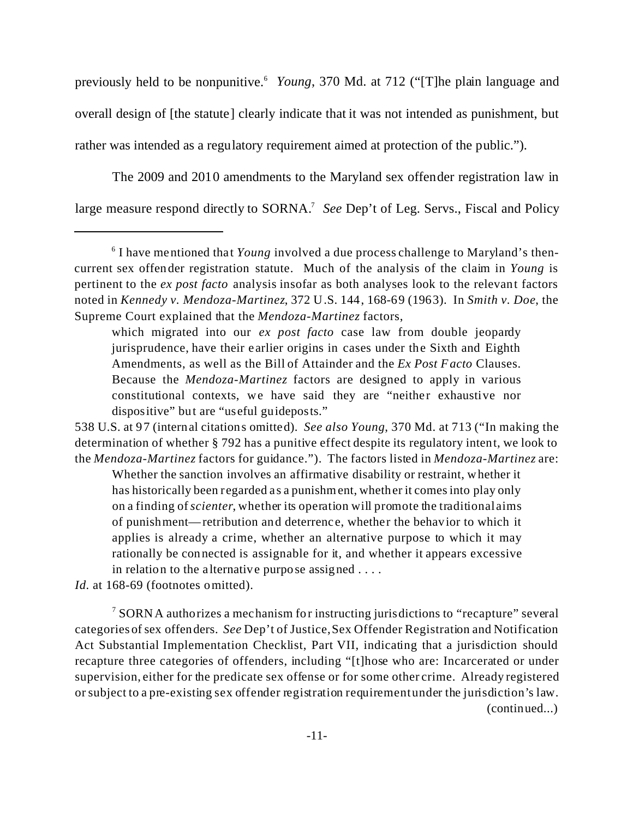previously held to be nonpunitive.<sup>6</sup> *Young*, 370 Md. at 712 ("[T]he plain language and overall design of [the statute] clearly indicate that it was not intended as punishment, but rather was intended as a regulatory requirement aimed at protection of the public.").

The 2009 and 2010 amendments to the Maryland sex offender registration law in large measure respond directly to SORNA.<sup>7</sup> See Dep't of Leg. Servs., Fiscal and Policy

Whether the sanction involves an affirmative disability or restraint, whether it has historically been regarded as a punishment, whether it comes into play only on a finding of *scienter*, whether its operation will promote the traditional aims of punishment—retribution and deterrence, whether the behavior to which it applies is already a crime, whether an alternative purpose to which it may rationally be connected is assignable for it, and whether it appears excessive in relation to the alternative purpose assigned . . . .

*Id.* at 168-69 (footnotes omitted).

 $7$  SORNA authorizes a mechanism for instructing jurisdictions to "recapture" several categories of sex offenders. *See* Dep't of Justice, Sex Offender Registration and Notification Act Substantial Implementation Checklist, Part VII, indicating that a jurisdiction should recapture three categories of offenders, including "[t]hose who are: Incarcerated or under supervision, either for the predicate sex offense or for some other crime. Already registered or subject to a pre-existing sex offender registration requirement under the jurisdiction's law. (continued...)

<sup>&</sup>lt;sup>6</sup> I have mentioned that *Young* involved a due process challenge to Maryland's thencurrent sex offender registration statute. Much of the analysis of the claim in *Young* is pertinent to the *ex post facto* analysis insofar as both analyses look to the relevant factors noted in *Kennedy v. Mendoza-Martinez*, 372 U.S. 144, 168-69 (1963). In *Smith v. Doe*, the Supreme Court explained that the *Mendoza-Martinez* factors,

which migrated into our *ex post facto* case law from double jeopardy jurisprudence, have their earlier origins in cases under the Sixth and Eighth Amendments, as well as the Bill of Attainder and the *Ex Post Facto* Clauses. Because the *Mendoza-Martinez* factors are designed to apply in various constitutional contexts, we have said they are "neither exhaustive nor dispositive" but are "useful guideposts."

<sup>538</sup> U.S. at 97 (internal citations omitted). *See also Young*, 370 Md. at 713 ("In making the determination of whether § 792 has a punitive effect despite its regulatory intent, we look to the *Mendoza-Martinez* factors for guidance."). The factors listed in *Mendoza-Martinez* are: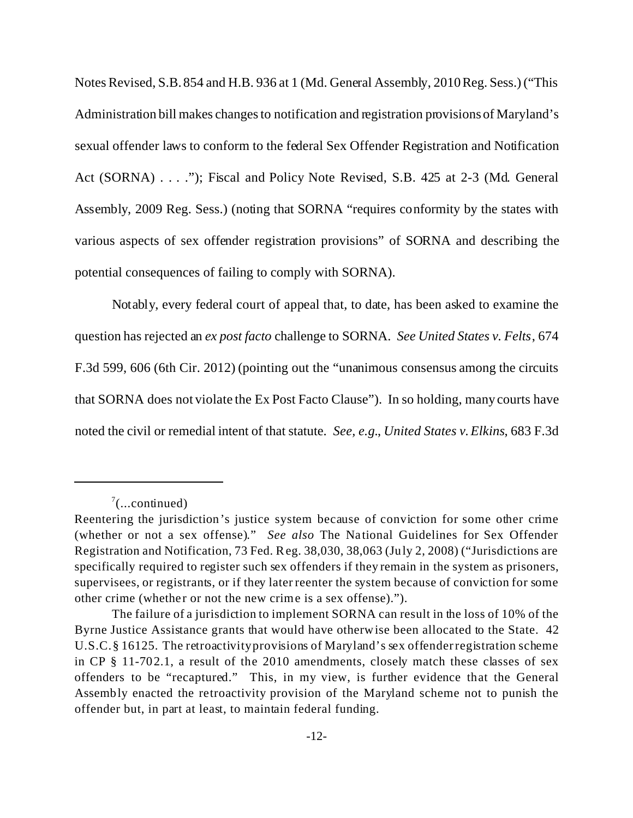Notes Revised, S.B. 854 and H.B. 936 at 1 (Md. General Assembly, 2010 Reg. Sess.) ("This Administration bill makes changes to notification and registration provisions of Maryland's sexual offender laws to conform to the federal Sex Offender Registration and Notification Act (SORNA) . . . ."); Fiscal and Policy Note Revised, S.B. 425 at 2-3 (Md. General Assembly, 2009 Reg. Sess.) (noting that SORNA "requires conformity by the states with various aspects of sex offender registration provisions" of SORNA and describing the potential consequences of failing to comply with SORNA).

Notably, every federal court of appeal that, to date, has been asked to examine the question has rejected an *ex post facto* challenge to SORNA. *See United States v. Felts*, 674 F.3d 599, 606 (6th Cir. 2012) (pointing out the "unanimous consensus among the circuits that SORNA does not violate the Ex Post Facto Clause"). In so holding, many courts have noted the civil or remedial intent of that statute. *See, e.g.*, *United States v. Elkins*, 683 F.3d

 $7$ (...continued)

Reentering the jurisdiction's justice system because of conviction for some other crime (whether or not a sex offense)." *See also* The National Guidelines for Sex Offender Registration and Notification, 73 Fed. Reg. 38,030, 38,063 (July 2, 2008) ("Jurisdictions are specifically required to register such sex offenders if they remain in the system as prisoners, supervisees, or registrants, or if they later reenter the system because of conviction for some other crime (whether or not the new crime is a sex offense).").

The failure of a jurisdiction to implement SORNA can result in the loss of 10% of the Byrne Justice Assistance grants that would have otherwise been allocated to the State. 42 U.S.C. § 16125. The retroactivity provisions of Maryland's sex offender registration scheme in CP § 11-702.1, a result of the 2010 amendments, closely match these classes of sex offenders to be "recaptured." This, in my view, is further evidence that the General Assembly enacted the retroactivity provision of the Maryland scheme not to punish the offender but, in part at least, to maintain federal funding.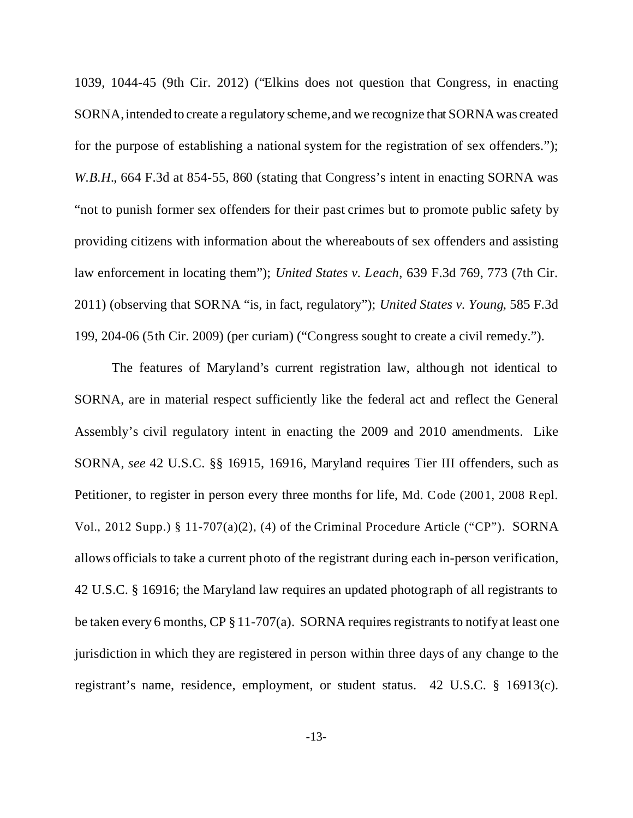1039, 1044-45 (9th Cir. 2012) ("Elkins does not question that Congress, in enacting SORNA, intended to create a regulatory scheme, and we recognize that SORNA was created for the purpose of establishing a national system for the registration of sex offenders."); *W.B.H.*, 664 F.3d at 854-55, 860 (stating that Congress's intent in enacting SORNA was "not to punish former sex offenders for their past crimes but to promote public safety by providing citizens with information about the whereabouts of sex offenders and assisting law enforcement in locating them"); *United States v. Leach*, 639 F.3d 769, 773 (7th Cir. 2011) (observing that SORNA "is, in fact, regulatory"); *United States v. Young*, 585 F.3d 199, 204-06 (5th Cir. 2009) (per curiam) ("Congress sought to create a civil remedy.").

The features of Maryland's current registration law, although not identical to SORNA, are in material respect sufficiently like the federal act and reflect the General Assembly's civil regulatory intent in enacting the 2009 and 2010 amendments. Like SORNA, *see* 42 U.S.C. §§ 16915, 16916, Maryland requires Tier III offenders, such as Petitioner, to register in person every three months for life, Md. Code (2001, 2008 Repl. Vol., 2012 Supp.) § 11-707(a)(2), (4) of the Criminal Procedure Article ("CP"). SORNA allows officials to take a current photo of the registrant during each in-person verification, 42 U.S.C. § 16916; the Maryland law requires an updated photograph of all registrants to be taken every 6 months, CP § 11-707(a). SORNA requires registrants to notify at least one jurisdiction in which they are registered in person within three days of any change to the registrant's name, residence, employment, or student status. 42 U.S.C. § 16913(c).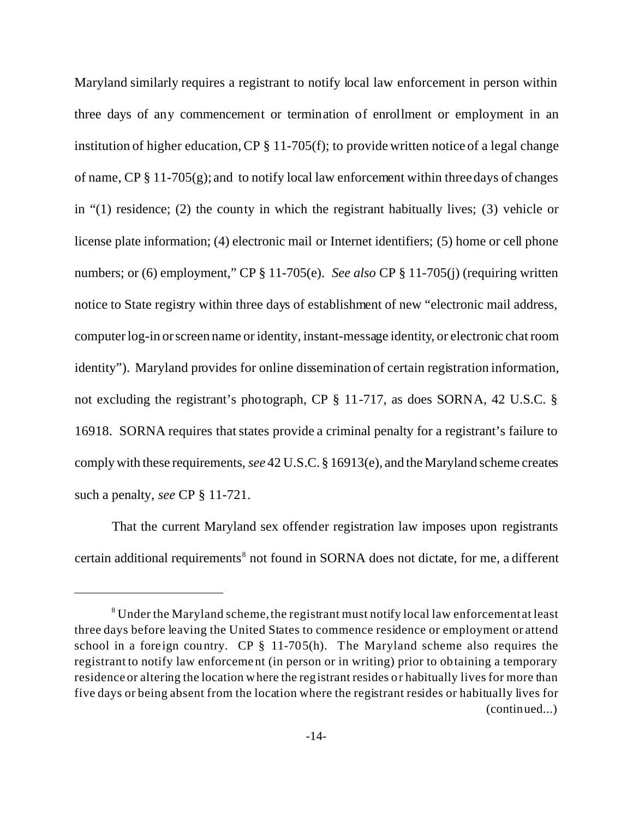Maryland similarly requires a registrant to notify local law enforcement in person within three days of any commencement or termination of enrollment or employment in an institution of higher education, CP § 11-705(f); to provide written notice of a legal change of name,  $CP \S 11-705(g)$ ; and to notify local law enforcement within three days of changes in "(1) residence; (2) the county in which the registrant habitually lives; (3) vehicle or license plate information; (4) electronic mail or Internet identifiers; (5) home or cell phone numbers; or (6) employment," CP § 11-705(e). *See also* CP § 11-705(j) (requiring written notice to State registry within three days of establishment of new "electronic mail address, computer log-in or screen name or identity, instant-message identity, or electronic chat room identity"). Maryland provides for online dissemination of certain registration information, not excluding the registrant's photograph, CP § 11-717, as does SORNA, 42 U.S.C. § 16918. SORNA requires that states provide a criminal penalty for a registrant's failure to comply with these requirements, *see* 42 U.S.C. § 16913(e), and the Maryland scheme creates such a penalty, *see* CP § 11-721.

That the current Maryland sex offender registration law imposes upon registrants certain additional requirements<sup>8</sup> not found in SORNA does not dictate, for me, a different

 $8$  Under the Maryland scheme, the registrant must notify local law enforcement at least three days before leaving the United States to commence residence or employment or attend school in a foreign country. CP § 11-705(h). The Maryland scheme also requires the registrant to notify law enforcement (in person or in writing) prior to obtaining a temporary residence or altering the location where the registrant resides or habitually lives for more than five days or being absent from the location where the registrant resides or habitually lives for (continued...)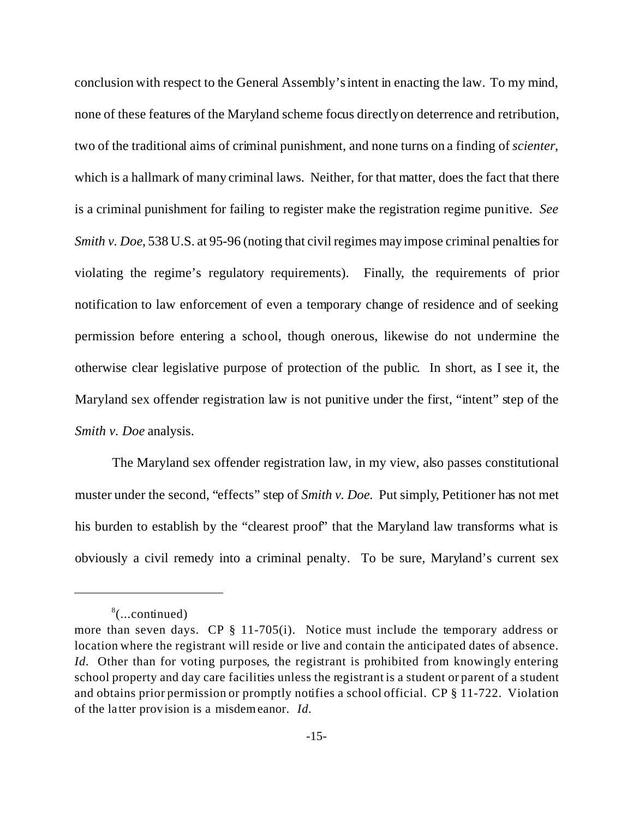conclusion with respect to the General Assembly's intent in enacting the law. To my mind, none of these features of the Maryland scheme focus directly on deterrence and retribution, two of the traditional aims of criminal punishment, and none turns on a finding of *scienter*, which is a hallmark of many criminal laws. Neither, for that matter, does the fact that there is a criminal punishment for failing to register make the registration regime punitive. *See Smith v. Doe,* 538 U.S. at 95-96 (noting that civil regimes may impose criminal penalties for violating the regime's regulatory requirements). Finally, the requirements of prior notification to law enforcement of even a temporary change of residence and of seeking permission before entering a school, though onerous, likewise do not undermine the otherwise clear legislative purpose of protection of the public. In short, as I see it, the Maryland sex offender registration law is not punitive under the first, "intent" step of the *Smith v. Doe* analysis.

The Maryland sex offender registration law, in my view, also passes constitutional muster under the second, "effects" step of *Smith v. Doe.* Put simply, Petitioner has not met his burden to establish by the "clearest proof" that the Maryland law transforms what is obviously a civil remedy into a criminal penalty. To be sure, Maryland's current sex

<sup>&</sup>lt;sup>8</sup>(...continued)

more than seven days. CP § 11-705(i). Notice must include the temporary address or location where the registrant will reside or live and contain the anticipated dates of absence. *Id.* Other than for voting purposes, the registrant is prohibited from knowingly entering school property and day care facilities unless the registrant is a student or parent of a student and obtains prior permission or promptly notifies a school official. CP § 11-722. Violation of the latter provision is a misdemeanor. *Id.*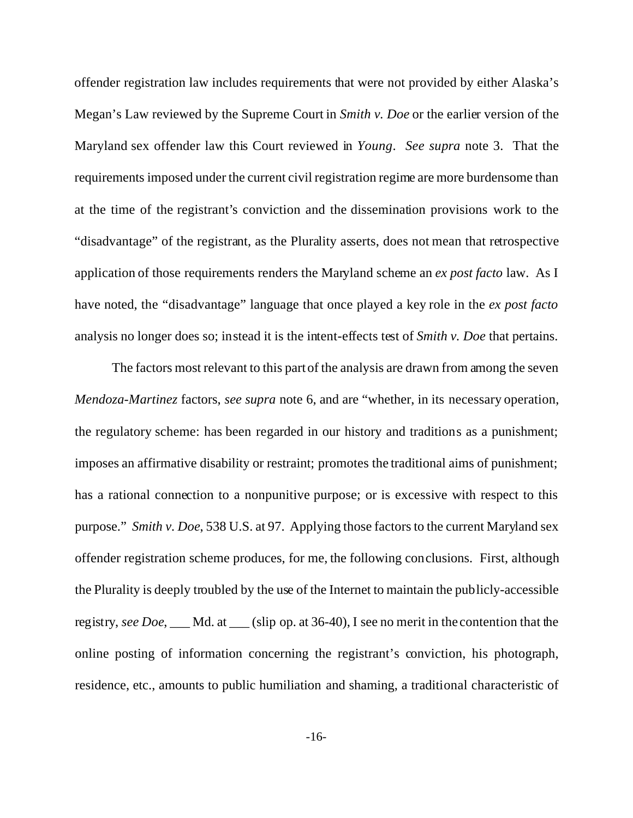offender registration law includes requirements that were not provided by either Alaska's Megan's Law reviewed by the Supreme Court in *Smith v. Doe* or the earlier version of the Maryland sex offender law this Court reviewed in *Young*. *See supra* note 3. That the requirements imposed under the current civil registration regime are more burdensome than at the time of the registrant's conviction and the dissemination provisions work to the "disadvantage" of the registrant, as the Plurality asserts, does not mean that retrospective application of those requirements renders the Maryland scheme an *ex post facto* law. As I have noted, the "disadvantage" language that once played a key role in the *ex post facto* analysis no longer does so; instead it is the intent-effects test of *Smith v. Doe* that pertains.

The factors most relevant to this part of the analysis are drawn from among the seven *Mendoza-Martinez* factors, *see supra* note 6, and are "whether, in its necessary operation, the regulatory scheme: has been regarded in our history and traditions as a punishment; imposes an affirmative disability or restraint; promotes the traditional aims of punishment; has a rational connection to a nonpunitive purpose; or is excessive with respect to this purpose." *Smith v. Doe*, 538 U.S. at 97. Applying those factors to the current Maryland sex offender registration scheme produces, for me, the following conclusions. First, although the Plurality is deeply troubled by the use of the Internet to maintain the publicly-accessible registry, *see Doe*, \_\_\_ Md. at \_\_\_ (slip op. at 36-40), I see no merit in the contention that the online posting of information concerning the registrant's conviction, his photograph, residence, etc., amounts to public humiliation and shaming, a traditional characteristic of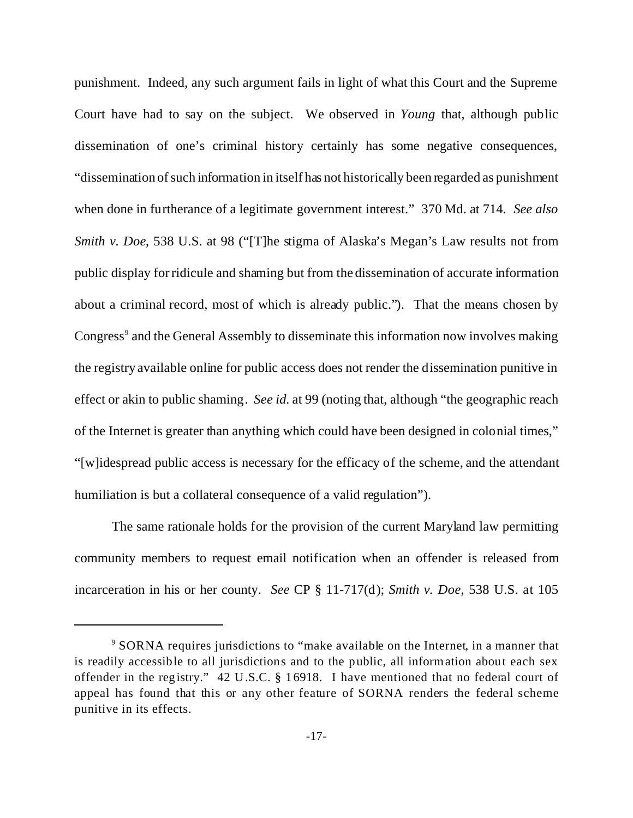punishment. Indeed, any such argument fails in light of what this Court and the Supreme Court have had to say on the subject. We observed in *Young* that, although public dissemination of one's criminal history certainly has some negative consequences, "dissemination of such information in itself has not historically been regarded as punishment when done in furtherance of a legitimate government interest." 370 Md. at 714. *See also Smith v. Doe,* 538 U.S. at 98 ("[T]he stigma of Alaska's Megan's Law results not from public display for ridicule and shaming but from the dissemination of accurate information about a criminal record, most of which is already public."). That the means chosen by Congress<sup>9</sup> and the General Assembly to disseminate this information now involves making the registry available online for public access does not render the dissemination punitive in effect or akin to public shaming. *See id.* at 99 (noting that, although "the geographic reach of the Internet is greater than anything which could have been designed in colonial times," "[w]idespread public access is necessary for the efficacy of the scheme, and the attendant humiliation is but a collateral consequence of a valid regulation").

The same rationale holds for the provision of the current Maryland law permitting community members to request email notification when an offender is released from incarceration in his or her county. *See* CP § 11-717(d); *Smith v. Doe*, 538 U.S. at 105

<sup>&</sup>lt;sup>9</sup> SORNA requires jurisdictions to "make available on the Internet, in a manner that is readily accessible to all jurisdictions and to the public, all information about each sex offender in the registry." 42 U.S.C. § 16918. I have mentioned that no federal court of appeal has found that this or any other feature of SORNA renders the federal scheme punitive in its effects.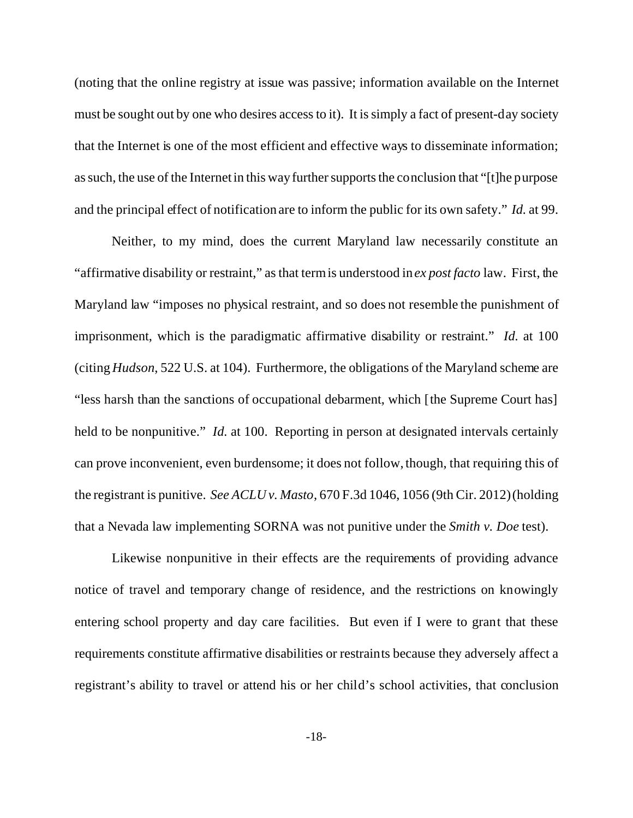(noting that the online registry at issue was passive; information available on the Internet must be sought out by one who desires access to it). It is simply a fact of present-day society that the Internet is one of the most efficient and effective ways to disseminate information; as such, the use of the Internet in this way further supports the conclusion that "[t]he purpose and the principal effect of notification are to inform the public for its own safety." *Id.* at 99.

Neither, to my mind, does the current Maryland law necessarily constitute an "affirmative disability or restraint," as that term is understood in *ex post facto* law. First, the Maryland law "imposes no physical restraint, and so does not resemble the punishment of imprisonment, which is the paradigmatic affirmative disability or restraint." *Id.* at 100 (citing *Hudson*, 522 U.S. at 104). Furthermore, the obligations of the Maryland scheme are "less harsh than the sanctions of occupational debarment, which [the Supreme Court has] held to be nonpunitive." *Id.* at 100. Reporting in person at designated intervals certainly can prove inconvenient, even burdensome; it does not follow, though, that requiring this of the registrant is punitive. *See ACLU v. Masto*, 670 F.3d 1046, 1056 (9th Cir. 2012) (holding that a Nevada law implementing SORNA was not punitive under the *Smith v. Doe* test).

Likewise nonpunitive in their effects are the requirements of providing advance notice of travel and temporary change of residence, and the restrictions on knowingly entering school property and day care facilities. But even if I were to grant that these requirements constitute affirmative disabilities or restraints because they adversely affect a registrant's ability to travel or attend his or her child's school activities, that conclusion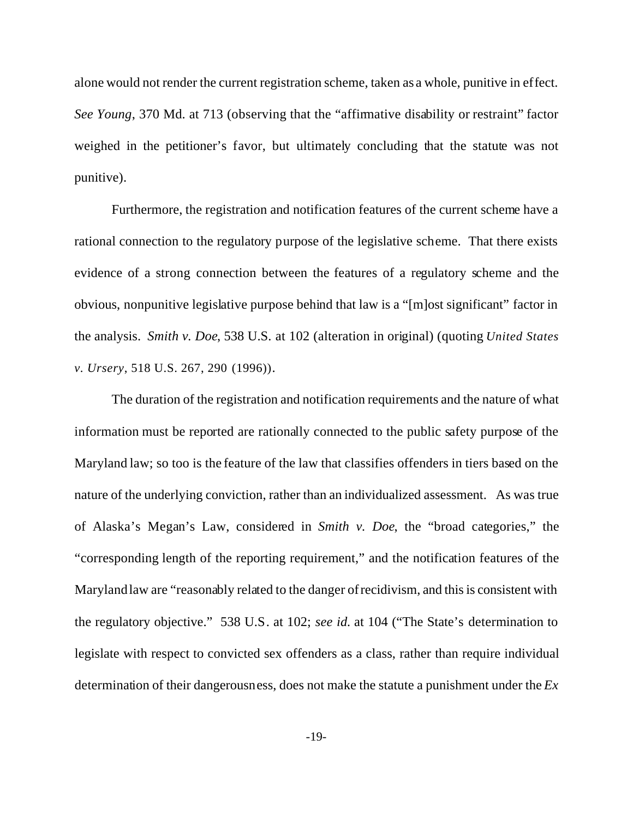alone would not render the current registration scheme, taken as a whole, punitive in effect. *See Young*, 370 Md. at 713 (observing that the "affirmative disability or restraint" factor weighed in the petitioner's favor, but ultimately concluding that the statute was not punitive).

Furthermore, the registration and notification features of the current scheme have a rational connection to the regulatory purpose of the legislative scheme. That there exists evidence of a strong connection between the features of a regulatory scheme and the obvious, nonpunitive legislative purpose behind that law is a "[m]ost significant" factor in the analysis. *Smith v. Doe*, 538 U.S. at 102 (alteration in original) (quoting *United States v. Ursery*, 518 U.S. 267, 290 (1996)).

The duration of the registration and notification requirements and the nature of what information must be reported are rationally connected to the public safety purpose of the Maryland law; so too is the feature of the law that classifies offenders in tiers based on the nature of the underlying conviction, rather than an individualized assessment. As was true of Alaska's Megan's Law, considered in *Smith v. Doe*, the "broad categories," the "corresponding length of the reporting requirement," and the notification features of the Maryland law are "reasonably related to the danger of recidivism, and this is consistent with the regulatory objective." 538 U.S. at 102; *see id.* at 104 ("The State's determination to legislate with respect to convicted sex offenders as a class, rather than require individual determination of their dangerousness, does not make the statute a punishment under the *Ex*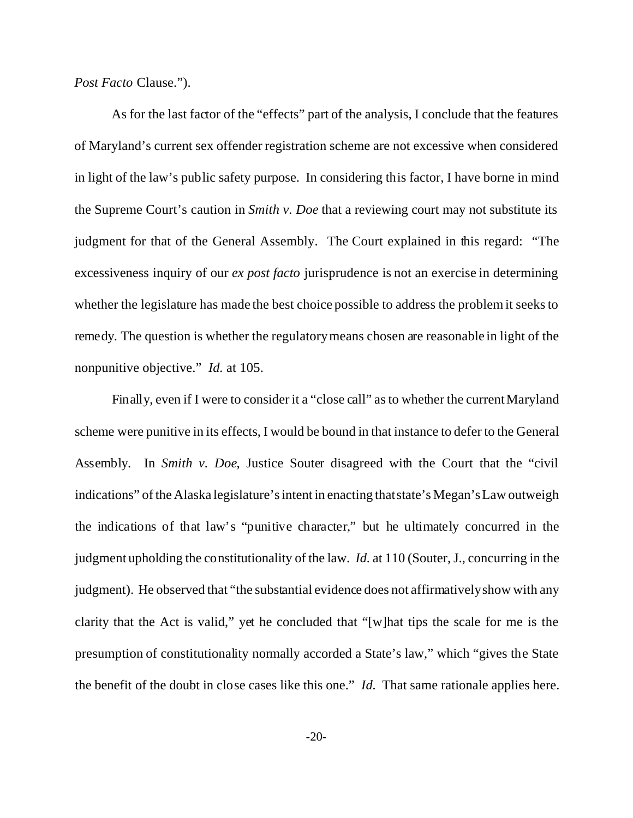*Post Facto* Clause.").

As for the last factor of the "effects" part of the analysis, I conclude that the features of Maryland's current sex offender registration scheme are not excessive when considered in light of the law's public safety purpose. In considering this factor, I have borne in mind the Supreme Court's caution in *Smith v. Doe* that a reviewing court may not substitute its judgment for that of the General Assembly. The Court explained in this regard: "The excessiveness inquiry of our *ex post facto* jurisprudence is not an exercise in determining whether the legislature has made the best choice possible to address the problem it seeks to remedy. The question is whether the regulatory means chosen are reasonable in light of the nonpunitive objective." *Id.* at 105.

Finally, even if I were to consider it a "close call" as to whether the current Maryland scheme were punitive in its effects, I would be bound in that instance to defer to the General Assembly. In *Smith v. Doe*, Justice Souter disagreed with the Court that the "civil indications" of the Alaska legislature's intent in enacting that state's Megan's Law outweigh the indications of that law's "punitive character," but he ultimately concurred in the judgment upholding the constitutionality of the law. *Id.* at 110 (Souter, J., concurring in the judgment). He observed that "the substantial evidence does not affirmatively show with any clarity that the Act is valid," yet he concluded that "[w]hat tips the scale for me is the presumption of constitutionality normally accorded a State's law," which "gives the State the benefit of the doubt in close cases like this one." *Id.* That same rationale applies here.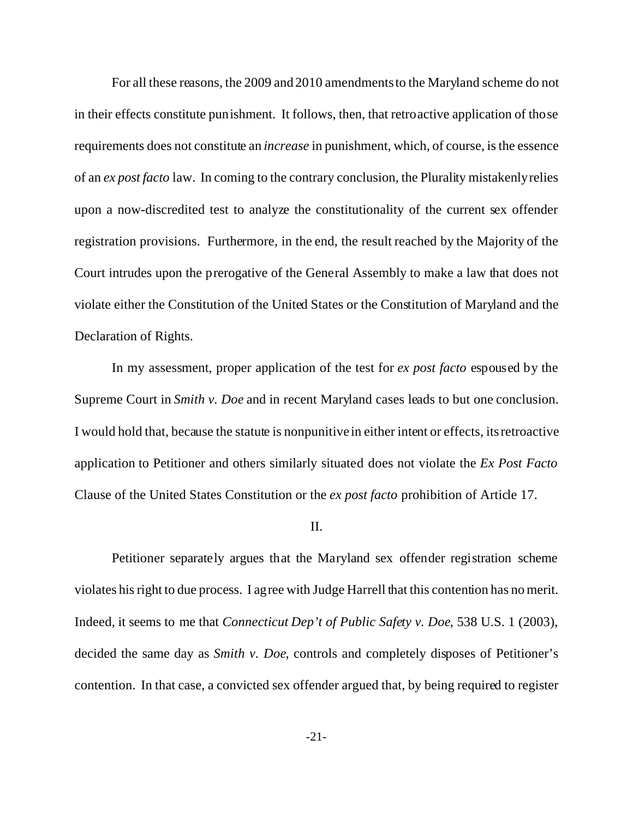For all these reasons, the 2009 and 2010 amendments to the Maryland scheme do not in their effects constitute punishment. It follows, then, that retroactive application of those requirements does not constitute an *increase* in punishment, which, of course, is the essence of an *ex post facto* law. In coming to the contrary conclusion, the Plurality mistakenly relies upon a now-discredited test to analyze the constitutionality of the current sex offender registration provisions. Furthermore, in the end, the result reached by the Majority of the Court intrudes upon the prerogative of the General Assembly to make a law that does not violate either the Constitution of the United States or the Constitution of Maryland and the Declaration of Rights.

In my assessment, proper application of the test for *ex post facto* espoused by the Supreme Court in *Smith v. Doe* and in recent Maryland cases leads to but one conclusion. I would hold that, because the statute is nonpunitive in either intent or effects, its retroactive application to Petitioner and others similarly situated does not violate the *Ex Post Facto* Clause of the United States Constitution or the *ex post facto* prohibition of Article 17.

## II.

Petitioner separately argues that the Maryland sex offender registration scheme violates his right to due process. I agree with Judge Harrell that this contention has no merit. Indeed, it seems to me that *Connecticut Dep't of Public Safety v. Doe*, 538 U.S. 1 (2003), decided the same day as *Smith v. Doe*, controls and completely disposes of Petitioner's contention. In that case, a convicted sex offender argued that, by being required to register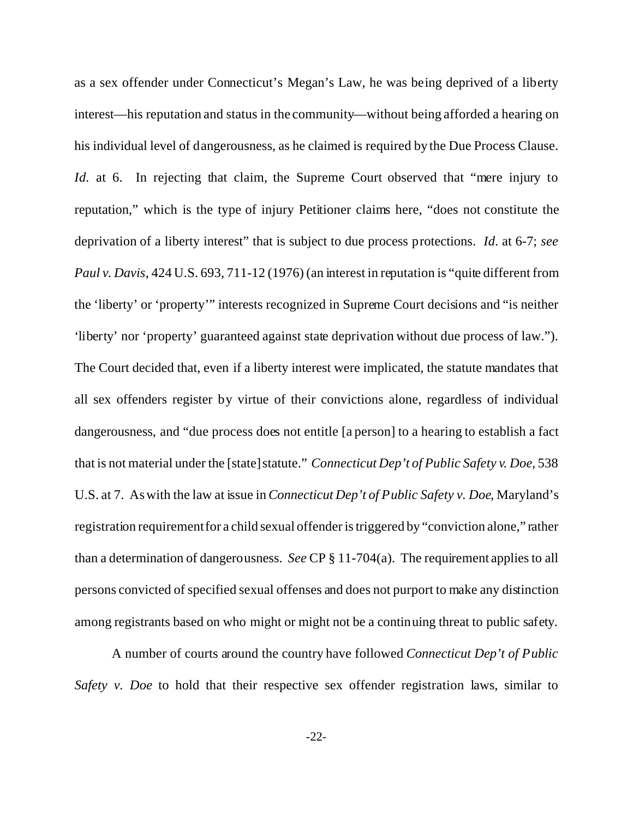as a sex offender under Connecticut's Megan's Law, he was being deprived of a liberty interest—his reputation and status in the community—without being afforded a hearing on his individual level of dangerousness, as he claimed is required by the Due Process Clause. *Id.* at 6. In rejecting that claim, the Supreme Court observed that "mere injury to reputation," which is the type of injury Petitioner claims here, "does not constitute the deprivation of a liberty interest" that is subject to due process protections. *Id*. at 6-7; *see Paul v. Davis*, 424 U.S. 693, 711-12 (1976) (an interest in reputation is "quite different from the 'liberty' or 'property'" interests recognized in Supreme Court decisions and "is neither 'liberty' nor 'property' guaranteed against state deprivation without due process of law."). The Court decided that, even if a liberty interest were implicated, the statute mandates that all sex offenders register by virtue of their convictions alone, regardless of individual dangerousness, and "due process does not entitle [a person] to a hearing to establish a fact that is not material under the [state] statute." *Connecticut Dep't of Public Safety v. Doe*, 538 U.S. at 7. As with the law at issue in *Connecticut Dep't of Public Safety v. Doe*, Maryland's registration requirement for a child sexual offender is triggered by "conviction alone," rather than a determination of dangerousness. *See* CP § 11-704(a). The requirement applies to all persons convicted of specified sexual offenses and does not purport to make any distinction among registrants based on who might or might not be a continuing threat to public safety.

A number of courts around the country have followed *Connecticut Dep't of Public Safety v. Doe* to hold that their respective sex offender registration laws, similar to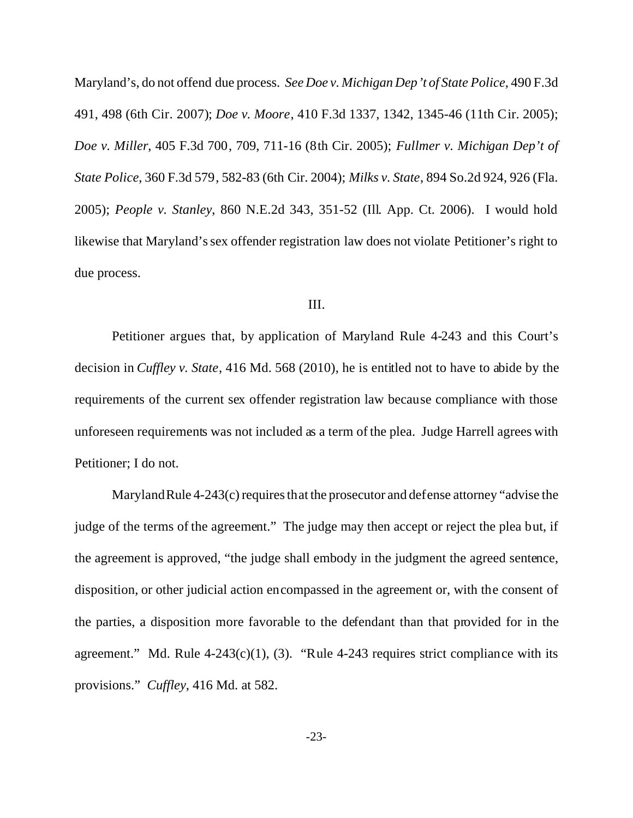Maryland's, do not offend due process. *See Doe v. Michigan Dep't of State Police*, 490 F.3d 491, 498 (6th Cir. 2007); *Doe v. Moore*, 410 F.3d 1337, 1342, 1345-46 (11th Cir. 2005); *Doe v. Miller*, 405 F.3d 700, 709, 711-16 (8th Cir. 2005); *Fullmer v. Michigan Dep't of State Police*, 360 F.3d 579, 582-83 (6th Cir. 2004); *Milks v. State*, 894 So.2d 924, 926 (Fla. 2005); *People v. Stanley*, 860 N.E.2d 343, 351-52 (Ill. App. Ct. 2006). I would hold likewise that Maryland's sex offender registration law does not violate Petitioner's right to due process.

## III.

Petitioner argues that, by application of Maryland Rule 4-243 and this Court's decision in *Cuffley v. State*, 416 Md. 568 (2010), he is entitled not to have to abide by the requirements of the current sex offender registration law because compliance with those unforeseen requirements was not included as a term of the plea. Judge Harrell agrees with Petitioner; I do not.

Maryland Rule 4-243(c) requires that the prosecutor and defense attorney "advise the judge of the terms of the agreement." The judge may then accept or reject the plea but, if the agreement is approved, "the judge shall embody in the judgment the agreed sentence, disposition, or other judicial action encompassed in the agreement or, with the consent of the parties, a disposition more favorable to the defendant than that provided for in the agreement." Md. Rule  $4-243(c)(1)$ , (3). "Rule  $4-243$  requires strict compliance with its provisions." *Cuffley*, 416 Md. at 582.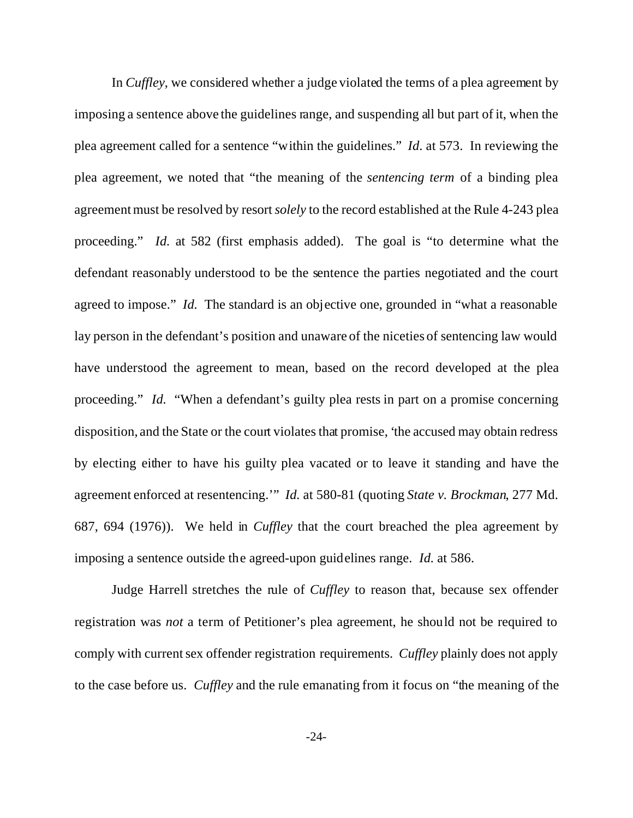In *Cuffley*, we considered whether a judge violated the terms of a plea agreement by imposing a sentence above the guidelines range, and suspending all but part of it, when the plea agreement called for a sentence "within the guidelines." *Id*. at 573. In reviewing the plea agreement, we noted that "the meaning of the *sentencing term* of a binding plea agreement must be resolved by resort *solely* to the record established at the Rule 4-243 plea proceeding." *Id.* at 582 (first emphasis added). The goal is "to determine what the defendant reasonably understood to be the sentence the parties negotiated and the court agreed to impose." *Id.* The standard is an objective one, grounded in "what a reasonable lay person in the defendant's position and unaware of the niceties of sentencing law would have understood the agreement to mean, based on the record developed at the plea proceeding." *Id.* "When a defendant's guilty plea rests in part on a promise concerning disposition, and the State or the court violates that promise, 'the accused may obtain redress by electing either to have his guilty plea vacated or to leave it standing and have the agreement enforced at resentencing.'" *Id.* at 580-81 (quoting *State v. Brockman*, 277 Md. 687, 694 (1976)). We held in *Cuffley* that the court breached the plea agreement by imposing a sentence outside the agreed-upon guidelines range. *Id.* at 586.

Judge Harrell stretches the rule of *Cuffley* to reason that, because sex offender registration was *not* a term of Petitioner's plea agreement, he should not be required to comply with current sex offender registration requirements. *Cuffley* plainly does not apply to the case before us. *Cuffley* and the rule emanating from it focus on "the meaning of the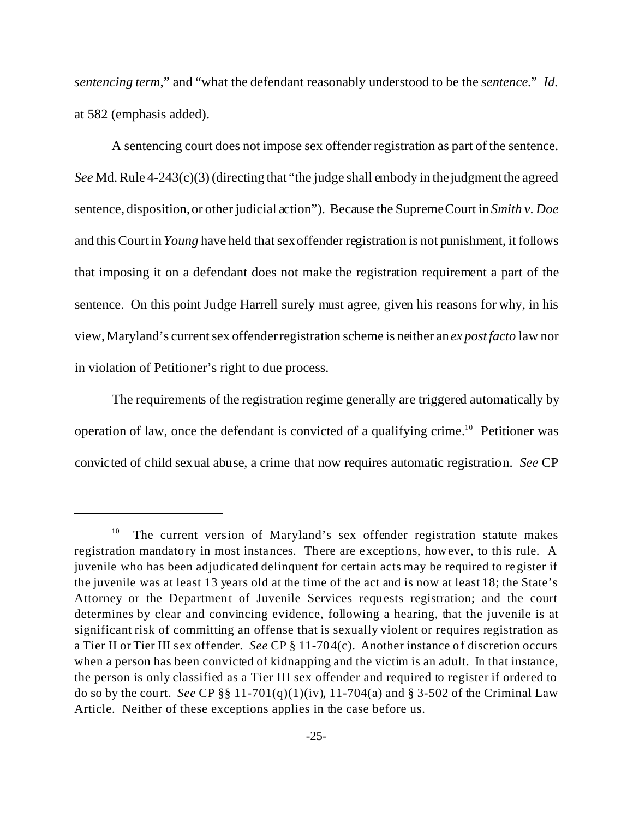*sentencing term*," and "what the defendant reasonably understood to be the *sentence*." *Id.* at 582 (emphasis added).

A sentencing court does not impose sex offender registration as part of the sentence. *See* Md. Rule 4-243(c)(3) (directing that "the judge shall embody in the judgment the agreed sentence, disposition, or other judicial action"). Because the Supreme Court in *Smith v. Doe* and this Court in *Young* have held that sex offender registration is not punishment, it follows that imposing it on a defendant does not make the registration requirement a part of the sentence. On this point Judge Harrell surely must agree, given his reasons for why, in his view, Maryland's current sex offender registration scheme is neither an *ex post facto* law nor in violation of Petitioner's right to due process.

The requirements of the registration regime generally are triggered automatically by operation of law, once the defendant is convicted of a qualifying crime.<sup>10</sup> Petitioner was convicted of child sexual abuse, a crime that now requires automatic registration. *See* CP

<sup>&</sup>lt;sup>10</sup> The current version of Maryland's sex offender registration statute makes registration mandatory in most instances. There are exceptions, however, to this rule. A juvenile who has been adjudicated delinquent for certain acts may be required to register if the juvenile was at least 13 years old at the time of the act and is now at least 18; the State's Attorney or the Department of Juvenile Services requests registration; and the court determines by clear and convincing evidence, following a hearing, that the juvenile is at significant risk of committing an offense that is sexually violent or requires registration as a Tier II or Tier III sex offender. *See* CP § 11-704(c). Another instance of discretion occurs when a person has been convicted of kidnapping and the victim is an adult. In that instance, the person is only classified as a Tier III sex offender and required to register if ordered to do so by the court. *See* CP §§ 11-701(q)(1)(iv), 11-704(a) and § 3-502 of the Criminal Law Article. Neither of these exceptions applies in the case before us.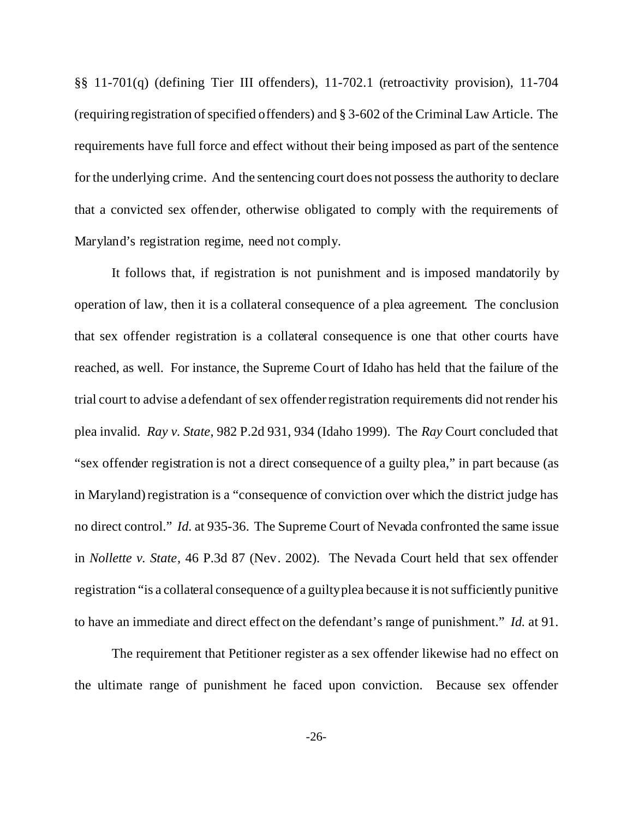§§ 11-701(q) (defining Tier III offenders), 11-702.1 (retroactivity provision), 11-704 (requiring registration of specified offenders) and § 3-602 of the Criminal Law Article. The requirements have full force and effect without their being imposed as part of the sentence for the underlying crime. And the sentencing court does not possess the authority to declare that a convicted sex offender, otherwise obligated to comply with the requirements of Maryland's registration regime, need not comply.

It follows that, if registration is not punishment and is imposed mandatorily by operation of law, then it is a collateral consequence of a plea agreement. The conclusion that sex offender registration is a collateral consequence is one that other courts have reached, as well. For instance, the Supreme Court of Idaho has held that the failure of the trial court to advise a defendant of sex offender registration requirements did not render his plea invalid. *Ray v. State*, 982 P.2d 931, 934 (Idaho 1999). The *Ray* Court concluded that "sex offender registration is not a direct consequence of a guilty plea," in part because (as in Maryland) registration is a "consequence of conviction over which the district judge has no direct control." *Id.* at 935-36. The Supreme Court of Nevada confronted the same issue in *Nollette v. State*, 46 P.3d 87 (Nev. 2002). The Nevada Court held that sex offender registration "is a collateral consequence of a guilty plea because it is not sufficiently punitive to have an immediate and direct effect on the defendant's range of punishment." *Id.* at 91.

The requirement that Petitioner register as a sex offender likewise had no effect on the ultimate range of punishment he faced upon conviction. Because sex offender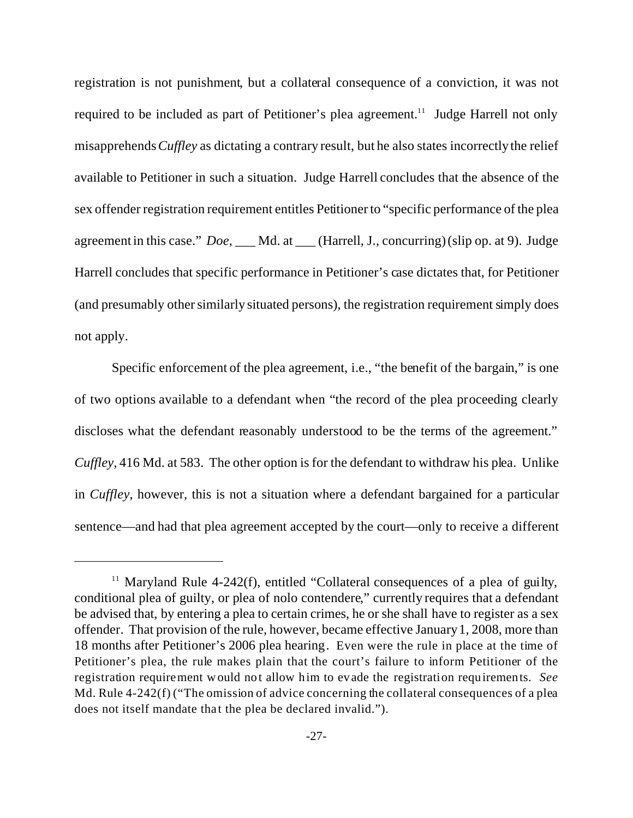registration is not punishment, but a collateral consequence of a conviction, it was not required to be included as part of Petitioner's plea agreement.<sup>11</sup> Judge Harrell not only misapprehends*Cuffley* as dictating a contrary result, but he also states incorrectly the relief available to Petitioner in such a situation. Judge Harrell concludes that the absence of the sex offender registration requirement entitles Petitioner to "specific performance of the plea agreement in this case." *Doe*, \_\_\_ Md. at \_\_\_ (Harrell, J., concurring) (slip op. at 9). Judge Harrell concludes that specific performance in Petitioner's case dictates that, for Petitioner (and presumably other similarly situated persons), the registration requirement simply does not apply.

Specific enforcement of the plea agreement, i.e., "the benefit of the bargain," is one of two options available to a defendant when "the record of the plea proceeding clearly discloses what the defendant reasonably understood to be the terms of the agreement." *Cuffley,* 416 Md. at 583. The other option is for the defendant to withdraw his plea. Unlike in *Cuffley*, however, this is not a situation where a defendant bargained for a particular sentence—and had that plea agreement accepted by the court—only to receive a different

<sup>&</sup>lt;sup>11</sup> Maryland Rule 4-242(f), entitled "Collateral consequences of a plea of guilty, conditional plea of guilty, or plea of nolo contendere," currently requires that a defendant be advised that, by entering a plea to certain crimes, he or she shall have to register as a sex offender. That provision of the rule, however, became effective January 1, 2008, more than 18 months after Petitioner's 2006 plea hearing. Even were the rule in place at the time of Petitioner's plea, the rule makes plain that the court's failure to inform Petitioner of the registration requirement would not allow him to evade the registration requirements. *See* Md. Rule 4-242(f) ("The omission of advice concerning the collateral consequences of a plea does not itself mandate that the plea be declared invalid.").